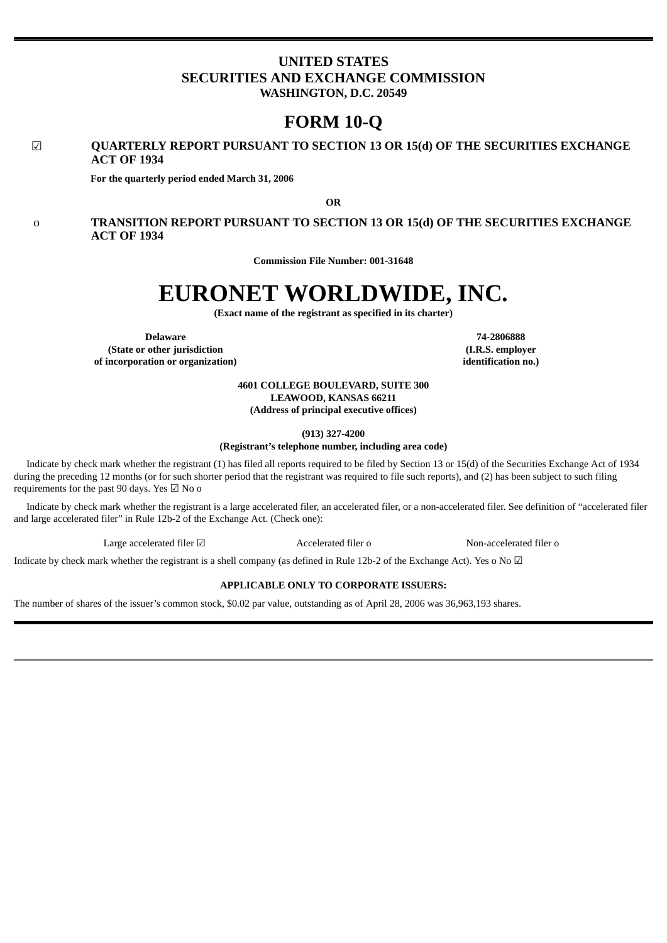# **UNITED STATES SECURITIES AND EXCHANGE COMMISSION WASHINGTON, D.C. 20549**

# **FORM 10-Q**

# ☑ **QUARTERLY REPORT PURSUANT TO SECTION 13 OR 15(d) OF THE SECURITIES EXCHANGE ACT OF 1934**

**For the quarterly period ended March 31, 2006**

**OR**

# o **TRANSITION REPORT PURSUANT TO SECTION 13 OR 15(d) OF THE SECURITIES EXCHANGE ACT OF 1934**

**Commission File Number: 001-31648**

# **EURONET WORLDWIDE, INC.**

**(Exact name of the registrant as specified in its charter)**

**Delaware (State or other jurisdiction of incorporation or organization)**

**74-2806888 (I.R.S. employer identification no.)**

# **4601 COLLEGE BOULEVARD, SUITE 300 LEAWOOD, KANSAS 66211 (Address of principal executive offices)**

**(913) 327-4200**

**(Registrant's telephone number, including area code)**

Indicate by check mark whether the registrant (1) has filed all reports required to be filed by Section 13 or 15(d) of the Securities Exchange Act of 1934 during the preceding 12 months (or for such shorter period that the registrant was required to file such reports), and (2) has been subject to such filing requirements for the past 90 days. Yes  $\boxtimes$  No o

Indicate by check mark whether the registrant is a large accelerated filer, an accelerated filer, or a non-accelerated filer. See definition of "accelerated filer and large accelerated filer" in Rule 12b-2 of the Exchange Act. (Check one):

Large accelerated filer ⊠ Accelerated filer o Non-accelerated filer o

Indicate by check mark whether the registrant is a shell company (as defined in Rule 12b-2 of the Exchange Act). Yes o No  $\Box$ 

# **APPLICABLE ONLY TO CORPORATE ISSUERS:**

The number of shares of the issuer's common stock, \$0.02 par value, outstanding as of April 28, 2006 was 36,963,193 shares.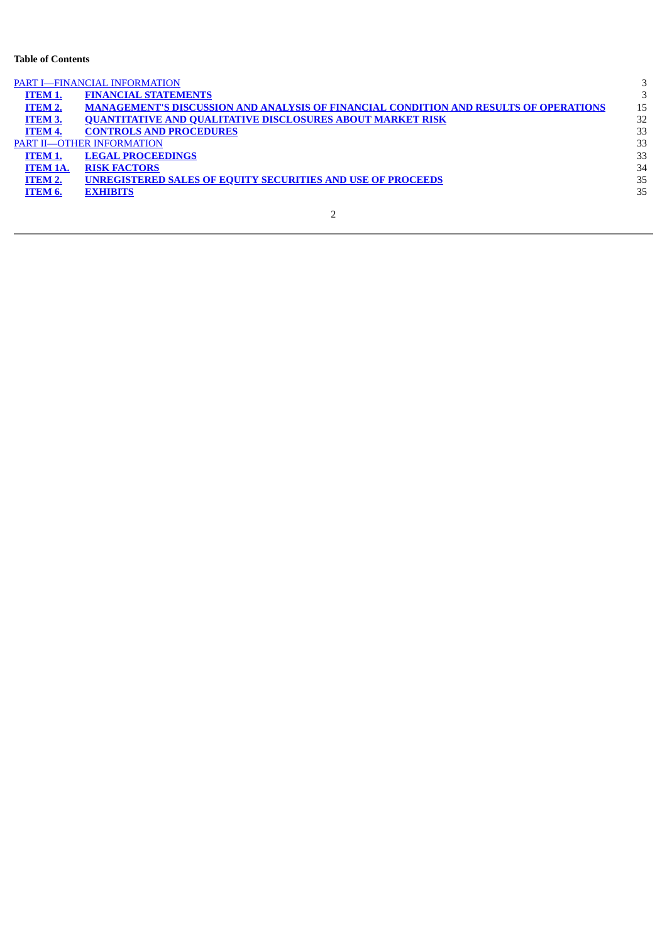|                 | PART I-FINANCIAL INFORMATION                                                                 |    |
|-----------------|----------------------------------------------------------------------------------------------|----|
| <b>ITEM 1.</b>  | <b>FINANCIAL STATEMENTS</b>                                                                  | 3  |
| <b>ITEM 2.</b>  | <b>MANAGEMENT'S DISCUSSION AND ANALYSIS OF FINANCIAL CONDITION AND RESULTS OF OPERATIONS</b> | 15 |
| <b>ITEM 3.</b>  | <b>QUANTITATIVE AND QUALITATIVE DISCLOSURES ABOUT MARKET RISK</b>                            | 32 |
| <b>ITEM 4.</b>  | <b>CONTROLS AND PROCEDURES</b>                                                               | 33 |
|                 | <b>PART II-OTHER INFORMATION</b>                                                             | 33 |
| ITEM 1.         | <b>LEGAL PROCEEDINGS</b>                                                                     | 33 |
| <b>ITEM 1A.</b> | <b>RISK FACTORS</b>                                                                          | 34 |
| <b>ITEM 2.</b>  | <b>UNREGISTERED SALES OF EQUITY SECURITIES AND USE OF PROCEEDS</b>                           | 35 |
| ITEM 6.         | <b>EXHIBITS</b>                                                                              | 35 |
|                 |                                                                                              |    |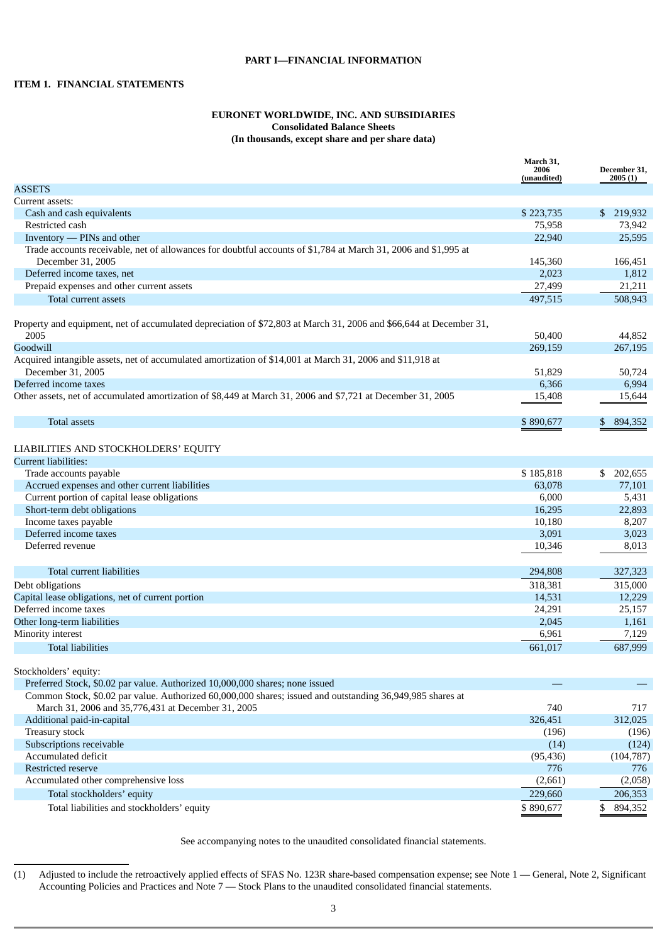# **PART I—FINANCIAL INFORMATION**

# <span id="page-3-1"></span><span id="page-3-0"></span>**ITEM 1. FINANCIAL STATEMENTS**

# **EURONET WORLDWIDE, INC. AND SUBSIDIARIES Consolidated Balance Sheets (In thousands, except share and per share data)**

|                                                                                                                            | March 31,<br>2006<br>(unaudited) | December 31,<br>2005(1) |
|----------------------------------------------------------------------------------------------------------------------------|----------------------------------|-------------------------|
| <b>ASSETS</b>                                                                                                              |                                  |                         |
| Current assets:                                                                                                            |                                  |                         |
| Cash and cash equivalents                                                                                                  | \$223,735                        | \$ 219,932              |
| Restricted cash                                                                                                            | 75,958                           | 73,942                  |
| Inventory — PINs and other                                                                                                 | 22,940                           | 25,595                  |
| Trade accounts receivable, net of allowances for doubtful accounts of \$1,784 at March 31, 2006 and \$1,995 at             |                                  |                         |
| December 31, 2005                                                                                                          | 145,360                          | 166,451                 |
| Deferred income taxes, net                                                                                                 | 2,023                            | 1,812                   |
| Prepaid expenses and other current assets                                                                                  | 27,499                           | 21,211                  |
| Total current assets                                                                                                       | 497,515                          | 508,943                 |
|                                                                                                                            |                                  |                         |
| Property and equipment, net of accumulated depreciation of \$72,803 at March 31, 2006 and \$66,644 at December 31,<br>2005 | 50,400                           | 44,852                  |
| Goodwill                                                                                                                   | 269,159                          | 267,195                 |
| Acquired intangible assets, net of accumulated amortization of \$14,001 at March 31, 2006 and \$11,918 at                  |                                  |                         |
| December 31, 2005                                                                                                          | 51,829                           | 50,724                  |
| Deferred income taxes                                                                                                      | 6,366                            | 6,994                   |
| Other assets, net of accumulated amortization of \$8,449 at March 31, 2006 and \$7,721 at December 31, 2005                | 15,408                           | 15,644                  |
|                                                                                                                            |                                  |                         |
| <b>Total assets</b>                                                                                                        | \$890,677                        | 894,352                 |
|                                                                                                                            |                                  | \$                      |
| LIABILITIES AND STOCKHOLDERS' EQUITY                                                                                       |                                  |                         |
| Current liabilities:                                                                                                       |                                  |                         |
| Trade accounts payable                                                                                                     | \$185,818                        | 202,655<br>\$           |
| Accrued expenses and other current liabilities                                                                             | 63,078                           | 77,101                  |
| Current portion of capital lease obligations                                                                               | 6,000                            | 5,431                   |
| Short-term debt obligations                                                                                                | 16,295                           | 22,893                  |
| Income taxes payable                                                                                                       | 10,180                           | 8,207                   |
| Deferred income taxes                                                                                                      | 3,091                            | 3,023                   |
| Deferred revenue                                                                                                           | 10,346                           | 8,013                   |
|                                                                                                                            |                                  |                         |
| Total current liabilities                                                                                                  | 294,808                          | 327,323                 |
| Debt obligations                                                                                                           | 318,381                          | 315,000                 |
| Capital lease obligations, net of current portion                                                                          | 14,531                           | 12,229                  |
| Deferred income taxes                                                                                                      | 24,291                           | 25,157                  |
| Other long-term liabilities                                                                                                | 2,045                            | 1,161                   |
| Minority interest                                                                                                          | 6,961                            | 7,129                   |
| <b>Total liabilities</b>                                                                                                   | 661,017                          | 687,999                 |
|                                                                                                                            |                                  |                         |
| Stockholders' equity:                                                                                                      |                                  |                         |
| Preferred Stock, \$0.02 par value. Authorized 10,000,000 shares; none issued                                               |                                  |                         |
| Common Stock, \$0.02 par value. Authorized 60,000,000 shares; issued and outstanding 36,949,985 shares at                  |                                  |                         |
| March 31, 2006 and 35,776,431 at December 31, 2005                                                                         | 740                              | 717                     |
| Additional paid-in-capital                                                                                                 | 326,451                          | 312,025                 |
| Treasury stock                                                                                                             | (196)                            | (196)                   |
| Subscriptions receivable                                                                                                   | (14)                             | (124)                   |
| Accumulated deficit                                                                                                        | (95, 436)                        | (104, 787)              |
| Restricted reserve                                                                                                         | 776                              | 776                     |
| Accumulated other comprehensive loss                                                                                       | (2,661)                          | (2,058)                 |
|                                                                                                                            |                                  |                         |
| Total stockholders' equity                                                                                                 | 229,660                          | 206,353                 |
| Total liabilities and stockholders' equity                                                                                 | \$890,677                        | \$<br>894,352           |

See accompanying notes to the unaudited consolidated financial statements.

<sup>(1)</sup> Adjusted to include the retroactively applied effects of SFAS No. 123R share-based compensation expense; see Note 1 — General, Note 2, Significant Accounting Policies and Practices and Note 7 — Stock Plans to the unaudited consolidated financial statements.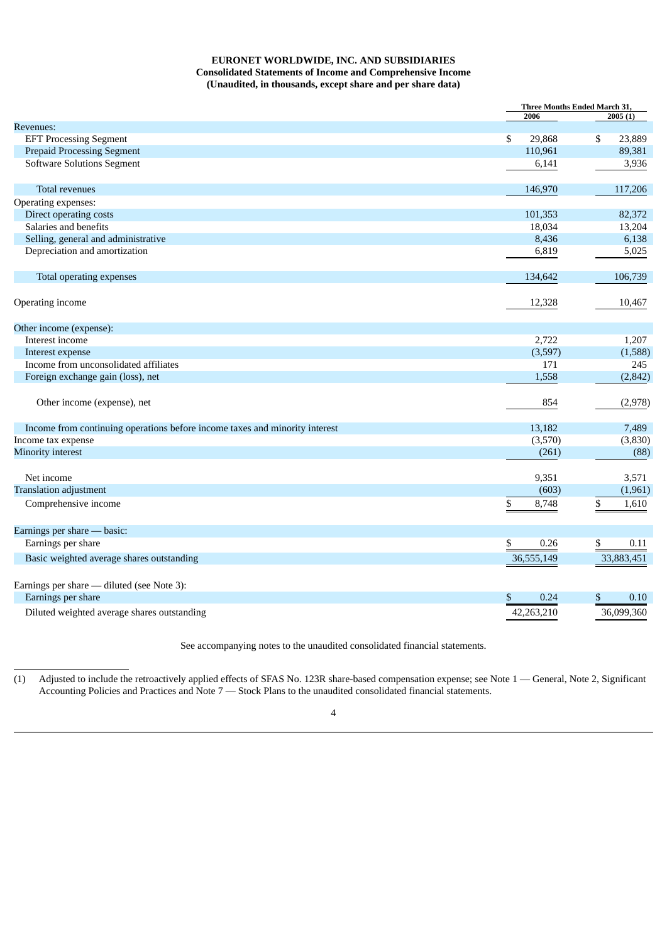# **EURONET WORLDWIDE, INC. AND SUBSIDIARIES Consolidated Statements of Income and Comprehensive Income (Unaudited, in thousands, except share and per share data)**

|                                                                             |              | <b>Three Months Ended March 31,</b> |
|-----------------------------------------------------------------------------|--------------|-------------------------------------|
|                                                                             | 2006         | 2005(1)                             |
| <b>Revenues:</b>                                                            |              |                                     |
| <b>EFT Processing Segment</b>                                               | \$<br>29,868 | \$<br>23,889                        |
| <b>Prepaid Processing Segment</b>                                           | 110,961      | 89,381                              |
| <b>Software Solutions Segment</b>                                           | 6,141        | 3,936                               |
| <b>Total revenues</b>                                                       | 146,970      | 117,206                             |
| Operating expenses:                                                         |              |                                     |
| Direct operating costs                                                      | 101,353      | 82,372                              |
| Salaries and benefits                                                       | 18,034       | 13,204                              |
| Selling, general and administrative                                         | 8,436        | 6,138                               |
| Depreciation and amortization                                               | 6,819        | 5,025                               |
| Total operating expenses                                                    | 134,642      | 106,739                             |
| Operating income                                                            | 12,328       | 10,467                              |
| Other income (expense):                                                     |              |                                     |
| Interest income                                                             | 2,722        | 1,207                               |
| Interest expense                                                            | (3,597)      | (1,588)                             |
| Income from unconsolidated affiliates                                       | 171          | 245                                 |
| Foreign exchange gain (loss), net                                           | 1,558        | (2, 842)                            |
| Other income (expense), net                                                 | 854          | (2,978)                             |
| Income from continuing operations before income taxes and minority interest | 13,182       | 7,489                               |
| Income tax expense                                                          | (3,570)      | (3,830)                             |
| <b>Minority interest</b>                                                    | (261)        | (88)                                |
| Net income                                                                  | 9,351        | 3,571                               |
| <b>Translation adjustment</b>                                               | (603)        | (1,961)                             |
| Comprehensive income                                                        | \$<br>8,748  | \$<br>1,610                         |
| Earnings per share - basic:                                                 |              |                                     |
| Earnings per share                                                          | \$<br>0.26   | \$<br>0.11                          |
| Basic weighted average shares outstanding                                   | 36,555,149   | 33,883,451                          |
| Earnings per share - diluted (see Note 3):                                  |              |                                     |
| Earnings per share                                                          | \$<br>0.24   | \$<br>0.10                          |
| Diluted weighted average shares outstanding                                 | 42,263,210   | 36,099,360                          |
|                                                                             |              |                                     |

See accompanying notes to the unaudited consolidated financial statements.

(1) Adjusted to include the retroactively applied effects of SFAS No. 123R share-based compensation expense; see Note 1 — General, Note 2, Significant Accounting Policies and Practices and Note 7 — Stock Plans to the unaudited consolidated financial statements.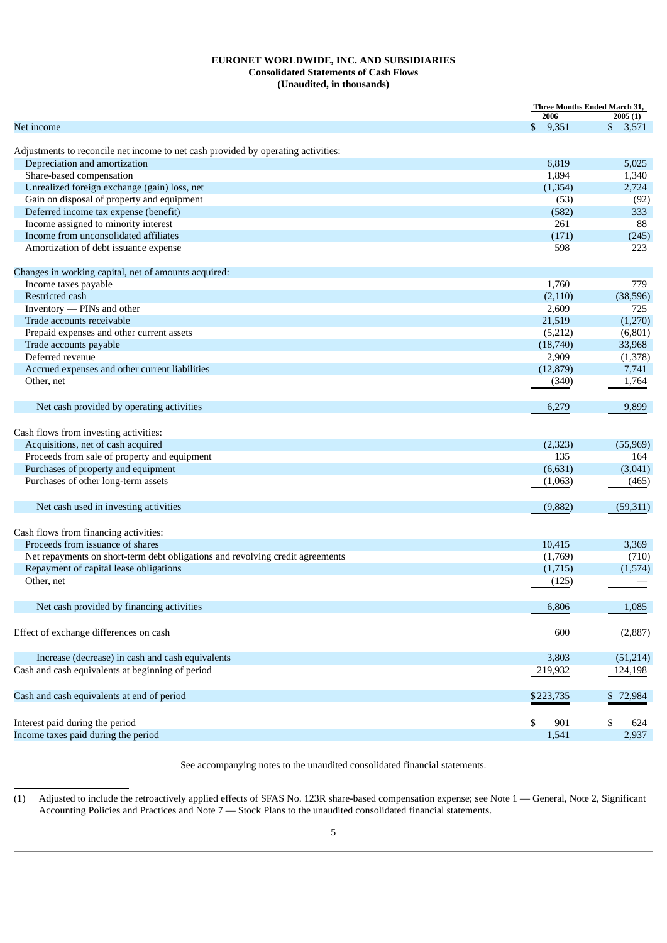# **EURONET WORLDWIDE, INC. AND SUBSIDIARIES Consolidated Statements of Cash Flows (Unaudited, in thousands)**

|                                                                                   | Three Months Ended March 31,<br>2006 | 2005(1)     |
|-----------------------------------------------------------------------------------|--------------------------------------|-------------|
| Net income                                                                        | \$<br>9,351                          | \$<br>3,571 |
|                                                                                   |                                      |             |
| Adjustments to reconcile net income to net cash provided by operating activities: |                                      |             |
| Depreciation and amortization                                                     | 6,819                                | 5,025       |
| Share-based compensation                                                          | 1,894                                | 1,340       |
| Unrealized foreign exchange (gain) loss, net                                      | (1, 354)                             | 2,724       |
| Gain on disposal of property and equipment                                        | (53)                                 | (92)        |
| Deferred income tax expense (benefit)                                             | (582)                                | 333         |
| Income assigned to minority interest                                              | 261                                  | 88          |
| Income from unconsolidated affiliates                                             | (171)                                | (245)       |
| Amortization of debt issuance expense                                             | 598                                  | 223         |
| Changes in working capital, net of amounts acquired:                              |                                      |             |
| Income taxes payable                                                              | 1,760                                | 779         |
| Restricted cash                                                                   | (2,110)                              | (38, 596)   |
| Inventory — PINs and other                                                        | 2,609                                | 725         |
| Trade accounts receivable                                                         | 21,519                               | (1,270)     |
| Prepaid expenses and other current assets                                         | (5,212)                              | (6, 801)    |
| Trade accounts payable                                                            | (18,740)                             | 33,968      |
| Deferred revenue                                                                  | 2,909                                | (1,378)     |
| Accrued expenses and other current liabilities                                    | (12, 879)                            | 7,741       |
| Other, net                                                                        | (340)                                | 1,764       |
| Net cash provided by operating activities                                         | 6,279                                | 9.899       |
|                                                                                   |                                      |             |
| Cash flows from investing activities:                                             |                                      |             |
| Acquisitions, net of cash acquired                                                | (2,323)                              | (55,969)    |
| Proceeds from sale of property and equipment                                      | 135                                  | 164         |
| Purchases of property and equipment                                               | (6, 631)                             | (3,041)     |
| Purchases of other long-term assets                                               | (1,063)                              | (465)       |
| Net cash used in investing activities                                             | (9,882)                              | (59, 311)   |
| Cash flows from financing activities:                                             |                                      |             |
| Proceeds from issuance of shares                                                  | 10,415                               | 3,369       |
| Net repayments on short-term debt obligations and revolving credit agreements     | (1,769)                              | (710)       |
| Repayment of capital lease obligations                                            | (1,715)                              | (1,574)     |
| Other, net                                                                        | (125)                                |             |
| Net cash provided by financing activities                                         | 6,806                                | 1,085       |
|                                                                                   |                                      |             |
| Effect of exchange differences on cash                                            | 600                                  | (2,887)     |
| Increase (decrease) in cash and cash equivalents                                  | 3,803                                | (51,214)    |
| Cash and cash equivalents at beginning of period                                  | 219,932                              | 124,198     |
| Cash and cash equivalents at end of period                                        | \$223,735                            | \$72,984    |
|                                                                                   |                                      |             |
| Interest paid during the period                                                   | \$<br>901                            | \$<br>624   |
| Income taxes paid during the period                                               | 1,541                                | 2,937       |

See accompanying notes to the unaudited consolidated financial statements.

<sup>(1)</sup> Adjusted to include the retroactively applied effects of SFAS No. 123R share-based compensation expense; see Note 1 — General, Note 2, Significant Accounting Policies and Practices and Note 7 — Stock Plans to the unaudited consolidated financial statements.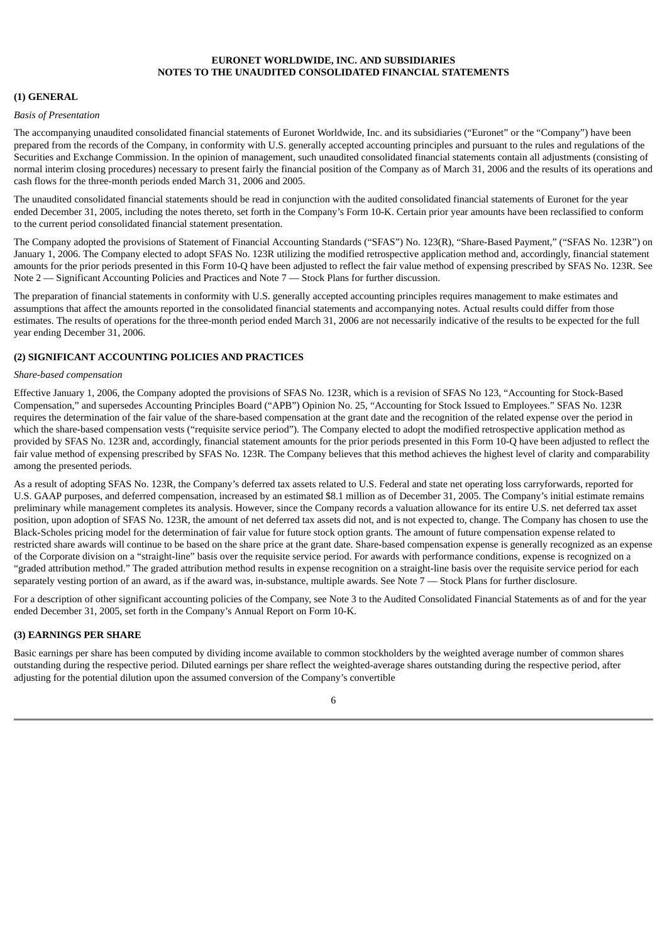# **EURONET WORLDWIDE, INC. AND SUBSIDIARIES NOTES TO THE UNAUDITED CONSOLIDATED FINANCIAL STATEMENTS**

#### **(1) GENERAL**

#### *Basis of Presentation*

The accompanying unaudited consolidated financial statements of Euronet Worldwide, Inc. and its subsidiaries ("Euronet" or the "Company") have been prepared from the records of the Company, in conformity with U.S. generally accepted accounting principles and pursuant to the rules and regulations of the Securities and Exchange Commission. In the opinion of management, such unaudited consolidated financial statements contain all adjustments (consisting of normal interim closing procedures) necessary to present fairly the financial position of the Company as of March 31, 2006 and the results of its operations and cash flows for the three-month periods ended March 31, 2006 and 2005.

The unaudited consolidated financial statements should be read in conjunction with the audited consolidated financial statements of Euronet for the year ended December 31, 2005, including the notes thereto, set forth in the Company's Form 10-K. Certain prior year amounts have been reclassified to conform to the current period consolidated financial statement presentation.

The Company adopted the provisions of Statement of Financial Accounting Standards ("SFAS") No. 123(R), "Share-Based Payment," ("SFAS No. 123R") on January 1, 2006. The Company elected to adopt SFAS No. 123R utilizing the modified retrospective application method and, accordingly, financial statement amounts for the prior periods presented in this Form 10-Q have been adjusted to reflect the fair value method of expensing prescribed by SFAS No. 123R. See Note 2 — Significant Accounting Policies and Practices and Note 7 — Stock Plans for further discussion.

The preparation of financial statements in conformity with U.S. generally accepted accounting principles requires management to make estimates and assumptions that affect the amounts reported in the consolidated financial statements and accompanying notes. Actual results could differ from those estimates. The results of operations for the three-month period ended March 31, 2006 are not necessarily indicative of the results to be expected for the full year ending December 31, 2006.

# **(2) SIGNIFICANT ACCOUNTING POLICIES AND PRACTICES**

# *Share-based compensation*

Effective January 1, 2006, the Company adopted the provisions of SFAS No. 123R, which is a revision of SFAS No 123, "Accounting for Stock-Based Compensation," and supersedes Accounting Principles Board ("APB") Opinion No. 25, "Accounting for Stock Issued to Employees." SFAS No. 123R requires the determination of the fair value of the share-based compensation at the grant date and the recognition of the related expense over the period in which the share-based compensation vests ("requisite service period"). The Company elected to adopt the modified retrospective application method as provided by SFAS No. 123R and, accordingly, financial statement amounts for the prior periods presented in this Form 10-Q have been adjusted to reflect the fair value method of expensing prescribed by SFAS No. 123R. The Company believes that this method achieves the highest level of clarity and comparability among the presented periods.

As a result of adopting SFAS No. 123R, the Company's deferred tax assets related to U.S. Federal and state net operating loss carryforwards, reported for U.S. GAAP purposes, and deferred compensation, increased by an estimated \$8.1 million as of December 31, 2005. The Company's initial estimate remains preliminary while management completes its analysis. However, since the Company records a valuation allowance for its entire U.S. net deferred tax asset position, upon adoption of SFAS No. 123R, the amount of net deferred tax assets did not, and is not expected to, change. The Company has chosen to use the Black-Scholes pricing model for the determination of fair value for future stock option grants. The amount of future compensation expense related to restricted share awards will continue to be based on the share price at the grant date. Share-based compensation expense is generally recognized as an expense of the Corporate division on a "straight-line" basis over the requisite service period. For awards with performance conditions, expense is recognized on a "graded attribution method." The graded attribution method results in expense recognition on a straight-line basis over the requisite service period for each separately vesting portion of an award, as if the award was, in-substance, multiple awards. See Note 7 — Stock Plans for further disclosure.

For a description of other significant accounting policies of the Company, see Note 3 to the Audited Consolidated Financial Statements as of and for the year ended December 31, 2005, set forth in the Company's Annual Report on Form 10-K.

# **(3) EARNINGS PER SHARE**

Basic earnings per share has been computed by dividing income available to common stockholders by the weighted average number of common shares outstanding during the respective period. Diluted earnings per share reflect the weighted-average shares outstanding during the respective period, after adjusting for the potential dilution upon the assumed conversion of the Company's convertible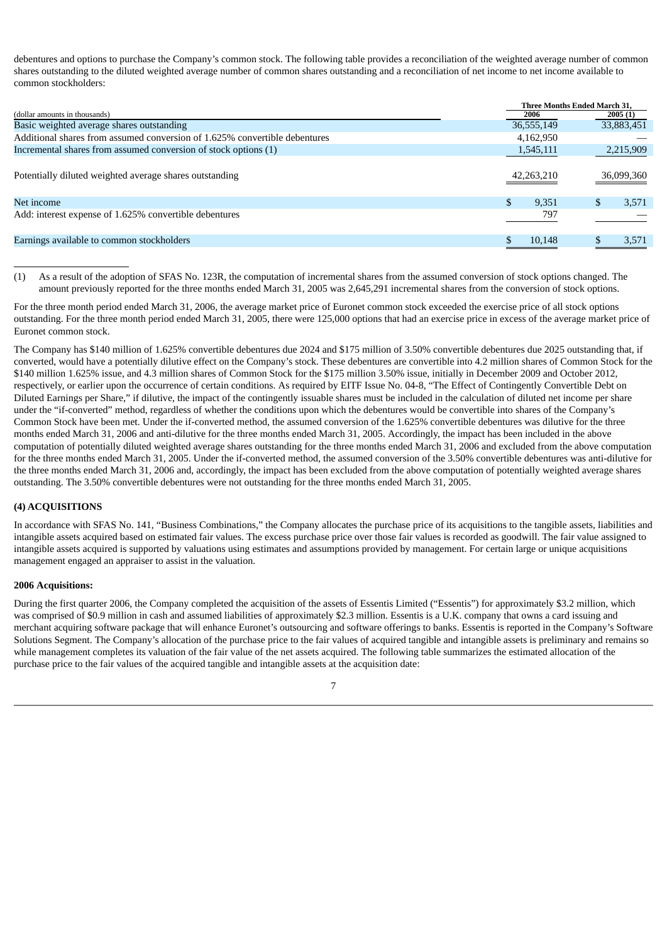debentures and options to purchase the Company's common stock. The following table provides a reconciliation of the weighted average number of common shares outstanding to the diluted weighted average number of common shares outstanding and a reconciliation of net income to net income available to common stockholders:

|                                                                            |            | Three Months Ended March 31, |
|----------------------------------------------------------------------------|------------|------------------------------|
| (dollar amounts in thousands)                                              | 2006       | 2005(1)                      |
| Basic weighted average shares outstanding                                  | 36,555,149 | 33,883,451                   |
| Additional shares from assumed conversion of 1.625% convertible debentures | 4,162,950  |                              |
| Incremental shares from assumed conversion of stock options (1)            | 1,545,111  | 2,215,909                    |
| Potentially diluted weighted average shares outstanding                    | 42,263,210 | 36,099,360                   |
| Net income                                                                 | 9.351      | 3,571<br>S                   |
| Add: interest expense of 1.625% convertible debentures                     | 797        |                              |
| Earnings available to common stockholders                                  | 10,148     | 3,571                        |

(1) As a result of the adoption of SFAS No. 123R, the computation of incremental shares from the assumed conversion of stock options changed. The amount previously reported for the three months ended March 31, 2005 was 2,645,291 incremental shares from the conversion of stock options.

For the three month period ended March 31, 2006, the average market price of Euronet common stock exceeded the exercise price of all stock options outstanding. For the three month period ended March 31, 2005, there were 125,000 options that had an exercise price in excess of the average market price of Euronet common stock.

The Company has \$140 million of 1.625% convertible debentures due 2024 and \$175 million of 3.50% convertible debentures due 2025 outstanding that, if converted, would have a potentially dilutive effect on the Company's stock. These debentures are convertible into 4.2 million shares of Common Stock for the \$140 million 1.625% issue, and 4.3 million shares of Common Stock for the \$175 million 3.50% issue, initially in December 2009 and October 2012, respectively, or earlier upon the occurrence of certain conditions. As required by EITF Issue No. 04-8, "The Effect of Contingently Convertible Debt on Diluted Earnings per Share," if dilutive, the impact of the contingently issuable shares must be included in the calculation of diluted net income per share under the "if-converted" method, regardless of whether the conditions upon which the debentures would be convertible into shares of the Company's Common Stock have been met. Under the if-converted method, the assumed conversion of the 1.625% convertible debentures was dilutive for the three months ended March 31, 2006 and anti-dilutive for the three months ended March 31, 2005. Accordingly, the impact has been included in the above computation of potentially diluted weighted average shares outstanding for the three months ended March 31, 2006 and excluded from the above computation for the three months ended March 31, 2005. Under the if-converted method, the assumed conversion of the 3.50% convertible debentures was anti-dilutive for the three months ended March 31, 2006 and, accordingly, the impact has been excluded from the above computation of potentially weighted average shares outstanding. The 3.50% convertible debentures were not outstanding for the three months ended March 31, 2005.

# **(4) ACQUISITIONS**

In accordance with SFAS No. 141, "Business Combinations," the Company allocates the purchase price of its acquisitions to the tangible assets, liabilities and intangible assets acquired based on estimated fair values. The excess purchase price over those fair values is recorded as goodwill. The fair value assigned to intangible assets acquired is supported by valuations using estimates and assumptions provided by management. For certain large or unique acquisitions management engaged an appraiser to assist in the valuation.

# **2006 Acquisitions:**

During the first quarter 2006, the Company completed the acquisition of the assets of Essentis Limited ("Essentis") for approximately \$3.2 million, which was comprised of \$0.9 million in cash and assumed liabilities of approximately \$2.3 million. Essentis is a U.K. company that owns a card issuing and merchant acquiring software package that will enhance Euronet's outsourcing and software offerings to banks. Essentis is reported in the Company's Software Solutions Segment. The Company's allocation of the purchase price to the fair values of acquired tangible and intangible assets is preliminary and remains so while management completes its valuation of the fair value of the net assets acquired. The following table summarizes the estimated allocation of the purchase price to the fair values of the acquired tangible and intangible assets at the acquisition date:

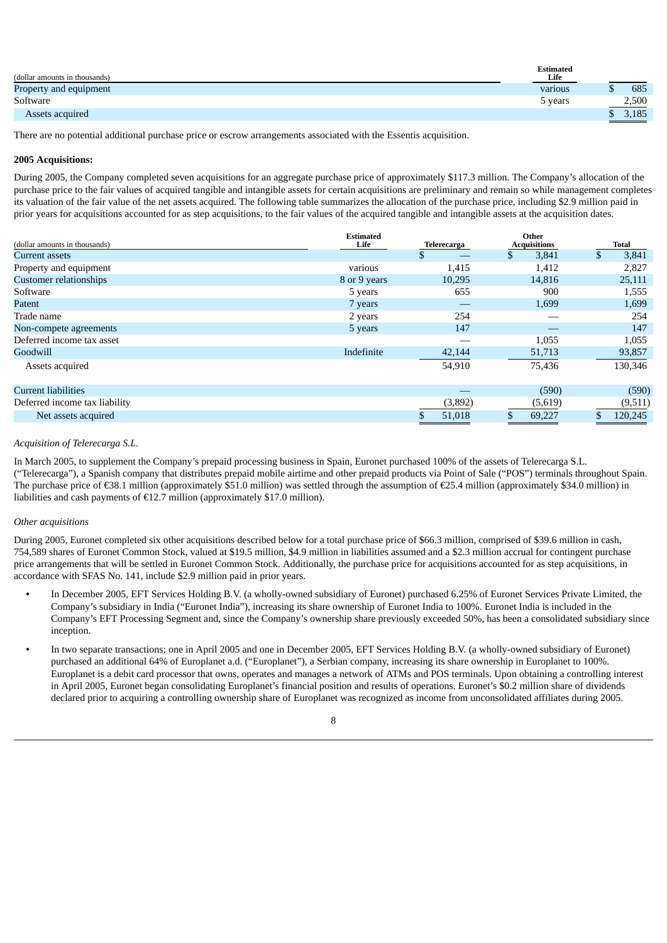| (dollar amounts in thousands) | Estimated<br>Life |       |
|-------------------------------|-------------------|-------|
| Property and equipment        | various           | 685   |
| Software                      | 5 years           | 2,500 |
| Assets acquired               |                   | 3,185 |

There are no potential additional purchase price or escrow arrangements associated with the Essentis acquisition.

## **2005 Acquisitions:**

During 2005, the Company completed seven acquisitions for an aggregate purchase price of approximately \$117.3 million. The Company's allocation of the purchase price to the fair values of acquired tangible and intangible assets for certain acquisitions are preliminary and remain so while management completes its valuation of the fair value of the net assets acquired. The following table summarizes the allocation of the purchase price, including \$2.9 million paid in prior years for acquisitions accounted for as step acquisitions, to the fair values of the acquired tangible and intangible assets at the acquisition dates.

|                               | <b>Estimated</b><br>Other |             |                     |             |  |
|-------------------------------|---------------------------|-------------|---------------------|-------------|--|
| (dollar amounts in thousands) | Life                      | Telerecarga | <b>Acquisitions</b> | Total       |  |
| Current assets                |                           |             | \$<br>3,841         | 3,841<br>\$ |  |
| Property and equipment        | various                   | 1,415       | 1,412               | 2,827       |  |
| <b>Customer relationships</b> | 8 or 9 years              | 10,295      | 14,816              | 25,111      |  |
| Software                      | 5 years                   | 655         | 900                 | 1,555       |  |
| Patent                        | 7 years                   |             | 1,699               | 1,699       |  |
| Trade name                    | 2 years                   | 254         |                     | 254         |  |
| Non-compete agreements        | 5 years                   | 147         |                     | 147         |  |
| Deferred income tax asset     |                           |             | 1,055               | 1,055       |  |
| Goodwill                      | Indefinite                | 42,144      | 51,713              | 93,857      |  |
| Assets acquired               |                           | 54,910      | 75,436              | 130,346     |  |
| <b>Current liabilities</b>    |                           |             | (590)               | (590)       |  |
| Deferred income tax liability |                           | (3,892)     | (5,619)             | (9,511)     |  |
| Net assets acquired           |                           | 51,018      | 69,227              | 120,245     |  |

#### *Acquisition of Telerecarga S.L.*

In March 2005, to supplement the Company's prepaid processing business in Spain, Euronet purchased 100% of the assets of Telerecarga S.L. ("Telerecarga"), a Spanish company that distributes prepaid mobile airtime and other prepaid products via Point of Sale ("POS") terminals throughout Spain. The purchase price of €38.1 million (approximately \$51.0 million) was settled through the assumption of €25.4 million (approximately \$34.0 million) in liabilities and cash payments of €12.7 million (approximately \$17.0 million).

#### *Other acquisitions*

During 2005, Euronet completed six other acquisitions described below for a total purchase price of \$66.3 million, comprised of \$39.6 million in cash, 754,589 shares of Euronet Common Stock, valued at \$19.5 million, \$4.9 million in liabilities assumed and a \$2.3 million accrual for contingent purchase price arrangements that will be settled in Euronet Common Stock. Additionally, the purchase price for acquisitions accounted for as step acquisitions, in accordance with SFAS No. 141, include \$2.9 million paid in prior years.

- **•** In December 2005, EFT Services Holding B.V. (a wholly-owned subsidiary of Euronet) purchased 6.25% of Euronet Services Private Limited, the Company's subsidiary in India ("Euronet India"), increasing its share ownership of Euronet India to 100%. Euronet India is included in the Company's EFT Processing Segment and, since the Company's ownership share previously exceeded 50%, has been a consolidated subsidiary since inception.
- **•** In two separate transactions; one in April 2005 and one in December 2005, EFT Services Holding B.V. (a wholly-owned subsidiary of Euronet) purchased an additional 64% of Europlanet a.d. ("Europlanet"), a Serbian company, increasing its share ownership in Europlanet to 100%. Europlanet is a debit card processor that owns, operates and manages a network of ATMs and POS terminals. Upon obtaining a controlling interest in April 2005, Euronet began consolidating Europlanet's financial position and results of operations. Euronet's \$0.2 million share of dividends declared prior to acquiring a controlling ownership share of Europlanet was recognized as income from unconsolidated affiliates during 2005.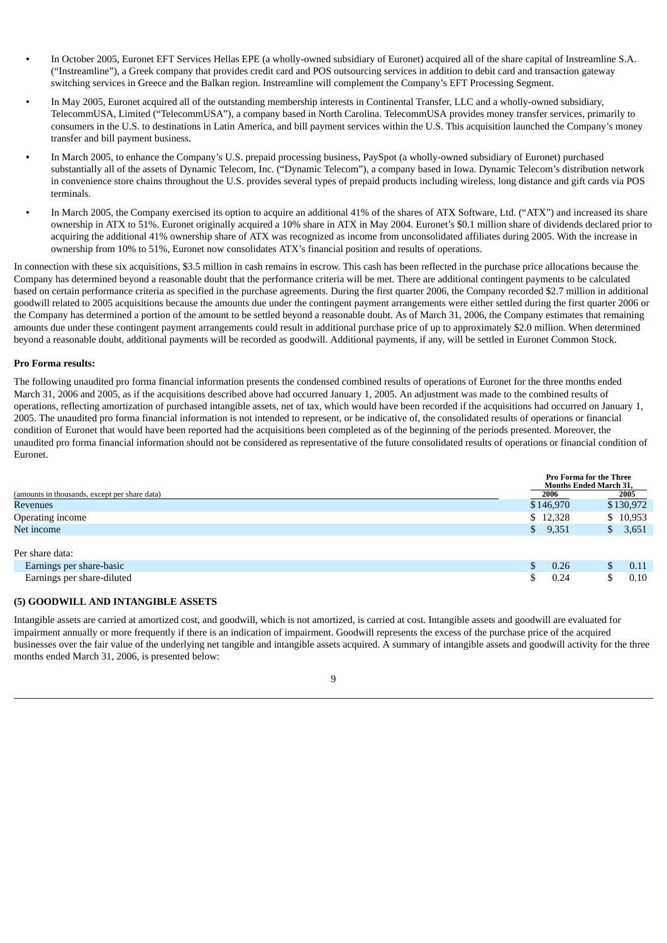- **•** In October 2005, Euronet EFT Services Hellas EPE (a wholly-owned subsidiary of Euronet) acquired all of the share capital of Instreamline S.A. ("Instreamline"), a Greek company that provides credit card and POS outsourcing services in addition to debit card and transaction gateway switching services in Greece and the Balkan region. Instreamline will complement the Company's EFT Processing Segment.
- **•** In May 2005, Euronet acquired all of the outstanding membership interests in Continental Transfer, LLC and a wholly-owned subsidiary, TelecommUSA, Limited ("TelecommUSA"), a company based in North Carolina. TelecommUSA provides money transfer services, primarily to consumers in the U.S. to destinations in Latin America, and bill payment services within the U.S. This acquisition launched the Company's money transfer and bill payment business.
- **•** In March 2005, to enhance the Company's U.S. prepaid processing business, PaySpot (a wholly-owned subsidiary of Euronet) purchased substantially all of the assets of Dynamic Telecom, Inc. ("Dynamic Telecom"), a company based in Iowa. Dynamic Telecom's distribution network in convenience store chains throughout the U.S. provides several types of prepaid products including wireless, long distance and gift cards via POS terminals.
- **•** In March 2005, the Company exercised its option to acquire an additional 41% of the shares of ATX Software, Ltd. ("ATX") and increased its share ownership in ATX to 51%. Euronet originally acquired a 10% share in ATX in May 2004. Euronet's \$0.1 million share of dividends declared prior to acquiring the additional 41% ownership share of ATX was recognized as income from unconsolidated affiliates during 2005. With the increase in ownership from 10% to 51%, Euronet now consolidates ATX's financial position and results of operations.

In connection with these six acquisitions, \$3.5 million in cash remains in escrow. This cash has been reflected in the purchase price allocations because the Company has determined beyond a reasonable doubt that the performance criteria will be met. There are additional contingent payments to be calculated based on certain performance criteria as specified in the purchase agreements. During the first quarter 2006, the Company recorded \$2.7 million in additional goodwill related to 2005 acquisitions because the amounts due under the contingent payment arrangements were either settled during the first quarter 2006 or the Company has determined a portion of the amount to be settled beyond a reasonable doubt. As of March 31, 2006, the Company estimates that remaining amounts due under these contingent payment arrangements could result in additional purchase price of up to approximately \$2.0 million. When determined beyond a reasonable doubt, additional payments will be recorded as goodwill. Additional payments, if any, will be settled in Euronet Common Stock.

# **Pro Forma results:**

The following unaudited pro forma financial information presents the condensed combined results of operations of Euronet for the three months ended March 31, 2006 and 2005, as if the acquisitions described above had occurred January 1, 2005. An adjustment was made to the combined results of operations, reflecting amortization of purchased intangible assets, net of tax, which would have been recorded if the acquisitions had occurred on January 1, 2005. The unaudited pro forma financial information is not intended to represent, or be indicative of, the consolidated results of operations or financial condition of Euronet that would have been reported had the acquisitions been completed as of the beginning of the periods presented. Moreover, the unaudited pro forma financial information should not be considered as representative of the future consolidated results of operations or financial condition of Euronet.

|                                               |           | <b>Pro Forma for the Three</b><br><b>Months Ended March 31,</b> |  |  |
|-----------------------------------------------|-----------|-----------------------------------------------------------------|--|--|
| (amounts in thousands, except per share data) | 2006      | 2005                                                            |  |  |
| <b>Revenues</b>                               | \$146,970 | \$130,972                                                       |  |  |
| Operating income                              | \$12,328  | \$10,953                                                        |  |  |
| Net income                                    | \$9,351   | \$3,651                                                         |  |  |
| Per share data:                               |           |                                                                 |  |  |
|                                               |           |                                                                 |  |  |
| Earnings per share-basic                      | 0.26      | 0.11                                                            |  |  |
| Earnings per share-diluted                    | 0.24      | 0.10                                                            |  |  |

# **(5) GOODWILL AND INTANGIBLE ASSETS**

Intangible assets are carried at amortized cost, and goodwill, which is not amortized, is carried at cost. Intangible assets and goodwill are evaluated for impairment annually or more frequently if there is an indication of impairment. Goodwill represents the excess of the purchase price of the acquired businesses over the fair value of the underlying net tangible and intangible assets acquired. A summary of intangible assets and goodwill activity for the three months ended March 31, 2006, is presented below: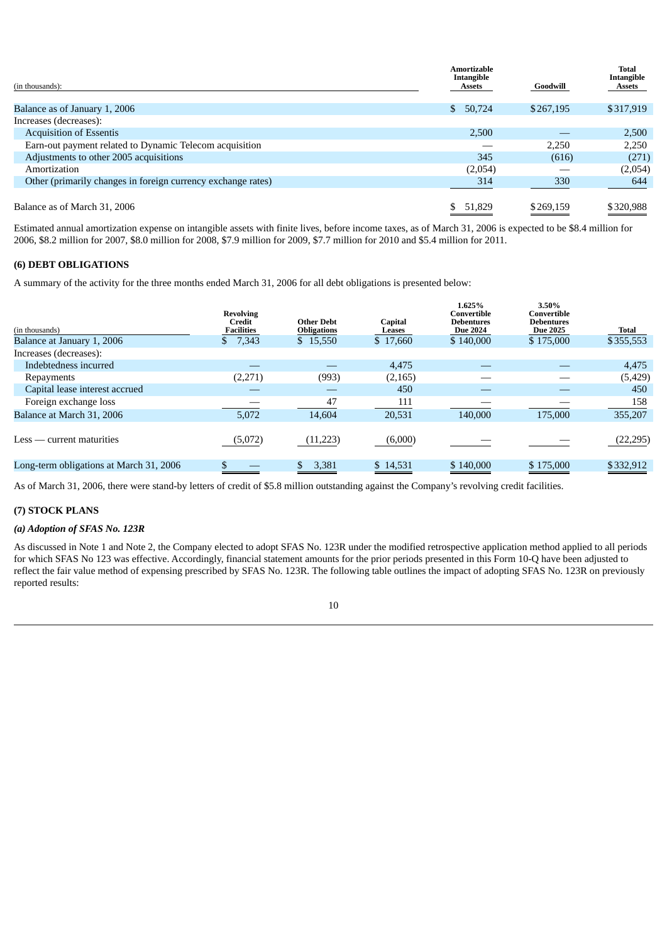| (in thousands):                                              | <b>Amortizable</b><br>Intangible<br>Assets | Goodwill  | Total<br>Intangible<br><b>Assets</b> |
|--------------------------------------------------------------|--------------------------------------------|-----------|--------------------------------------|
| Balance as of January 1, 2006                                | \$50,724                                   | \$267,195 | \$317,919                            |
| Increases (decreases):                                       |                                            |           |                                      |
| <b>Acquisition of Essentis</b>                               | 2,500                                      |           | 2,500                                |
| Earn-out payment related to Dynamic Telecom acquisition      |                                            | 2,250     | 2,250                                |
| Adjustments to other 2005 acquisitions                       | 345                                        | (616)     | (271)                                |
| Amortization                                                 | (2,054)                                    |           | (2,054)                              |
| Other (primarily changes in foreign currency exchange rates) | 314                                        | 330       | 644                                  |
| Balance as of March 31, 2006                                 | \$<br>51,829                               | \$269,159 | \$320,988                            |

Estimated annual amortization expense on intangible assets with finite lives, before income taxes, as of March 31, 2006 is expected to be \$8.4 million for 2006, \$8.2 million for 2007, \$8.0 million for 2008, \$7.9 million for 2009, \$7.7 million for 2010 and \$5.4 million for 2011.

# **(6) DEBT OBLIGATIONS**

A summary of the activity for the three months ended March 31, 2006 for all debt obligations is presented below:

| (in thousands)                          | <b>Revolving</b><br>Credit<br><b>Facilities</b> | Other Debt<br><b>Obligations</b> | Capital<br>Leases | 1.625%<br>Convertible<br><b>Debentures</b><br><b>Due 2024</b> | 3.50%<br>Convertible<br><b>Debentures</b><br><b>Due 2025</b> | <b>Total</b> |
|-----------------------------------------|-------------------------------------------------|----------------------------------|-------------------|---------------------------------------------------------------|--------------------------------------------------------------|--------------|
| Balance at January 1, 2006              | 7,343                                           | \$15,550                         | \$17,660          | \$140,000                                                     | \$175,000                                                    | \$355,553    |
|                                         |                                                 |                                  |                   |                                                               |                                                              |              |
| Increases (decreases):                  |                                                 |                                  |                   |                                                               |                                                              |              |
| Indebtedness incurred                   |                                                 |                                  | 4,475             |                                                               |                                                              | 4,475        |
| Repayments                              | (2,271)                                         | (993)                            | (2, 165)          |                                                               |                                                              | (5, 429)     |
| Capital lease interest accrued          | __                                              |                                  | 450               |                                                               |                                                              | 450          |
| Foreign exchange loss                   |                                                 | 47                               | 111               |                                                               |                                                              | 158          |
| Balance at March 31, 2006               | 5,072                                           | 14.604                           | 20,531            | 140,000                                                       | 175,000                                                      | 355,207      |
| $Less$ — current maturities             | (5,072)                                         | (11,223)                         | (6,000)           |                                                               |                                                              | (22, 295)    |
| Long-term obligations at March 31, 2006 |                                                 | 3,381                            | \$14,531          | \$140,000                                                     | \$175,000                                                    | \$332,912    |
|                                         |                                                 |                                  |                   |                                                               |                                                              |              |

As of March 31, 2006, there were stand-by letters of credit of \$5.8 million outstanding against the Company's revolving credit facilities.

# **(7) STOCK PLANS**

# *(a) Adoption of SFAS No. 123R*

As discussed in Note 1 and Note 2, the Company elected to adopt SFAS No. 123R under the modified retrospective application method applied to all periods for which SFAS No 123 was effective. Accordingly, financial statement amounts for the prior periods presented in this Form 10-Q have been adjusted to reflect the fair value method of expensing prescribed by SFAS No. 123R. The following table outlines the impact of adopting SFAS No. 123R on previously reported results: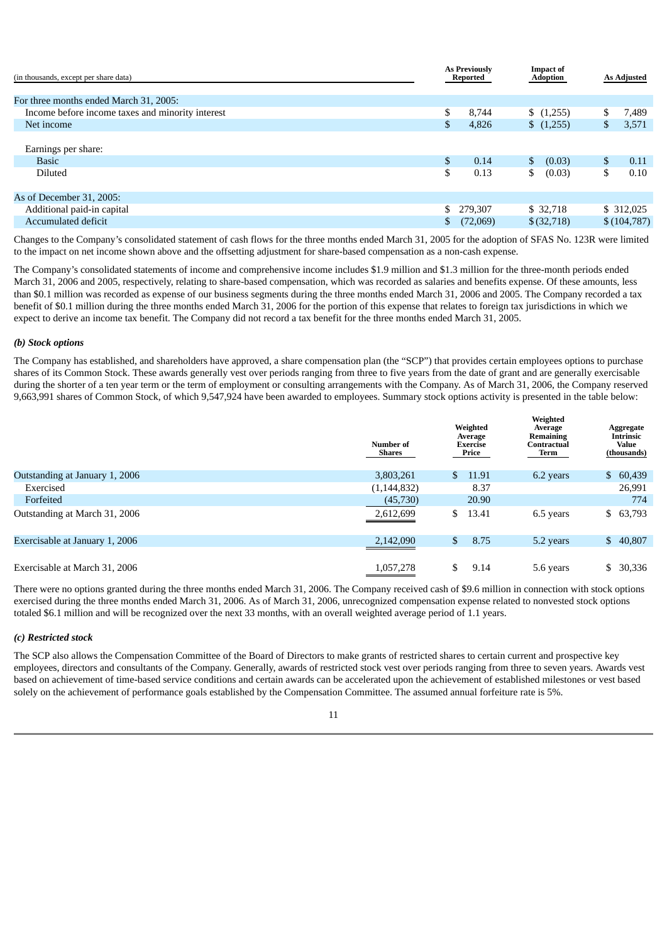| (in thousands, except per share data)            | <b>As Previously</b><br>Reported |            | <b>Impact of</b><br><b>Adoption</b> |  | <b>As Adjusted</b> |             |
|--------------------------------------------------|----------------------------------|------------|-------------------------------------|--|--------------------|-------------|
| For three months ended March 31, 2005:           |                                  |            |                                     |  |                    |             |
| Income before income taxes and minority interest | \$                               | 8,744      | (1,255)                             |  | \$                 | 7,489       |
| Net income                                       | \$                               | 4,826      | (1,255)                             |  | \$                 | 3,571       |
| Earnings per share:<br><b>Basic</b>              | \$                               | 0.14       | \$<br>(0.03)                        |  | \$                 | 0.11        |
| Diluted                                          | \$                               | 0.13       | \$<br>(0.03)                        |  | \$                 | 0.10        |
| As of December 31, 2005:                         |                                  |            |                                     |  |                    |             |
| Additional paid-in capital                       |                                  | \$ 279,307 | \$32,718                            |  |                    | \$ 312,025  |
| Accumulated deficit                              |                                  | (72,069)   | \$(32,718)                          |  |                    | \$(104,787) |

Changes to the Company's consolidated statement of cash flows for the three months ended March 31, 2005 for the adoption of SFAS No. 123R were limited to the impact on net income shown above and the offsetting adjustment for share-based compensation as a non-cash expense.

The Company's consolidated statements of income and comprehensive income includes \$1.9 million and \$1.3 million for the three-month periods ended March 31, 2006 and 2005, respectively, relating to share-based compensation, which was recorded as salaries and benefits expense. Of these amounts, less than \$0.1 million was recorded as expense of our business segments during the three months ended March 31, 2006 and 2005. The Company recorded a tax benefit of \$0.1 million during the three months ended March 31, 2006 for the portion of this expense that relates to foreign tax jurisdictions in which we expect to derive an income tax benefit. The Company did not record a tax benefit for the three months ended March 31, 2005.

# *(b) Stock options*

The Company has established, and shareholders have approved, a share compensation plan (the "SCP") that provides certain employees options to purchase shares of its Common Stock. These awards generally vest over periods ranging from three to five years from the date of grant and are generally exercisable during the shorter of a ten year term or the term of employment or consulting arrangements with the Company. As of March 31, 2006, the Company reserved 9,663,991 shares of Common Stock, of which 9,547,924 have been awarded to employees. Summary stock options activity is presented in the table below:

|                                | <b>Number of</b><br><b>Shares</b> | Weighted<br>Average<br>Exercise<br>Price | Weighted<br>Average<br>Remaining<br>Contractual<br>Term | Aggregate<br><b>Intrinsic</b><br>Value<br>(thousands) |
|--------------------------------|-----------------------------------|------------------------------------------|---------------------------------------------------------|-------------------------------------------------------|
| Outstanding at January 1, 2006 | 3,803,261                         | $\mathbb{S}^-$<br>11.91                  | 6.2 years                                               | \$60,439                                              |
| Exercised                      | (1, 144, 832)                     | 8.37                                     |                                                         | 26,991                                                |
| Forfeited                      | (45,730)                          | 20.90                                    |                                                         | 774                                                   |
| Outstanding at March 31, 2006  | 2,612,699                         | \$<br>13.41                              | 6.5 years                                               | \$63,793                                              |
| Exercisable at January 1, 2006 | 2,142,090                         | \$<br>8.75                               | 5.2 years                                               | \$40,807                                              |
| Exercisable at March 31, 2006  | 1,057,278                         | \$<br>9.14                               | 5.6 years                                               | \$30,336                                              |

There were no options granted during the three months ended March 31, 2006. The Company received cash of \$9.6 million in connection with stock options exercised during the three months ended March 31, 2006. As of March 31, 2006, unrecognized compensation expense related to nonvested stock options totaled \$6.1 million and will be recognized over the next 33 months, with an overall weighted average period of 1.1 years.

# *(c) Restricted stock*

The SCP also allows the Compensation Committee of the Board of Directors to make grants of restricted shares to certain current and prospective key employees, directors and consultants of the Company. Generally, awards of restricted stock vest over periods ranging from three to seven years. Awards vest based on achievement of time-based service conditions and certain awards can be accelerated upon the achievement of established milestones or vest based solely on the achievement of performance goals established by the Compensation Committee. The assumed annual forfeiture rate is 5%.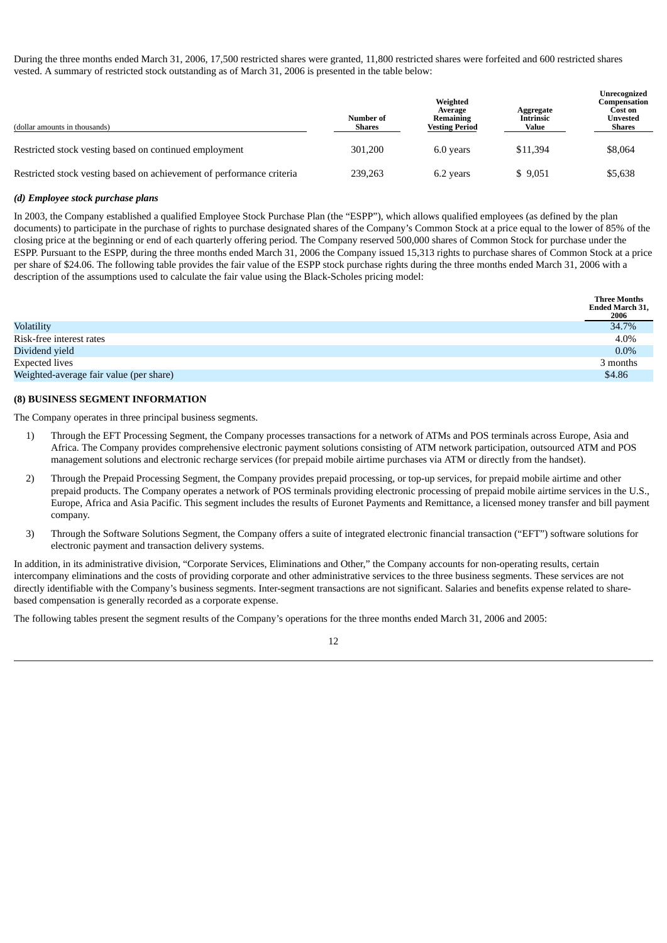During the three months ended March 31, 2006, 17,500 restricted shares were granted, 11,800 restricted shares were forfeited and 600 restricted shares vested. A summary of restricted stock outstanding as of March 31, 2006 is presented in the table below:

| (dollar amounts in thousands)                                         | Number of<br>Shares | Weighted<br>Average<br>Remaining<br><b>Vesting Period</b> | Aggregate<br><b>Intrinsic</b><br>Value | Unrecognized<br>Compensation<br>Cost on<br>Unvested<br>Shares |
|-----------------------------------------------------------------------|---------------------|-----------------------------------------------------------|----------------------------------------|---------------------------------------------------------------|
| Restricted stock vesting based on continued employment                | 301.200             | 6.0 years                                                 | \$11,394                               | \$8,064                                                       |
| Restricted stock vesting based on achievement of performance criteria | 239.263             | 6.2 years                                                 | \$9.051                                | \$5,638                                                       |

# *(d) Employee stock purchase plans*

In 2003, the Company established a qualified Employee Stock Purchase Plan (the "ESPP"), which allows qualified employees (as defined by the plan documents) to participate in the purchase of rights to purchase designated shares of the Company's Common Stock at a price equal to the lower of 85% of the closing price at the beginning or end of each quarterly offering period. The Company reserved 500,000 shares of Common Stock for purchase under the ESPP. Pursuant to the ESPP, during the three months ended March 31, 2006 the Company issued 15,313 rights to purchase shares of Common Stock at a price per share of \$24.06. The following table provides the fair value of the ESPP stock purchase rights during the three months ended March 31, 2006 with a description of the assumptions used to calculate the fair value using the Black-Scholes pricing model:

|                                         | <b>Three Months</b><br><b>Ended March 31,</b><br>2006 |
|-----------------------------------------|-------------------------------------------------------|
| Volatility                              | 34.7%                                                 |
| Risk-free interest rates                | 4.0%                                                  |
| Dividend yield                          | $0.0\%$                                               |
| Expected lives                          | 3 months                                              |
| Weighted-average fair value (per share) | \$4.86                                                |

# **(8) BUSINESS SEGMENT INFORMATION**

The Company operates in three principal business segments.

- 1) Through the EFT Processing Segment, the Company processes transactions for a network of ATMs and POS terminals across Europe, Asia and Africa. The Company provides comprehensive electronic payment solutions consisting of ATM network participation, outsourced ATM and POS management solutions and electronic recharge services (for prepaid mobile airtime purchases via ATM or directly from the handset).
- 2) Through the Prepaid Processing Segment, the Company provides prepaid processing, or top-up services, for prepaid mobile airtime and other prepaid products. The Company operates a network of POS terminals providing electronic processing of prepaid mobile airtime services in the U.S., Europe, Africa and Asia Pacific. This segment includes the results of Euronet Payments and Remittance, a licensed money transfer and bill payment company.
- 3) Through the Software Solutions Segment, the Company offers a suite of integrated electronic financial transaction ("EFT") software solutions for electronic payment and transaction delivery systems.

In addition, in its administrative division, "Corporate Services, Eliminations and Other," the Company accounts for non-operating results, certain intercompany eliminations and the costs of providing corporate and other administrative services to the three business segments. These services are not directly identifiable with the Company's business segments. Inter-segment transactions are not significant. Salaries and benefits expense related to sharebased compensation is generally recorded as a corporate expense.

The following tables present the segment results of the Company's operations for the three months ended March 31, 2006 and 2005: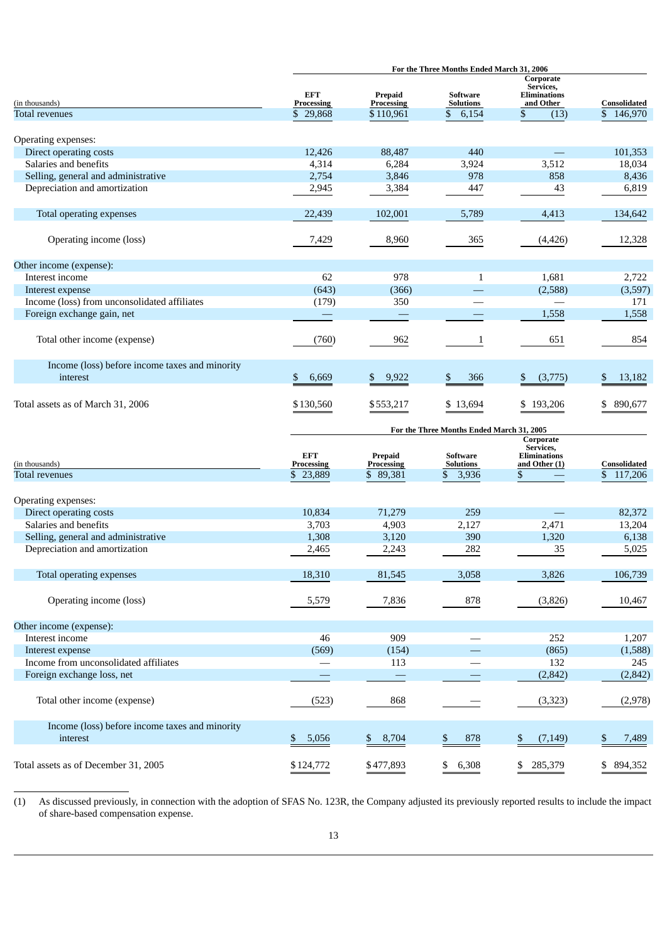|                                                |                          |                       | For the Three Months Ended March 31, 2006 |                                                            |                     |
|------------------------------------------------|--------------------------|-----------------------|-------------------------------------------|------------------------------------------------------------|---------------------|
| (in thousands)                                 | <b>EFT</b><br>Processing | Prepaid<br>Processing | <b>Software</b><br><b>Solutions</b>       | Corporate<br>Services,<br><b>Eliminations</b><br>and Other | <b>Consolidated</b> |
| Total revenues                                 | \$29,868                 | \$110,961             | \$6,154                                   | \$<br>(13)                                                 | \$146,970           |
| Operating expenses:                            |                          |                       |                                           |                                                            |                     |
| Direct operating costs                         | 12,426                   | 88,487                | 440                                       |                                                            | 101,353             |
| Salaries and benefits                          | 4,314                    | 6,284                 | 3,924                                     | 3,512                                                      | 18,034              |
| Selling, general and administrative            | 2,754                    | 3,846                 | 978                                       | 858                                                        | 8,436               |
| Depreciation and amortization                  | 2,945                    | 3,384                 | 447                                       | 43                                                         | 6,819               |
|                                                |                          |                       |                                           |                                                            |                     |
| Total operating expenses                       | 22,439                   | 102,001               | 5,789                                     | 4,413                                                      | 134,642             |
| Operating income (loss)                        | 7,429                    | 8,960                 | 365                                       | (4, 426)                                                   | 12,328              |
| Other income (expense):                        |                          |                       |                                           |                                                            |                     |
| Interest income                                | 62                       | 978                   | $\mathbf{1}$                              | 1,681                                                      | 2,722               |
| Interest expense                               | (643)                    | (366)                 |                                           | (2,588)                                                    | (3,597)             |
| Income (loss) from unconsolidated affiliates   | (179)                    | 350                   |                                           |                                                            | 171                 |
| Foreign exchange gain, net                     |                          |                       |                                           | 1,558                                                      | 1,558               |
| Total other income (expense)                   | (760)                    | 962                   |                                           | 651                                                        | 854                 |
| Income (loss) before income taxes and minority |                          |                       |                                           |                                                            |                     |
| interest                                       | \$<br>6,669              | \$<br>9,922           | \$<br>366                                 | \$<br>(3,775)                                              | 13,182<br>\$        |
| Total assets as of March 31, 2006              | \$130,560                | \$553,217             | \$13,694                                  | 193,206                                                    | 890,677<br>\$       |
|                                                |                          |                       | For the Three Months Ended March 31, 2005 |                                                            |                     |

| (in thousands)                                 | <b>EFT</b><br>Processing | Prepaid<br>Processing | <b>Software</b><br><b>Solutions</b> | Corporate<br>Services,<br><b>Eliminations</b><br>and Other (1) | Consolidated |
|------------------------------------------------|--------------------------|-----------------------|-------------------------------------|----------------------------------------------------------------|--------------|
| <b>Total revenues</b>                          | \$23,889                 | 89,381<br>\$          | \$<br>3,936                         | \$                                                             | \$117,206    |
| Operating expenses:                            |                          |                       |                                     |                                                                |              |
| Direct operating costs                         | 10,834                   | 71,279                | 259                                 |                                                                | 82,372       |
| Salaries and benefits                          | 3,703                    | 4,903                 | 2,127                               | 2,471                                                          | 13,204       |
| Selling, general and administrative            | 1,308                    | 3,120                 | 390                                 | 1,320                                                          | 6,138        |
| Depreciation and amortization                  | 2,465                    | 2,243                 | 282                                 | 35                                                             | 5,025        |
|                                                |                          |                       |                                     |                                                                |              |
| Total operating expenses                       | 18,310                   | 81,545                | 3,058                               | 3,826                                                          | 106,739      |
| Operating income (loss)                        | 5,579                    | 7,836                 | 878                                 | (3,826)                                                        | 10,467       |
| Other income (expense):                        |                          |                       |                                     |                                                                |              |
| Interest income                                | 46                       | 909                   |                                     | 252                                                            | 1,207        |
| Interest expense                               | (569)                    | (154)                 |                                     | (865)                                                          | (1,588)      |
| Income from unconsolidated affiliates          |                          | 113                   |                                     | 132                                                            | 245          |
| Foreign exchange loss, net                     |                          |                       |                                     | (2, 842)                                                       | (2, 842)     |
| Total other income (expense)                   | (523)                    | 868                   |                                     | (3, 323)                                                       | (2,978)      |
| Income (loss) before income taxes and minority |                          |                       |                                     |                                                                |              |
| interest                                       | 5,056<br>\$              | 8,704                 | 878<br>\$                           | \$<br>(7, 149)                                                 | 7,489        |
|                                                |                          |                       |                                     |                                                                |              |
| Total assets as of December 31, 2005           | \$124,772                | \$477,893             | 6,308<br>\$                         | 285,379                                                        | 894,352      |

(1) As discussed previously, in connection with the adoption of SFAS No. 123R, the Company adjusted its previously reported results to include the impact of share-based compensation expense.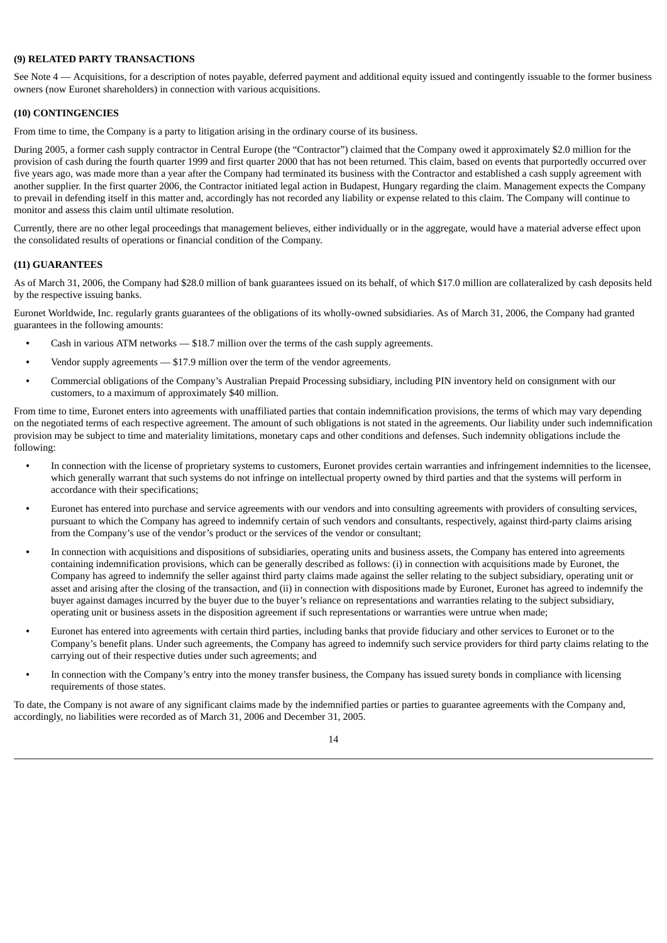# **(9) RELATED PARTY TRANSACTIONS**

See Note 4 — Acquisitions, for a description of notes payable, deferred payment and additional equity issued and contingently issuable to the former business owners (now Euronet shareholders) in connection with various acquisitions.

# **(10) CONTINGENCIES**

From time to time, the Company is a party to litigation arising in the ordinary course of its business.

During 2005, a former cash supply contractor in Central Europe (the "Contractor") claimed that the Company owed it approximately \$2.0 million for the provision of cash during the fourth quarter 1999 and first quarter 2000 that has not been returned. This claim, based on events that purportedly occurred over five years ago, was made more than a year after the Company had terminated its business with the Contractor and established a cash supply agreement with another supplier. In the first quarter 2006, the Contractor initiated legal action in Budapest, Hungary regarding the claim. Management expects the Company to prevail in defending itself in this matter and, accordingly has not recorded any liability or expense related to this claim. The Company will continue to monitor and assess this claim until ultimate resolution.

Currently, there are no other legal proceedings that management believes, either individually or in the aggregate, would have a material adverse effect upon the consolidated results of operations or financial condition of the Company.

# **(11) GUARANTEES**

As of March 31, 2006, the Company had \$28.0 million of bank guarantees issued on its behalf, of which \$17.0 million are collateralized by cash deposits held by the respective issuing banks.

Euronet Worldwide, Inc. regularly grants guarantees of the obligations of its wholly-owned subsidiaries. As of March 31, 2006, the Company had granted guarantees in the following amounts:

- **•** Cash in various ATM networks \$18.7 million over the terms of the cash supply agreements.
- **•** Vendor supply agreements \$17.9 million over the term of the vendor agreements.
- **•** Commercial obligations of the Company's Australian Prepaid Processing subsidiary, including PIN inventory held on consignment with our customers, to a maximum of approximately \$40 million.

From time to time, Euronet enters into agreements with unaffiliated parties that contain indemnification provisions, the terms of which may vary depending on the negotiated terms of each respective agreement. The amount of such obligations is not stated in the agreements. Our liability under such indemnification provision may be subject to time and materiality limitations, monetary caps and other conditions and defenses. Such indemnity obligations include the following:

- **•** In connection with the license of proprietary systems to customers, Euronet provides certain warranties and infringement indemnities to the licensee, which generally warrant that such systems do not infringe on intellectual property owned by third parties and that the systems will perform in accordance with their specifications;
- **•** Euronet has entered into purchase and service agreements with our vendors and into consulting agreements with providers of consulting services, pursuant to which the Company has agreed to indemnify certain of such vendors and consultants, respectively, against third-party claims arising from the Company's use of the vendor's product or the services of the vendor or consultant;
- **•** In connection with acquisitions and dispositions of subsidiaries, operating units and business assets, the Company has entered into agreements containing indemnification provisions, which can be generally described as follows: (i) in connection with acquisitions made by Euronet, the Company has agreed to indemnify the seller against third party claims made against the seller relating to the subject subsidiary, operating unit or asset and arising after the closing of the transaction, and (ii) in connection with dispositions made by Euronet, Euronet has agreed to indemnify the buyer against damages incurred by the buyer due to the buyer's reliance on representations and warranties relating to the subject subsidiary, operating unit or business assets in the disposition agreement if such representations or warranties were untrue when made;
- **•** Euronet has entered into agreements with certain third parties, including banks that provide fiduciary and other services to Euronet or to the Company's benefit plans. Under such agreements, the Company has agreed to indemnify such service providers for third party claims relating to the carrying out of their respective duties under such agreements; and
- **•** In connection with the Company's entry into the money transfer business, the Company has issued surety bonds in compliance with licensing requirements of those states.

To date, the Company is not aware of any significant claims made by the indemnified parties or parties to guarantee agreements with the Company and, accordingly, no liabilities were recorded as of March 31, 2006 and December 31, 2005.

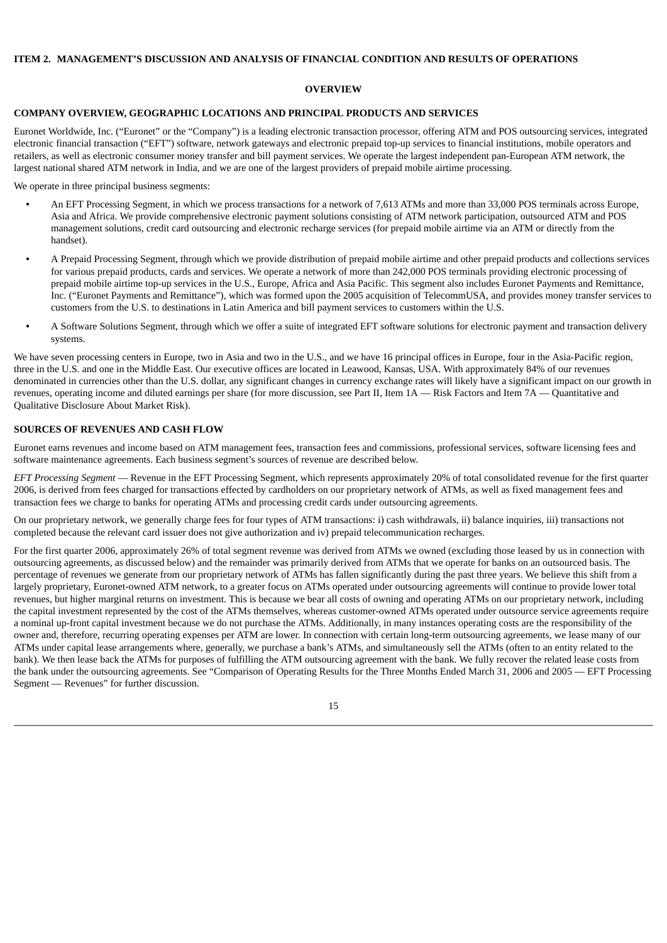## <span id="page-15-0"></span>**ITEM 2. MANAGEMENT'S DISCUSSION AND ANALYSIS OF FINANCIAL CONDITION AND RESULTS OF OPERATIONS**

#### **OVERVIEW**

# **COMPANY OVERVIEW, GEOGRAPHIC LOCATIONS AND PRINCIPAL PRODUCTS AND SERVICES**

Euronet Worldwide, Inc. ("Euronet" or the "Company") is a leading electronic transaction processor, offering ATM and POS outsourcing services, integrated electronic financial transaction ("EFT") software, network gateways and electronic prepaid top-up services to financial institutions, mobile operators and retailers, as well as electronic consumer money transfer and bill payment services. We operate the largest independent pan-European ATM network, the largest national shared ATM network in India, and we are one of the largest providers of prepaid mobile airtime processing.

We operate in three principal business segments:

- **•** An EFT Processing Segment, in which we process transactions for a network of 7,613 ATMs and more than 33,000 POS terminals across Europe, Asia and Africa. We provide comprehensive electronic payment solutions consisting of ATM network participation, outsourced ATM and POS management solutions, credit card outsourcing and electronic recharge services (for prepaid mobile airtime via an ATM or directly from the handset).
- **•** A Prepaid Processing Segment, through which we provide distribution of prepaid mobile airtime and other prepaid products and collections services for various prepaid products, cards and services. We operate a network of more than 242,000 POS terminals providing electronic processing of prepaid mobile airtime top-up services in the U.S., Europe, Africa and Asia Pacific. This segment also includes Euronet Payments and Remittance, Inc. ("Euronet Payments and Remittance"), which was formed upon the 2005 acquisition of TelecommUSA, and provides money transfer services to customers from the U.S. to destinations in Latin America and bill payment services to customers within the U.S.
- **•** A Software Solutions Segment, through which we offer a suite of integrated EFT software solutions for electronic payment and transaction delivery systems.

We have seven processing centers in Europe, two in Asia and two in the U.S., and we have 16 principal offices in Europe, four in the Asia-Pacific region, three in the U.S. and one in the Middle East. Our executive offices are located in Leawood, Kansas, USA. With approximately 84% of our revenues denominated in currencies other than the U.S. dollar, any significant changes in currency exchange rates will likely have a significant impact on our growth in revenues, operating income and diluted earnings per share (for more discussion, see Part II, Item 1A — Risk Factors and Item 7A — Quantitative and Qualitative Disclosure About Market Risk).

# **SOURCES OF REVENUES AND CASH FLOW**

Euronet earns revenues and income based on ATM management fees, transaction fees and commissions, professional services, software licensing fees and software maintenance agreements. Each business segment's sources of revenue are described below.

*EFT Processing Segment* — Revenue in the EFT Processing Segment, which represents approximately 20% of total consolidated revenue for the first quarter 2006, is derived from fees charged for transactions effected by cardholders on our proprietary network of ATMs, as well as fixed management fees and transaction fees we charge to banks for operating ATMs and processing credit cards under outsourcing agreements.

On our proprietary network, we generally charge fees for four types of ATM transactions: i) cash withdrawals, ii) balance inquiries, iii) transactions not completed because the relevant card issuer does not give authorization and iv) prepaid telecommunication recharges.

For the first quarter 2006, approximately 26% of total segment revenue was derived from ATMs we owned (excluding those leased by us in connection with outsourcing agreements, as discussed below) and the remainder was primarily derived from ATMs that we operate for banks on an outsourced basis. The percentage of revenues we generate from our proprietary network of ATMs has fallen significantly during the past three years. We believe this shift from a largely proprietary, Euronet-owned ATM network, to a greater focus on ATMs operated under outsourcing agreements will continue to provide lower total revenues, but higher marginal returns on investment. This is because we bear all costs of owning and operating ATMs on our proprietary network, including the capital investment represented by the cost of the ATMs themselves, whereas customer-owned ATMs operated under outsource service agreements require a nominal up-front capital investment because we do not purchase the ATMs. Additionally, in many instances operating costs are the responsibility of the owner and, therefore, recurring operating expenses per ATM are lower. In connection with certain long-term outsourcing agreements, we lease many of our ATMs under capital lease arrangements where, generally, we purchase a bank's ATMs, and simultaneously sell the ATMs (often to an entity related to the bank). We then lease back the ATMs for purposes of fulfilling the ATM outsourcing agreement with the bank. We fully recover the related lease costs from the bank under the outsourcing agreements. See "Comparison of Operating Results for the Three Months Ended March 31, 2006 and 2005 — EFT Processing Segment — Revenues" for further discussion.

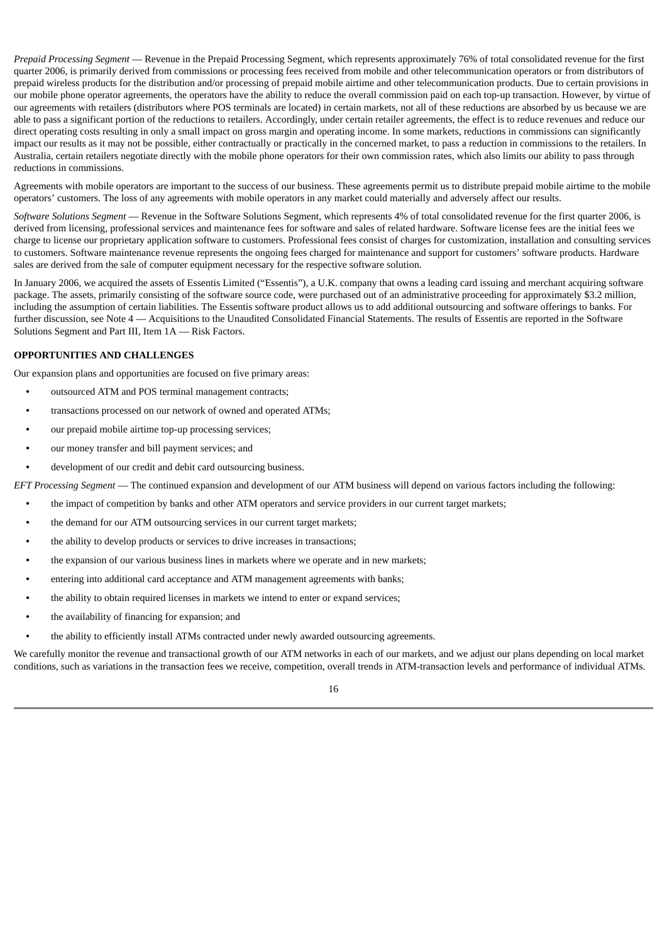*Prepaid Processing Segment* — Revenue in the Prepaid Processing Segment, which represents approximately 76% of total consolidated revenue for the first quarter 2006, is primarily derived from commissions or processing fees received from mobile and other telecommunication operators or from distributors of prepaid wireless products for the distribution and/or processing of prepaid mobile airtime and other telecommunication products. Due to certain provisions in our mobile phone operator agreements, the operators have the ability to reduce the overall commission paid on each top-up transaction. However, by virtue of our agreements with retailers (distributors where POS terminals are located) in certain markets, not all of these reductions are absorbed by us because we are able to pass a significant portion of the reductions to retailers. Accordingly, under certain retailer agreements, the effect is to reduce revenues and reduce our direct operating costs resulting in only a small impact on gross margin and operating income. In some markets, reductions in commissions can significantly impact our results as it may not be possible, either contractually or practically in the concerned market, to pass a reduction in commissions to the retailers. In Australia, certain retailers negotiate directly with the mobile phone operators for their own commission rates, which also limits our ability to pass through reductions in commissions.

Agreements with mobile operators are important to the success of our business. These agreements permit us to distribute prepaid mobile airtime to the mobile operators' customers. The loss of any agreements with mobile operators in any market could materially and adversely affect our results.

*Software Solutions Segment* — Revenue in the Software Solutions Segment, which represents 4% of total consolidated revenue for the first quarter 2006, is derived from licensing, professional services and maintenance fees for software and sales of related hardware. Software license fees are the initial fees we charge to license our proprietary application software to customers. Professional fees consist of charges for customization, installation and consulting services to customers. Software maintenance revenue represents the ongoing fees charged for maintenance and support for customers' software products. Hardware sales are derived from the sale of computer equipment necessary for the respective software solution.

In January 2006, we acquired the assets of Essentis Limited ("Essentis"), a U.K. company that owns a leading card issuing and merchant acquiring software package. The assets, primarily consisting of the software source code, were purchased out of an administrative proceeding for approximately \$3.2 million, including the assumption of certain liabilities. The Essentis software product allows us to add additional outsourcing and software offerings to banks. For further discussion, see Note 4 — Acquisitions to the Unaudited Consolidated Financial Statements. The results of Essentis are reported in the Software Solutions Segment and Part III, Item 1A — Risk Factors.

# **OPPORTUNITIES AND CHALLENGES**

Our expansion plans and opportunities are focused on five primary areas:

- **•** outsourced ATM and POS terminal management contracts;
- **•** transactions processed on our network of owned and operated ATMs;
- **•** our prepaid mobile airtime top-up processing services;
- **•** our money transfer and bill payment services; and
- **•** development of our credit and debit card outsourcing business.

*EFT Processing Segment* — The continued expansion and development of our ATM business will depend on various factors including the following:

- **•** the impact of competition by banks and other ATM operators and service providers in our current target markets;
- **•** the demand for our ATM outsourcing services in our current target markets;
- **•** the ability to develop products or services to drive increases in transactions;
- **•** the expansion of our various business lines in markets where we operate and in new markets;
- **•** entering into additional card acceptance and ATM management agreements with banks;
- **•** the ability to obtain required licenses in markets we intend to enter or expand services;
- **•** the availability of financing for expansion; and
- **•** the ability to efficiently install ATMs contracted under newly awarded outsourcing agreements.

We carefully monitor the revenue and transactional growth of our ATM networks in each of our markets, and we adjust our plans depending on local market conditions, such as variations in the transaction fees we receive, competition, overall trends in ATM-transaction levels and performance of individual ATMs.

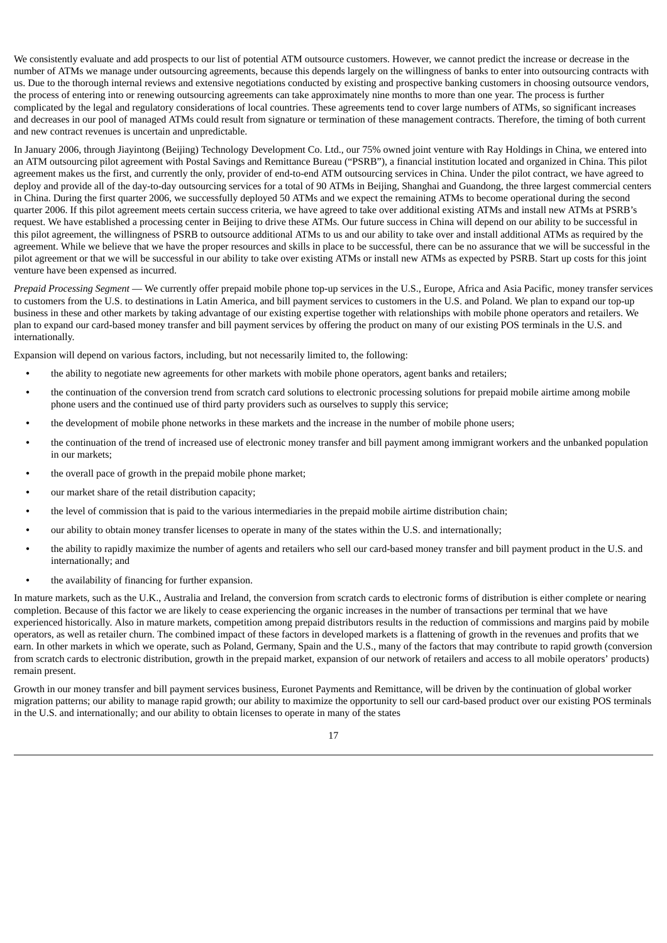We consistently evaluate and add prospects to our list of potential ATM outsource customers. However, we cannot predict the increase or decrease in the number of ATMs we manage under outsourcing agreements, because this depends largely on the willingness of banks to enter into outsourcing contracts with us. Due to the thorough internal reviews and extensive negotiations conducted by existing and prospective banking customers in choosing outsource vendors, the process of entering into or renewing outsourcing agreements can take approximately nine months to more than one year. The process is further complicated by the legal and regulatory considerations of local countries. These agreements tend to cover large numbers of ATMs, so significant increases and decreases in our pool of managed ATMs could result from signature or termination of these management contracts. Therefore, the timing of both current and new contract revenues is uncertain and unpredictable.

In January 2006, through Jiayintong (Beijing) Technology Development Co. Ltd., our 75% owned joint venture with Ray Holdings in China, we entered into an ATM outsourcing pilot agreement with Postal Savings and Remittance Bureau ("PSRB"), a financial institution located and organized in China. This pilot agreement makes us the first, and currently the only, provider of end-to-end ATM outsourcing services in China. Under the pilot contract, we have agreed to deploy and provide all of the day-to-day outsourcing services for a total of 90 ATMs in Beijing, Shanghai and Guandong, the three largest commercial centers in China. During the first quarter 2006, we successfully deployed 50 ATMs and we expect the remaining ATMs to become operational during the second quarter 2006. If this pilot agreement meets certain success criteria, we have agreed to take over additional existing ATMs and install new ATMs at PSRB's request. We have established a processing center in Beijing to drive these ATMs. Our future success in China will depend on our ability to be successful in this pilot agreement, the willingness of PSRB to outsource additional ATMs to us and our ability to take over and install additional ATMs as required by the agreement. While we believe that we have the proper resources and skills in place to be successful, there can be no assurance that we will be successful in the pilot agreement or that we will be successful in our ability to take over existing ATMs or install new ATMs as expected by PSRB. Start up costs for this joint venture have been expensed as incurred.

*Prepaid Processing Segment* — We currently offer prepaid mobile phone top-up services in the U.S., Europe, Africa and Asia Pacific, money transfer services to customers from the U.S. to destinations in Latin America, and bill payment services to customers in the U.S. and Poland. We plan to expand our top-up business in these and other markets by taking advantage of our existing expertise together with relationships with mobile phone operators and retailers. We plan to expand our card-based money transfer and bill payment services by offering the product on many of our existing POS terminals in the U.S. and internationally.

Expansion will depend on various factors, including, but not necessarily limited to, the following:

- **•** the ability to negotiate new agreements for other markets with mobile phone operators, agent banks and retailers;
- **•** the continuation of the conversion trend from scratch card solutions to electronic processing solutions for prepaid mobile airtime among mobile phone users and the continued use of third party providers such as ourselves to supply this service;
- **•** the development of mobile phone networks in these markets and the increase in the number of mobile phone users;
- **•** the continuation of the trend of increased use of electronic money transfer and bill payment among immigrant workers and the unbanked population in our markets;
- **•** the overall pace of growth in the prepaid mobile phone market;
- **•** our market share of the retail distribution capacity;
- **•** the level of commission that is paid to the various intermediaries in the prepaid mobile airtime distribution chain;
- **•** our ability to obtain money transfer licenses to operate in many of the states within the U.S. and internationally;
- **•** the ability to rapidly maximize the number of agents and retailers who sell our card-based money transfer and bill payment product in the U.S. and internationally; and
- **•** the availability of financing for further expansion.

In mature markets, such as the U.K., Australia and Ireland, the conversion from scratch cards to electronic forms of distribution is either complete or nearing completion. Because of this factor we are likely to cease experiencing the organic increases in the number of transactions per terminal that we have experienced historically. Also in mature markets, competition among prepaid distributors results in the reduction of commissions and margins paid by mobile operators, as well as retailer churn. The combined impact of these factors in developed markets is a flattening of growth in the revenues and profits that we earn. In other markets in which we operate, such as Poland, Germany, Spain and the U.S., many of the factors that may contribute to rapid growth (conversion from scratch cards to electronic distribution, growth in the prepaid market, expansion of our network of retailers and access to all mobile operators' products) remain present.

Growth in our money transfer and bill payment services business, Euronet Payments and Remittance, will be driven by the continuation of global worker migration patterns; our ability to manage rapid growth; our ability to maximize the opportunity to sell our card-based product over our existing POS terminals in the U.S. and internationally; and our ability to obtain licenses to operate in many of the states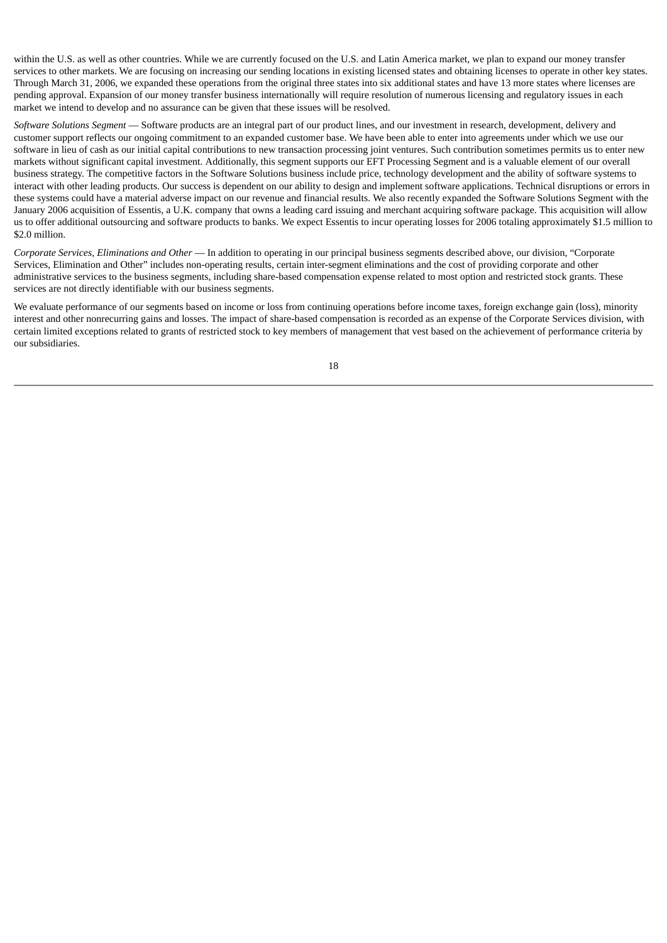within the U.S. as well as other countries. While we are currently focused on the U.S. and Latin America market, we plan to expand our money transfer services to other markets. We are focusing on increasing our sending locations in existing licensed states and obtaining licenses to operate in other key states. Through March 31, 2006, we expanded these operations from the original three states into six additional states and have 13 more states where licenses are pending approval. Expansion of our money transfer business internationally will require resolution of numerous licensing and regulatory issues in each market we intend to develop and no assurance can be given that these issues will be resolved.

*Software Solutions Segment* — Software products are an integral part of our product lines, and our investment in research, development, delivery and customer support reflects our ongoing commitment to an expanded customer base. We have been able to enter into agreements under which we use our software in lieu of cash as our initial capital contributions to new transaction processing joint ventures. Such contribution sometimes permits us to enter new markets without significant capital investment. Additionally, this segment supports our EFT Processing Segment and is a valuable element of our overall business strategy. The competitive factors in the Software Solutions business include price, technology development and the ability of software systems to interact with other leading products. Our success is dependent on our ability to design and implement software applications. Technical disruptions or errors in these systems could have a material adverse impact on our revenue and financial results. We also recently expanded the Software Solutions Segment with the January 2006 acquisition of Essentis, a U.K. company that owns a leading card issuing and merchant acquiring software package. This acquisition will allow us to offer additional outsourcing and software products to banks. We expect Essentis to incur operating losses for 2006 totaling approximately \$1.5 million to \$2.0 million.

*Corporate Services, Eliminations and Other* — In addition to operating in our principal business segments described above, our division, "Corporate Services, Elimination and Other" includes non-operating results, certain inter-segment eliminations and the cost of providing corporate and other administrative services to the business segments, including share-based compensation expense related to most option and restricted stock grants. These services are not directly identifiable with our business segments.

We evaluate performance of our segments based on income or loss from continuing operations before income taxes, foreign exchange gain (loss), minority interest and other nonrecurring gains and losses. The impact of share-based compensation is recorded as an expense of the Corporate Services division, with certain limited exceptions related to grants of restricted stock to key members of management that vest based on the achievement of performance criteria by our subsidiaries.

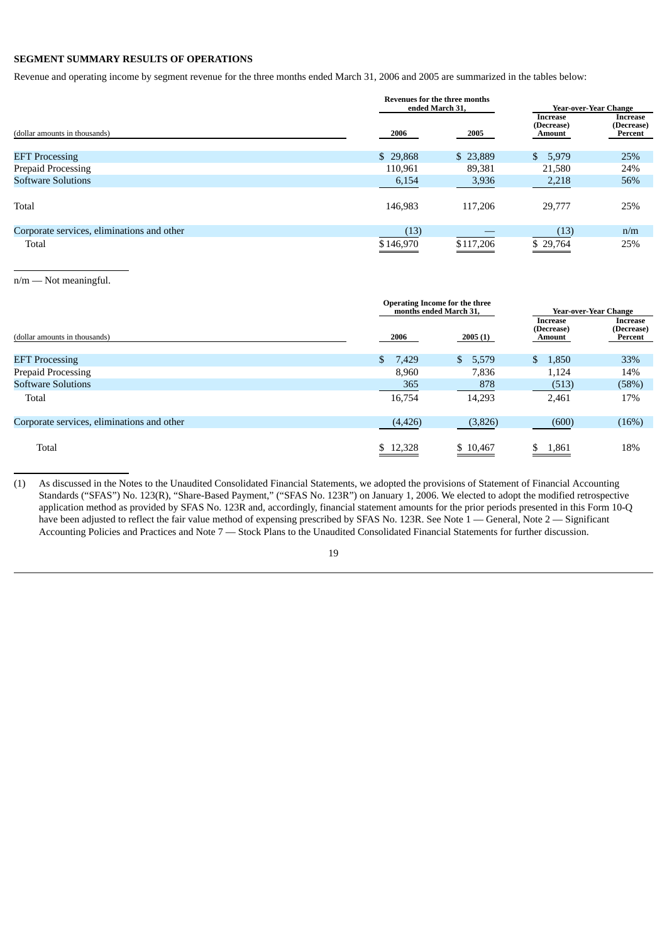# **SEGMENT SUMMARY RESULTS OF OPERATIONS**

Revenue and operating income by segment revenue for the three months ended March 31, 2006 and 2005 are summarized in the tables below:

|                                            |           | <b>Revenues for the three months</b><br>ended March 31, |                                         |                                   |
|--------------------------------------------|-----------|---------------------------------------------------------|-----------------------------------------|-----------------------------------|
| (dollar amounts in thousands)              | 2006      | 2005                                                    | Increase<br>(Decrease)<br><b>Amount</b> | Increase<br>(Decrease)<br>Percent |
| <b>EFT Processing</b>                      | \$29,868  | \$23,889                                                | 5,979<br>S.                             | 25%                               |
| <b>Prepaid Processing</b>                  | 110,961   | 89,381                                                  | 21,580                                  | 24%                               |
| <b>Software Solutions</b>                  | 6,154     | 3,936                                                   | 2,218                                   | 56%                               |
| Total                                      | 146,983   | 117,206                                                 | 29,777                                  | 25%                               |
| Corporate services, eliminations and other | (13)      |                                                         | (13)                                    | n/m                               |
| Total                                      | \$146,970 | \$117,206                                               | \$29,764                                | 25%                               |

n/m — Not meaningful.

|                                            | <b>Operating Income for the three</b><br>months ended March 31. |                        | <b>Year-over-Year Change</b>                   |                                   |
|--------------------------------------------|-----------------------------------------------------------------|------------------------|------------------------------------------------|-----------------------------------|
| (dollar amounts in thousands)              | 2006                                                            | 2005(1)                | <b>Increase</b><br>(Decrease)<br><b>Amount</b> | Increase<br>(Decrease)<br>Percent |
| <b>EFT Processing</b>                      | \$<br>7,429                                                     | 5,579<br><sup>\$</sup> | \$<br>1,850                                    | 33%                               |
| Prepaid Processing                         | 8,960                                                           | 7,836                  | 1,124                                          | 14%                               |
| <b>Software Solutions</b>                  | 365                                                             | 878                    | (513)                                          | (58%)                             |
| Total                                      | 16,754                                                          | 14,293                 | 2,461                                          | 17%                               |
| Corporate services, eliminations and other | (4, 426)                                                        | (3,826)                | (600)                                          | (16%)                             |
| Total                                      | \$12,328                                                        | \$10,467               | \$<br>1,861                                    | 18%                               |

(1) As discussed in the Notes to the Unaudited Consolidated Financial Statements, we adopted the provisions of Statement of Financial Accounting Standards ("SFAS") No. 123(R), "Share-Based Payment," ("SFAS No. 123R") on January 1, 2006. We elected to adopt the modified retrospective application method as provided by SFAS No. 123R and, accordingly, financial statement amounts for the prior periods presented in this Form 10-Q have been adjusted to reflect the fair value method of expensing prescribed by SFAS No. 123R. See Note 1 — General, Note 2 — Significant Accounting Policies and Practices and Note 7 — Stock Plans to the Unaudited Consolidated Financial Statements for further discussion.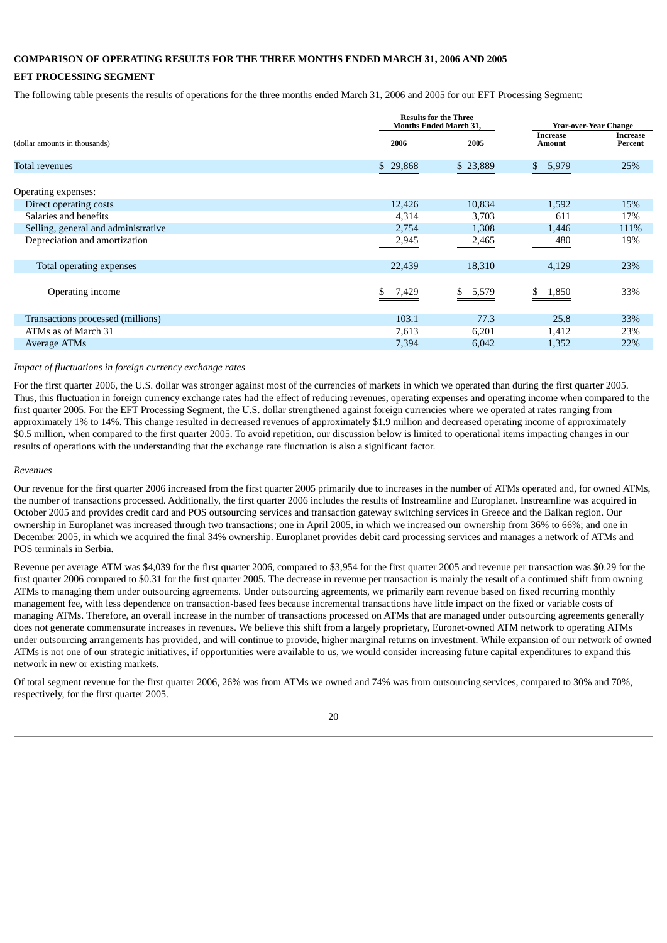# **COMPARISON OF OPERATING RESULTS FOR THE THREE MONTHS ENDED MARCH 31, 2006 AND 2005**

# **EFT PROCESSING SEGMENT**

The following table presents the results of operations for the three months ended March 31, 2006 and 2005 for our EFT Processing Segment:

|                                     | <b>Results for the Three</b><br><b>Months Ended March 31,</b> |          | <b>Year-over-Year Change</b> |                     |
|-------------------------------------|---------------------------------------------------------------|----------|------------------------------|---------------------|
| (dollar amounts in thousands)       | 2006                                                          | 2005     | <b>Increase</b><br>Amount    | Increase<br>Percent |
| Total revenues                      | \$29,868                                                      | \$23,889 | 5,979<br>\$                  | 25%                 |
|                                     |                                                               |          |                              |                     |
| Operating expenses:                 |                                                               |          |                              |                     |
| Direct operating costs              | 12,426                                                        | 10,834   | 1,592                        | 15%                 |
| Salaries and benefits               | 4,314                                                         | 3,703    | 611                          | 17%                 |
| Selling, general and administrative | 2,754                                                         | 1,308    | 1,446                        | 111%                |
| Depreciation and amortization       | 2,945                                                         | 2,465    | 480                          | 19%                 |
| Total operating expenses            | 22,439                                                        | 18,310   | 4,129                        | 23%                 |
| Operating income                    | 7,429<br>S.                                                   | \$5,579  | 1,850<br>S.                  | 33%                 |
| Transactions processed (millions)   | 103.1                                                         | 77.3     | 25.8                         | 33%                 |
| ATMs as of March 31                 | 7,613                                                         | 6,201    | 1,412                        | 23%                 |
| Average ATMs                        | 7,394                                                         | 6,042    | 1,352                        | 22%                 |

#### *Impact of fluctuations in foreign currency exchange rates*

For the first quarter 2006, the U.S. dollar was stronger against most of the currencies of markets in which we operated than during the first quarter 2005. Thus, this fluctuation in foreign currency exchange rates had the effect of reducing revenues, operating expenses and operating income when compared to the first quarter 2005. For the EFT Processing Segment, the U.S. dollar strengthened against foreign currencies where we operated at rates ranging from approximately 1% to 14%. This change resulted in decreased revenues of approximately \$1.9 million and decreased operating income of approximately \$0.5 million, when compared to the first quarter 2005. To avoid repetition, our discussion below is limited to operational items impacting changes in our results of operations with the understanding that the exchange rate fluctuation is also a significant factor.

#### *Revenues*

Our revenue for the first quarter 2006 increased from the first quarter 2005 primarily due to increases in the number of ATMs operated and, for owned ATMs, the number of transactions processed. Additionally, the first quarter 2006 includes the results of Instreamline and Europlanet. Instreamline was acquired in October 2005 and provides credit card and POS outsourcing services and transaction gateway switching services in Greece and the Balkan region. Our ownership in Europlanet was increased through two transactions; one in April 2005, in which we increased our ownership from 36% to 66%; and one in December 2005, in which we acquired the final 34% ownership. Europlanet provides debit card processing services and manages a network of ATMs and POS terminals in Serbia.

Revenue per average ATM was \$4,039 for the first quarter 2006, compared to \$3,954 for the first quarter 2005 and revenue per transaction was \$0.29 for the first quarter 2006 compared to \$0.31 for the first quarter 2005. The decrease in revenue per transaction is mainly the result of a continued shift from owning ATMs to managing them under outsourcing agreements. Under outsourcing agreements, we primarily earn revenue based on fixed recurring monthly management fee, with less dependence on transaction-based fees because incremental transactions have little impact on the fixed or variable costs of managing ATMs. Therefore, an overall increase in the number of transactions processed on ATMs that are managed under outsourcing agreements generally does not generate commensurate increases in revenues. We believe this shift from a largely proprietary, Euronet-owned ATM network to operating ATMs under outsourcing arrangements has provided, and will continue to provide, higher marginal returns on investment. While expansion of our network of owned ATMs is not one of our strategic initiatives, if opportunities were available to us, we would consider increasing future capital expenditures to expand this network in new or existing markets.

Of total segment revenue for the first quarter 2006, 26% was from ATMs we owned and 74% was from outsourcing services, compared to 30% and 70%, respectively, for the first quarter 2005.

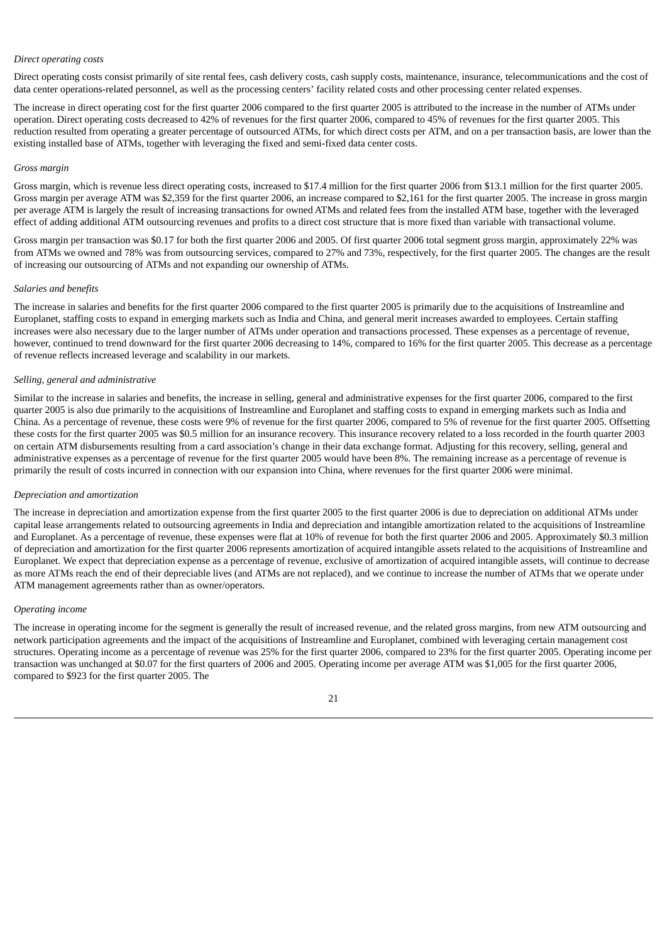#### *Direct operating costs*

Direct operating costs consist primarily of site rental fees, cash delivery costs, cash supply costs, maintenance, insurance, telecommunications and the cost of data center operations-related personnel, as well as the processing centers' facility related costs and other processing center related expenses.

The increase in direct operating cost for the first quarter 2006 compared to the first quarter 2005 is attributed to the increase in the number of ATMs under operation. Direct operating costs decreased to 42% of revenues for the first quarter 2006, compared to 45% of revenues for the first quarter 2005. This reduction resulted from operating a greater percentage of outsourced ATMs, for which direct costs per ATM, and on a per transaction basis, are lower than the existing installed base of ATMs, together with leveraging the fixed and semi-fixed data center costs.

#### *Gross margin*

Gross margin, which is revenue less direct operating costs, increased to \$17.4 million for the first quarter 2006 from \$13.1 million for the first quarter 2005. Gross margin per average ATM was \$2,359 for the first quarter 2006, an increase compared to \$2,161 for the first quarter 2005. The increase in gross margin per average ATM is largely the result of increasing transactions for owned ATMs and related fees from the installed ATM base, together with the leveraged effect of adding additional ATM outsourcing revenues and profits to a direct cost structure that is more fixed than variable with transactional volume.

Gross margin per transaction was \$0.17 for both the first quarter 2006 and 2005. Of first quarter 2006 total segment gross margin, approximately 22% was from ATMs we owned and 78% was from outsourcing services, compared to 27% and 73%, respectively, for the first quarter 2005. The changes are the result of increasing our outsourcing of ATMs and not expanding our ownership of ATMs.

#### *Salaries and benefits*

The increase in salaries and benefits for the first quarter 2006 compared to the first quarter 2005 is primarily due to the acquisitions of Instreamline and Europlanet, staffing costs to expand in emerging markets such as India and China, and general merit increases awarded to employees. Certain staffing increases were also necessary due to the larger number of ATMs under operation and transactions processed. These expenses as a percentage of revenue, however, continued to trend downward for the first quarter 2006 decreasing to 14%, compared to 16% for the first quarter 2005. This decrease as a percentage of revenue reflects increased leverage and scalability in our markets.

#### *Selling, general and administrative*

Similar to the increase in salaries and benefits, the increase in selling, general and administrative expenses for the first quarter 2006, compared to the first quarter 2005 is also due primarily to the acquisitions of Instreamline and Europlanet and staffing costs to expand in emerging markets such as India and China. As a percentage of revenue, these costs were 9% of revenue for the first quarter 2006, compared to 5% of revenue for the first quarter 2005. Offsetting these costs for the first quarter 2005 was \$0.5 million for an insurance recovery. This insurance recovery related to a loss recorded in the fourth quarter 2003 on certain ATM disbursements resulting from a card association's change in their data exchange format. Adjusting for this recovery, selling, general and administrative expenses as a percentage of revenue for the first quarter 2005 would have been 8%. The remaining increase as a percentage of revenue is primarily the result of costs incurred in connection with our expansion into China, where revenues for the first quarter 2006 were minimal.

#### *Depreciation and amortization*

The increase in depreciation and amortization expense from the first quarter 2005 to the first quarter 2006 is due to depreciation on additional ATMs under capital lease arrangements related to outsourcing agreements in India and depreciation and intangible amortization related to the acquisitions of Instreamline and Europlanet. As a percentage of revenue, these expenses were flat at 10% of revenue for both the first quarter 2006 and 2005. Approximately \$0.3 million of depreciation and amortization for the first quarter 2006 represents amortization of acquired intangible assets related to the acquisitions of Instreamline and Europlanet. We expect that depreciation expense as a percentage of revenue, exclusive of amortization of acquired intangible assets, will continue to decrease as more ATMs reach the end of their depreciable lives (and ATMs are not replaced), and we continue to increase the number of ATMs that we operate under ATM management agreements rather than as owner/operators.

#### *Operating income*

The increase in operating income for the segment is generally the result of increased revenue, and the related gross margins, from new ATM outsourcing and network participation agreements and the impact of the acquisitions of Instreamline and Europlanet, combined with leveraging certain management cost structures. Operating income as a percentage of revenue was 25% for the first quarter 2006, compared to 23% for the first quarter 2005. Operating income per transaction was unchanged at \$0.07 for the first quarters of 2006 and 2005. Operating income per average ATM was \$1,005 for the first quarter 2006, compared to \$923 for the first quarter 2005. The

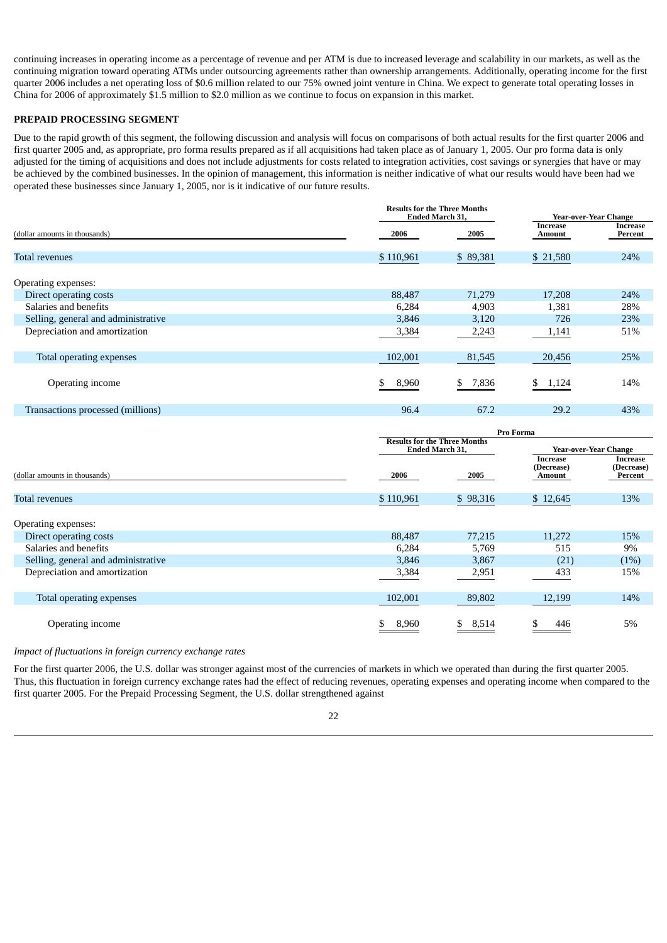continuing increases in operating income as a percentage of revenue and per ATM is due to increased leverage and scalability in our markets, as well as the continuing migration toward operating ATMs under outsourcing agreements rather than ownership arrangements. Additionally, operating income for the first quarter 2006 includes a net operating loss of \$0.6 million related to our 75% owned joint venture in China. We expect to generate total operating losses in China for 2006 of approximately \$1.5 million to \$2.0 million as we continue to focus on expansion in this market.

# **PREPAID PROCESSING SEGMENT**

Due to the rapid growth of this segment, the following discussion and analysis will focus on comparisons of both actual results for the first quarter 2006 and first quarter 2005 and, as appropriate, pro forma results prepared as if all acquisitions had taken place as of January 1, 2005. Our pro forma data is only adjusted for the timing of acquisitions and does not include adjustments for costs related to integration activities, cost savings or synergies that have or may be achieved by the combined businesses. In the opinion of management, this information is neither indicative of what our results would have been had we operated these businesses since January 1, 2005, nor is it indicative of our future results.

| (dollar amounts in thousands)       |             | <b>Results for the Three Months</b><br><b>Ended March 31.</b> | <b>Year-over-Year Change</b> |                     |
|-------------------------------------|-------------|---------------------------------------------------------------|------------------------------|---------------------|
|                                     | 2006        | 2005                                                          | Increase<br>Amount           | Increase<br>Percent |
| <b>Total revenues</b>               | \$110,961   | \$89,381                                                      | \$21,580                     | 24%                 |
| Operating expenses:                 |             |                                                               |                              |                     |
| Direct operating costs              | 88,487      | 71,279                                                        | 17,208                       | 24%                 |
| Salaries and benefits               | 6,284       | 4,903                                                         | 1,381                        | 28%                 |
| Selling, general and administrative | 3,846       | 3,120                                                         | 726                          | 23%                 |
| Depreciation and amortization       | 3,384       | 2,243                                                         | 1,141                        | 51%                 |
|                                     |             |                                                               |                              |                     |
| Total operating expenses            | 102,001     | 81,545                                                        | 20,456                       | 25%                 |
|                                     |             |                                                               |                              |                     |
| Operating income                    | 8,960<br>\$ | \$<br>7,836                                                   | \$<br>1,124                  | 14%                 |
|                                     |             |                                                               |                              |                     |
| Transactions processed (millions)   | 96.4        | 67.2                                                          | 29.2                         | 43%                 |

|                                     | Pro Forma                                                     |             |                                  |                                          |  |
|-------------------------------------|---------------------------------------------------------------|-------------|----------------------------------|------------------------------------------|--|
|                                     | <b>Results for the Three Months</b><br><b>Ended March 31,</b> |             | Year-over-Year Change            |                                          |  |
| (dollar amounts in thousands)       | 2006                                                          | 2005        | Increase<br>(Decrease)<br>Amount | <b>Increase</b><br>(Decrease)<br>Percent |  |
| <b>Total revenues</b>               | \$110,961                                                     | \$98,316    | \$12,645                         | 13%                                      |  |
| Operating expenses:                 |                                                               |             |                                  |                                          |  |
| Direct operating costs              | 88,487                                                        | 77,215      | 11,272                           | 15%                                      |  |
| Salaries and benefits               | 6,284                                                         | 5,769       | 515                              | 9%                                       |  |
| Selling, general and administrative | 3,846                                                         | 3,867       | (21)                             | (1%)                                     |  |
| Depreciation and amortization       | 3,384                                                         | 2,951       | 433                              | 15%                                      |  |
| Total operating expenses            | 102,001                                                       | 89,802      | 12,199                           | 14%                                      |  |
| Operating income                    | 8,960<br>\$.                                                  | 8,514<br>\$ | 446                              | 5%                                       |  |

# *Impact of fluctuations in foreign currency exchange rates*

For the first quarter 2006, the U.S. dollar was stronger against most of the currencies of markets in which we operated than during the first quarter 2005. Thus, this fluctuation in foreign currency exchange rates had the effect of reducing revenues, operating expenses and operating income when compared to the first quarter 2005. For the Prepaid Processing Segment, the U.S. dollar strengthened against

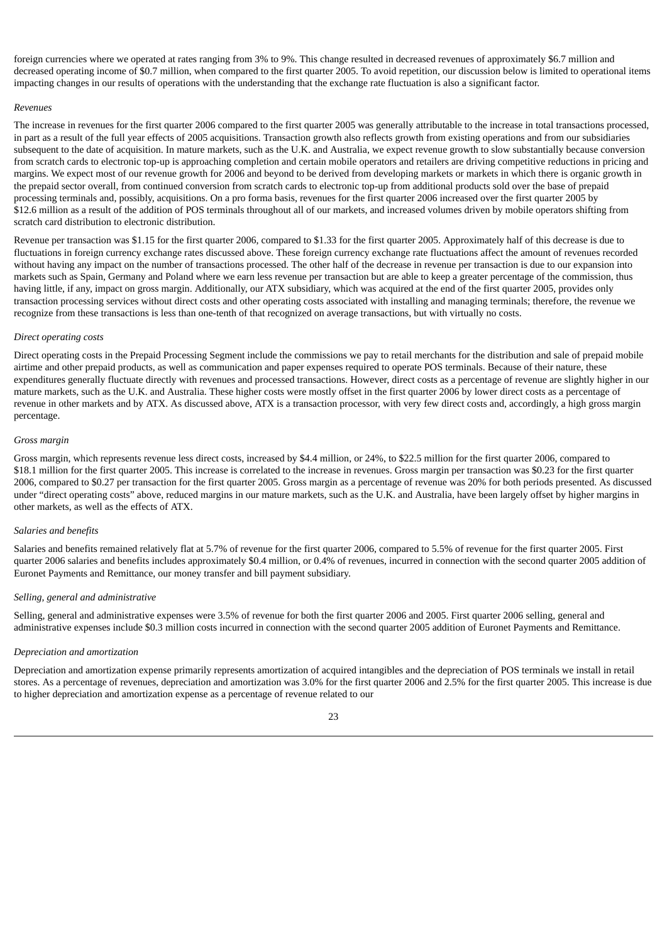foreign currencies where we operated at rates ranging from 3% to 9%. This change resulted in decreased revenues of approximately \$6.7 million and decreased operating income of \$0.7 million, when compared to the first quarter 2005. To avoid repetition, our discussion below is limited to operational items impacting changes in our results of operations with the understanding that the exchange rate fluctuation is also a significant factor.

#### *Revenues*

The increase in revenues for the first quarter 2006 compared to the first quarter 2005 was generally attributable to the increase in total transactions processed, in part as a result of the full year effects of 2005 acquisitions. Transaction growth also reflects growth from existing operations and from our subsidiaries subsequent to the date of acquisition. In mature markets, such as the U.K. and Australia, we expect revenue growth to slow substantially because conversion from scratch cards to electronic top-up is approaching completion and certain mobile operators and retailers are driving competitive reductions in pricing and margins. We expect most of our revenue growth for 2006 and beyond to be derived from developing markets or markets in which there is organic growth in the prepaid sector overall, from continued conversion from scratch cards to electronic top-up from additional products sold over the base of prepaid processing terminals and, possibly, acquisitions. On a pro forma basis, revenues for the first quarter 2006 increased over the first quarter 2005 by \$12.6 million as a result of the addition of POS terminals throughout all of our markets, and increased volumes driven by mobile operators shifting from scratch card distribution to electronic distribution.

Revenue per transaction was \$1.15 for the first quarter 2006, compared to \$1.33 for the first quarter 2005. Approximately half of this decrease is due to fluctuations in foreign currency exchange rates discussed above. These foreign currency exchange rate fluctuations affect the amount of revenues recorded without having any impact on the number of transactions processed. The other half of the decrease in revenue per transaction is due to our expansion into markets such as Spain, Germany and Poland where we earn less revenue per transaction but are able to keep a greater percentage of the commission, thus having little, if any, impact on gross margin. Additionally, our ATX subsidiary, which was acquired at the end of the first quarter 2005, provides only transaction processing services without direct costs and other operating costs associated with installing and managing terminals; therefore, the revenue we recognize from these transactions is less than one-tenth of that recognized on average transactions, but with virtually no costs.

#### *Direct operating costs*

Direct operating costs in the Prepaid Processing Segment include the commissions we pay to retail merchants for the distribution and sale of prepaid mobile airtime and other prepaid products, as well as communication and paper expenses required to operate POS terminals. Because of their nature, these expenditures generally fluctuate directly with revenues and processed transactions. However, direct costs as a percentage of revenue are slightly higher in our mature markets, such as the U.K. and Australia. These higher costs were mostly offset in the first quarter 2006 by lower direct costs as a percentage of revenue in other markets and by ATX. As discussed above, ATX is a transaction processor, with very few direct costs and, accordingly, a high gross margin percentage.

#### *Gross margin*

Gross margin, which represents revenue less direct costs, increased by \$4.4 million, or 24%, to \$22.5 million for the first quarter 2006, compared to \$18.1 million for the first quarter 2005. This increase is correlated to the increase in revenues. Gross margin per transaction was \$0.23 for the first quarter 2006, compared to \$0.27 per transaction for the first quarter 2005. Gross margin as a percentage of revenue was 20% for both periods presented. As discussed under "direct operating costs" above, reduced margins in our mature markets, such as the U.K. and Australia, have been largely offset by higher margins in other markets, as well as the effects of ATX.

#### *Salaries and benefits*

Salaries and benefits remained relatively flat at 5.7% of revenue for the first quarter 2006, compared to 5.5% of revenue for the first quarter 2005. First quarter 2006 salaries and benefits includes approximately \$0.4 million, or 0.4% of revenues, incurred in connection with the second quarter 2005 addition of Euronet Payments and Remittance, our money transfer and bill payment subsidiary.

#### *Selling, general and administrative*

Selling, general and administrative expenses were 3.5% of revenue for both the first quarter 2006 and 2005. First quarter 2006 selling, general and administrative expenses include \$0.3 million costs incurred in connection with the second quarter 2005 addition of Euronet Payments and Remittance.

#### *Depreciation and amortization*

Depreciation and amortization expense primarily represents amortization of acquired intangibles and the depreciation of POS terminals we install in retail stores. As a percentage of revenues, depreciation and amortization was 3.0% for the first quarter 2006 and 2.5% for the first quarter 2005. This increase is due to higher depreciation and amortization expense as a percentage of revenue related to our

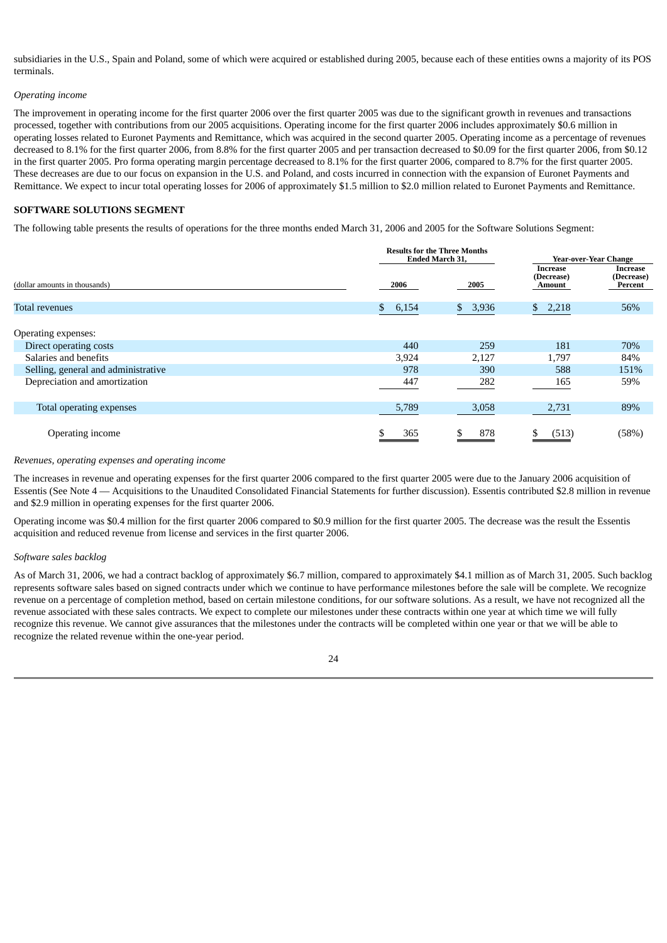subsidiaries in the U.S., Spain and Poland, some of which were acquired or established during 2005, because each of these entities owns a majority of its POS terminals.

# *Operating income*

The improvement in operating income for the first quarter 2006 over the first quarter 2005 was due to the significant growth in revenues and transactions processed, together with contributions from our 2005 acquisitions. Operating income for the first quarter 2006 includes approximately \$0.6 million in operating losses related to Euronet Payments and Remittance, which was acquired in the second quarter 2005. Operating income as a percentage of revenues decreased to 8.1% for the first quarter 2006, from 8.8% for the first quarter 2005 and per transaction decreased to \$0.09 for the first quarter 2006, from \$0.12 in the first quarter 2005. Pro forma operating margin percentage decreased to 8.1% for the first quarter 2006, compared to 8.7% for the first quarter 2005. These decreases are due to our focus on expansion in the U.S. and Poland, and costs incurred in connection with the expansion of Euronet Payments and Remittance. We expect to incur total operating losses for 2006 of approximately \$1.5 million to \$2.0 million related to Euronet Payments and Remittance.

# **SOFTWARE SOLUTIONS SEGMENT**

The following table presents the results of operations for the three months ended March 31, 2006 and 2005 for the Software Solutions Segment:

|                                     | <b>Results for the Three Months</b><br><b>Ended March 31,</b> | Year-over-Year Change |                                  |                                          |
|-------------------------------------|---------------------------------------------------------------|-----------------------|----------------------------------|------------------------------------------|
| (dollar amounts in thousands)       | 2006                                                          | 2005                  | Increase<br>(Decrease)<br>Amount | <b>Increase</b><br>(Decrease)<br>Percent |
| <b>Total revenues</b>               | 6,154<br>\$                                                   | 3,936<br>\$           | 2,218<br>\$                      | 56%                                      |
| Operating expenses:                 |                                                               |                       |                                  |                                          |
| Direct operating costs              | 440                                                           | 259                   | 181                              | 70%                                      |
| Salaries and benefits               | 3,924                                                         | 2,127                 | 1,797                            | 84%                                      |
| Selling, general and administrative | 978                                                           | 390                   | 588                              | 151%                                     |
| Depreciation and amortization       | 447                                                           | 282                   | 165                              | 59%                                      |
| Total operating expenses            | 5,789                                                         | 3,058                 | 2,731                            | 89%                                      |
| Operating income                    | 365                                                           | 878<br>\$.            | (513)<br>S.                      | (58%)                                    |

#### *Revenues, operating expenses and operating income*

The increases in revenue and operating expenses for the first quarter 2006 compared to the first quarter 2005 were due to the January 2006 acquisition of Essentis (See Note 4 — Acquisitions to the Unaudited Consolidated Financial Statements for further discussion). Essentis contributed \$2.8 million in revenue and \$2.9 million in operating expenses for the first quarter 2006.

Operating income was \$0.4 million for the first quarter 2006 compared to \$0.9 million for the first quarter 2005. The decrease was the result the Essentis acquisition and reduced revenue from license and services in the first quarter 2006.

# *Software sales backlog*

As of March 31, 2006, we had a contract backlog of approximately \$6.7 million, compared to approximately \$4.1 million as of March 31, 2005. Such backlog represents software sales based on signed contracts under which we continue to have performance milestones before the sale will be complete. We recognize revenue on a percentage of completion method, based on certain milestone conditions, for our software solutions. As a result, we have not recognized all the revenue associated with these sales contracts. We expect to complete our milestones under these contracts within one year at which time we will fully recognize this revenue. We cannot give assurances that the milestones under the contracts will be completed within one year or that we will be able to recognize the related revenue within the one-year period.

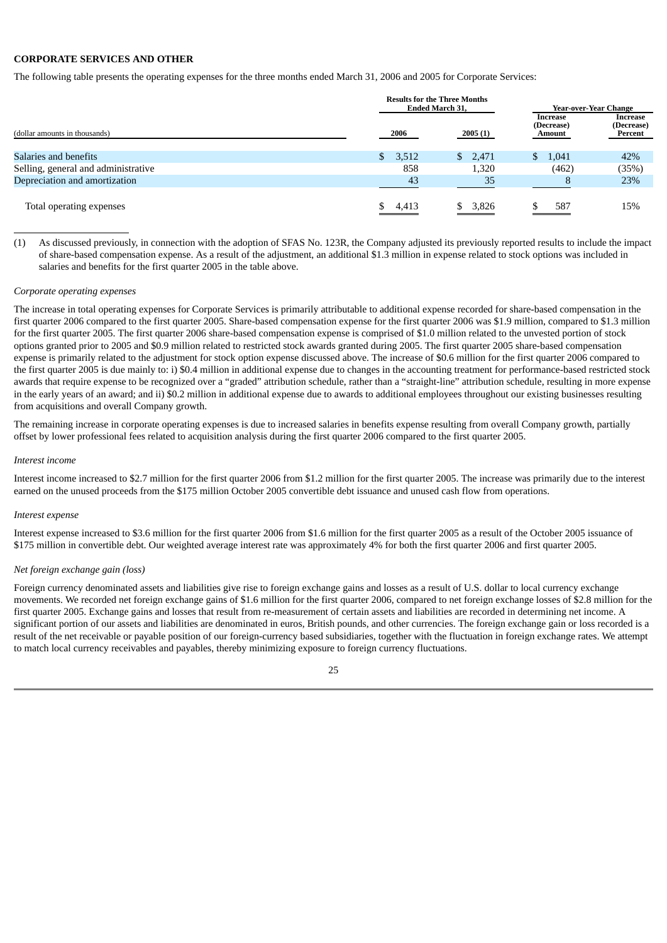# **CORPORATE SERVICES AND OTHER**

The following table presents the operating expenses for the three months ended March 31, 2006 and 2005 for Corporate Services:

|                                     | <b>Results for the Three Months</b><br><b>Ended March 31.</b> |         | Year-over-Year Change            |                                   |
|-------------------------------------|---------------------------------------------------------------|---------|----------------------------------|-----------------------------------|
| (dollar amounts in thousands)       | 2006                                                          | 2005(1) | Increase<br>(Decrease)<br>Amount | Increase<br>(Decrease)<br>Percent |
| Salaries and benefits               | 3,512<br>SS.                                                  | \$2,471 | 1,041<br>S.                      | 42%                               |
| Selling, general and administrative | 858                                                           | 1,320   | (462)                            | (35%)                             |
| Depreciation and amortization       | 43                                                            | 35      |                                  | 23%                               |
| Total operating expenses            | 4,413                                                         | \$3,826 | 587                              | 15%                               |

(1) As discussed previously, in connection with the adoption of SFAS No. 123R, the Company adjusted its previously reported results to include the impact of share-based compensation expense. As a result of the adjustment, an additional \$1.3 million in expense related to stock options was included in salaries and benefits for the first quarter 2005 in the table above.

#### *Corporate operating expenses*

The increase in total operating expenses for Corporate Services is primarily attributable to additional expense recorded for share-based compensation in the first quarter 2006 compared to the first quarter 2005. Share-based compensation expense for the first quarter 2006 was \$1.9 million, compared to \$1.3 million for the first quarter 2005. The first quarter 2006 share-based compensation expense is comprised of \$1.0 million related to the unvested portion of stock options granted prior to 2005 and \$0.9 million related to restricted stock awards granted during 2005. The first quarter 2005 share-based compensation expense is primarily related to the adjustment for stock option expense discussed above. The increase of \$0.6 million for the first quarter 2006 compared to the first quarter 2005 is due mainly to: i) \$0.4 million in additional expense due to changes in the accounting treatment for performance-based restricted stock awards that require expense to be recognized over a "graded" attribution schedule, rather than a "straight-line" attribution schedule, resulting in more expense in the early years of an award; and ii) \$0.2 million in additional expense due to awards to additional employees throughout our existing businesses resulting from acquisitions and overall Company growth.

The remaining increase in corporate operating expenses is due to increased salaries in benefits expense resulting from overall Company growth, partially offset by lower professional fees related to acquisition analysis during the first quarter 2006 compared to the first quarter 2005.

#### *Interest income*

Interest income increased to \$2.7 million for the first quarter 2006 from \$1.2 million for the first quarter 2005. The increase was primarily due to the interest earned on the unused proceeds from the \$175 million October 2005 convertible debt issuance and unused cash flow from operations.

#### *Interest expense*

Interest expense increased to \$3.6 million for the first quarter 2006 from \$1.6 million for the first quarter 2005 as a result of the October 2005 issuance of \$175 million in convertible debt. Our weighted average interest rate was approximately 4% for both the first quarter 2006 and first quarter 2005.

#### *Net foreign exchange gain (loss)*

Foreign currency denominated assets and liabilities give rise to foreign exchange gains and losses as a result of U.S. dollar to local currency exchange movements. We recorded net foreign exchange gains of \$1.6 million for the first quarter 2006, compared to net foreign exchange losses of \$2.8 million for the first quarter 2005. Exchange gains and losses that result from re-measurement of certain assets and liabilities are recorded in determining net income. A significant portion of our assets and liabilities are denominated in euros, British pounds, and other currencies. The foreign exchange gain or loss recorded is a result of the net receivable or payable position of our foreign-currency based subsidiaries, together with the fluctuation in foreign exchange rates. We attempt to match local currency receivables and payables, thereby minimizing exposure to foreign currency fluctuations.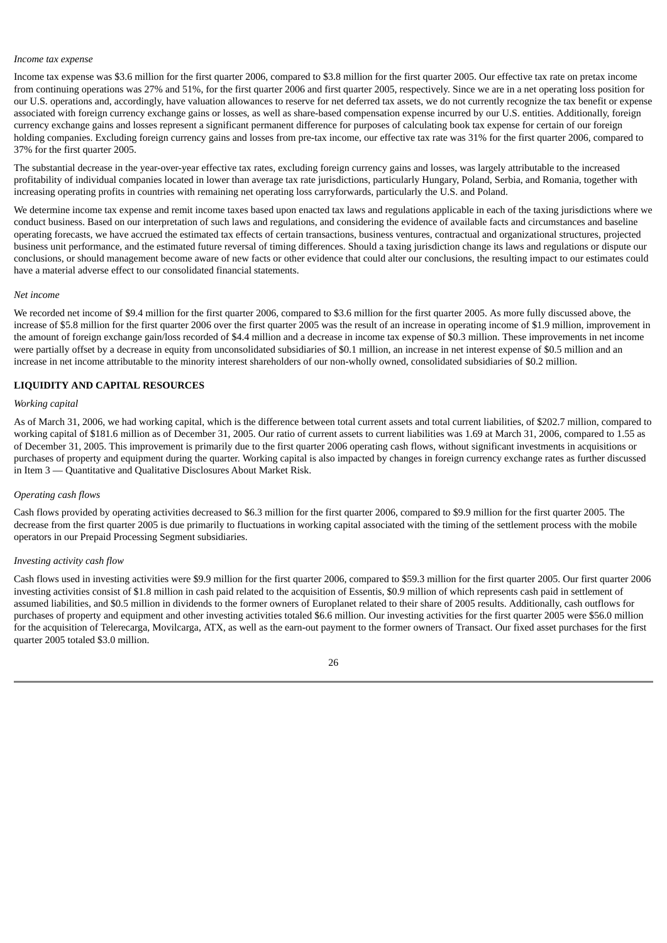#### *Income tax expense*

Income tax expense was \$3.6 million for the first quarter 2006, compared to \$3.8 million for the first quarter 2005. Our effective tax rate on pretax income from continuing operations was 27% and 51%, for the first quarter 2006 and first quarter 2005, respectively. Since we are in a net operating loss position for our U.S. operations and, accordingly, have valuation allowances to reserve for net deferred tax assets, we do not currently recognize the tax benefit or expense associated with foreign currency exchange gains or losses, as well as share-based compensation expense incurred by our U.S. entities. Additionally, foreign currency exchange gains and losses represent a significant permanent difference for purposes of calculating book tax expense for certain of our foreign holding companies. Excluding foreign currency gains and losses from pre-tax income, our effective tax rate was 31% for the first quarter 2006, compared to 37% for the first quarter 2005.

The substantial decrease in the year-over-year effective tax rates, excluding foreign currency gains and losses, was largely attributable to the increased profitability of individual companies located in lower than average tax rate jurisdictions, particularly Hungary, Poland, Serbia, and Romania, together with increasing operating profits in countries with remaining net operating loss carryforwards, particularly the U.S. and Poland.

We determine income tax expense and remit income taxes based upon enacted tax laws and regulations applicable in each of the taxing jurisdictions where we conduct business. Based on our interpretation of such laws and regulations, and considering the evidence of available facts and circumstances and baseline operating forecasts, we have accrued the estimated tax effects of certain transactions, business ventures, contractual and organizational structures, projected business unit performance, and the estimated future reversal of timing differences. Should a taxing jurisdiction change its laws and regulations or dispute our conclusions, or should management become aware of new facts or other evidence that could alter our conclusions, the resulting impact to our estimates could have a material adverse effect to our consolidated financial statements.

#### *Net income*

We recorded net income of \$9.4 million for the first quarter 2006, compared to \$3.6 million for the first quarter 2005. As more fully discussed above, the increase of \$5.8 million for the first quarter 2006 over the first quarter 2005 was the result of an increase in operating income of \$1.9 million, improvement in the amount of foreign exchange gain/loss recorded of \$4.4 million and a decrease in income tax expense of \$0.3 million. These improvements in net income were partially offset by a decrease in equity from unconsolidated subsidiaries of \$0.1 million, an increase in net interest expense of \$0.5 million and an increase in net income attributable to the minority interest shareholders of our non-wholly owned, consolidated subsidiaries of \$0.2 million.

#### **LIQUIDITY AND CAPITAL RESOURCES**

#### *Working capital*

As of March 31, 2006, we had working capital, which is the difference between total current assets and total current liabilities, of \$202.7 million, compared to working capital of \$181.6 million as of December 31, 2005. Our ratio of current assets to current liabilities was 1.69 at March 31, 2006, compared to 1.55 as of December 31, 2005. This improvement is primarily due to the first quarter 2006 operating cash flows, without significant investments in acquisitions or purchases of property and equipment during the quarter. Working capital is also impacted by changes in foreign currency exchange rates as further discussed in Item 3 — Quantitative and Qualitative Disclosures About Market Risk.

#### *Operating cash flows*

Cash flows provided by operating activities decreased to \$6.3 million for the first quarter 2006, compared to \$9.9 million for the first quarter 2005. The decrease from the first quarter 2005 is due primarily to fluctuations in working capital associated with the timing of the settlement process with the mobile operators in our Prepaid Processing Segment subsidiaries.

## *Investing activity cash flow*

Cash flows used in investing activities were \$9.9 million for the first quarter 2006, compared to \$59.3 million for the first quarter 2005. Our first quarter 2006 investing activities consist of \$1.8 million in cash paid related to the acquisition of Essentis, \$0.9 million of which represents cash paid in settlement of assumed liabilities, and \$0.5 million in dividends to the former owners of Europlanet related to their share of 2005 results. Additionally, cash outflows for purchases of property and equipment and other investing activities totaled \$6.6 million. Our investing activities for the first quarter 2005 were \$56.0 million for the acquisition of Telerecarga, Movilcarga, ATX, as well as the earn-out payment to the former owners of Transact. Our fixed asset purchases for the first quarter 2005 totaled \$3.0 million.

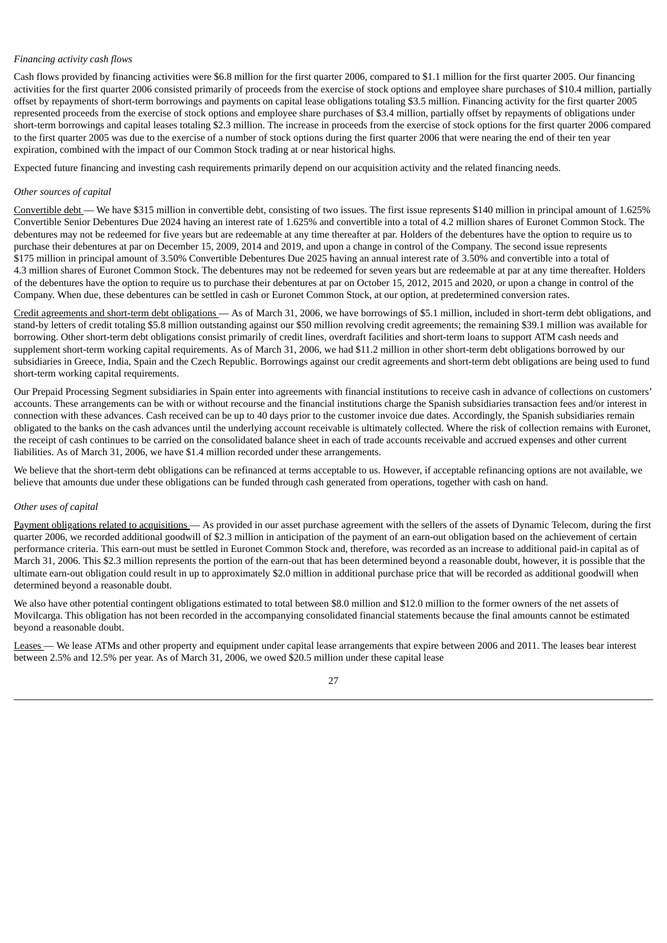# *Financing activity cash flows*

Cash flows provided by financing activities were \$6.8 million for the first quarter 2006, compared to \$1.1 million for the first quarter 2005. Our financing activities for the first quarter 2006 consisted primarily of proceeds from the exercise of stock options and employee share purchases of \$10.4 million, partially offset by repayments of short-term borrowings and payments on capital lease obligations totaling \$3.5 million. Financing activity for the first quarter 2005 represented proceeds from the exercise of stock options and employee share purchases of \$3.4 million, partially offset by repayments of obligations under short-term borrowings and capital leases totaling \$2.3 million. The increase in proceeds from the exercise of stock options for the first quarter 2006 compared to the first quarter 2005 was due to the exercise of a number of stock options during the first quarter 2006 that were nearing the end of their ten year expiration, combined with the impact of our Common Stock trading at or near historical highs.

Expected future financing and investing cash requirements primarily depend on our acquisition activity and the related financing needs.

#### *Other sources of capital*

Convertible debt — We have \$315 million in convertible debt, consisting of two issues. The first issue represents \$140 million in principal amount of 1.625% Convertible Senior Debentures Due 2024 having an interest rate of 1.625% and convertible into a total of 4.2 million shares of Euronet Common Stock. The debentures may not be redeemed for five years but are redeemable at any time thereafter at par. Holders of the debentures have the option to require us to purchase their debentures at par on December 15, 2009, 2014 and 2019, and upon a change in control of the Company. The second issue represents \$175 million in principal amount of 3.50% Convertible Debentures Due 2025 having an annual interest rate of 3.50% and convertible into a total of 4.3 million shares of Euronet Common Stock. The debentures may not be redeemed for seven years but are redeemable at par at any time thereafter. Holders of the debentures have the option to require us to purchase their debentures at par on October 15, 2012, 2015 and 2020, or upon a change in control of the Company. When due, these debentures can be settled in cash or Euronet Common Stock, at our option, at predetermined conversion rates.

Credit agreements and short-term debt obligations — As of March 31, 2006, we have borrowings of \$5.1 million, included in short-term debt obligations, and stand-by letters of credit totaling \$5.8 million outstanding against our \$50 million revolving credit agreements; the remaining \$39.1 million was available for borrowing. Other short-term debt obligations consist primarily of credit lines, overdraft facilities and short-term loans to support ATM cash needs and supplement short-term working capital requirements. As of March 31, 2006, we had \$11.2 million in other short-term debt obligations borrowed by our subsidiaries in Greece, India, Spain and the Czech Republic. Borrowings against our credit agreements and short-term debt obligations are being used to fund short-term working capital requirements.

Our Prepaid Processing Segment subsidiaries in Spain enter into agreements with financial institutions to receive cash in advance of collections on customers' accounts. These arrangements can be with or without recourse and the financial institutions charge the Spanish subsidiaries transaction fees and/or interest in connection with these advances. Cash received can be up to 40 days prior to the customer invoice due dates. Accordingly, the Spanish subsidiaries remain obligated to the banks on the cash advances until the underlying account receivable is ultimately collected. Where the risk of collection remains with Euronet, the receipt of cash continues to be carried on the consolidated balance sheet in each of trade accounts receivable and accrued expenses and other current liabilities. As of March 31, 2006, we have \$1.4 million recorded under these arrangements.

We believe that the short-term debt obligations can be refinanced at terms acceptable to us. However, if acceptable refinancing options are not available, we believe that amounts due under these obligations can be funded through cash generated from operations, together with cash on hand.

#### *Other uses of capital*

Payment obligations related to acquisitions — As provided in our asset purchase agreement with the sellers of the assets of Dynamic Telecom, during the first quarter 2006, we recorded additional goodwill of \$2.3 million in anticipation of the payment of an earn-out obligation based on the achievement of certain performance criteria. This earn-out must be settled in Euronet Common Stock and, therefore, was recorded as an increase to additional paid-in capital as of March 31, 2006. This \$2.3 million represents the portion of the earn-out that has been determined beyond a reasonable doubt, however, it is possible that the ultimate earn-out obligation could result in up to approximately \$2.0 million in additional purchase price that will be recorded as additional goodwill when determined beyond a reasonable doubt.

We also have other potential contingent obligations estimated to total between \$8.0 million and \$12.0 million to the former owners of the net assets of Movilcarga. This obligation has not been recorded in the accompanying consolidated financial statements because the final amounts cannot be estimated beyond a reasonable doubt.

Leases — We lease ATMs and other property and equipment under capital lease arrangements that expire between 2006 and 2011. The leases bear interest between 2.5% and 12.5% per year. As of March 31, 2006, we owed \$20.5 million under these capital lease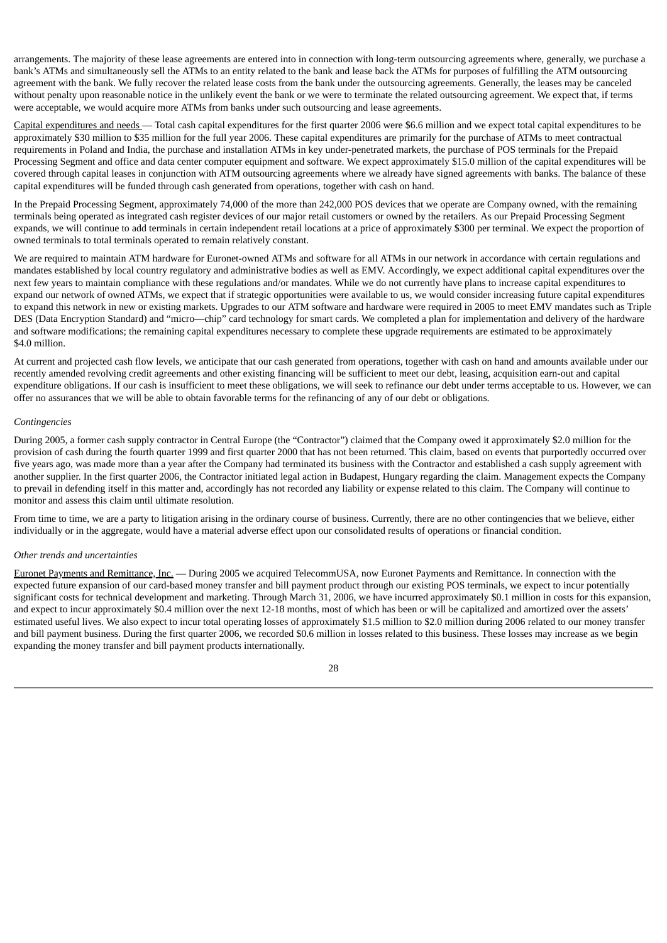arrangements. The majority of these lease agreements are entered into in connection with long-term outsourcing agreements where, generally, we purchase a bank's ATMs and simultaneously sell the ATMs to an entity related to the bank and lease back the ATMs for purposes of fulfilling the ATM outsourcing agreement with the bank. We fully recover the related lease costs from the bank under the outsourcing agreements. Generally, the leases may be canceled without penalty upon reasonable notice in the unlikely event the bank or we were to terminate the related outsourcing agreement. We expect that, if terms were acceptable, we would acquire more ATMs from banks under such outsourcing and lease agreements.

Capital expenditures and needs — Total cash capital expenditures for the first quarter 2006 were \$6.6 million and we expect total capital expenditures to be approximately \$30 million to \$35 million for the full year 2006. These capital expenditures are primarily for the purchase of ATMs to meet contractual requirements in Poland and India, the purchase and installation ATMs in key under-penetrated markets, the purchase of POS terminals for the Prepaid Processing Segment and office and data center computer equipment and software. We expect approximately \$15.0 million of the capital expenditures will be covered through capital leases in conjunction with ATM outsourcing agreements where we already have signed agreements with banks. The balance of these capital expenditures will be funded through cash generated from operations, together with cash on hand.

In the Prepaid Processing Segment, approximately 74,000 of the more than 242,000 POS devices that we operate are Company owned, with the remaining terminals being operated as integrated cash register devices of our major retail customers or owned by the retailers. As our Prepaid Processing Segment expands, we will continue to add terminals in certain independent retail locations at a price of approximately \$300 per terminal. We expect the proportion of owned terminals to total terminals operated to remain relatively constant.

We are required to maintain ATM hardware for Euronet-owned ATMs and software for all ATMs in our network in accordance with certain regulations and mandates established by local country regulatory and administrative bodies as well as EMV. Accordingly, we expect additional capital expenditures over the next few years to maintain compliance with these regulations and/or mandates. While we do not currently have plans to increase capital expenditures to expand our network of owned ATMs, we expect that if strategic opportunities were available to us, we would consider increasing future capital expenditures to expand this network in new or existing markets. Upgrades to our ATM software and hardware were required in 2005 to meet EMV mandates such as Triple DES (Data Encryption Standard) and "micro—chip" card technology for smart cards. We completed a plan for implementation and delivery of the hardware and software modifications; the remaining capital expenditures necessary to complete these upgrade requirements are estimated to be approximately \$4.0 million.

At current and projected cash flow levels, we anticipate that our cash generated from operations, together with cash on hand and amounts available under our recently amended revolving credit agreements and other existing financing will be sufficient to meet our debt, leasing, acquisition earn-out and capital expenditure obligations. If our cash is insufficient to meet these obligations, we will seek to refinance our debt under terms acceptable to us. However, we can offer no assurances that we will be able to obtain favorable terms for the refinancing of any of our debt or obligations.

#### *Contingencies*

During 2005, a former cash supply contractor in Central Europe (the "Contractor") claimed that the Company owed it approximately \$2.0 million for the provision of cash during the fourth quarter 1999 and first quarter 2000 that has not been returned. This claim, based on events that purportedly occurred over five years ago, was made more than a year after the Company had terminated its business with the Contractor and established a cash supply agreement with another supplier. In the first quarter 2006, the Contractor initiated legal action in Budapest, Hungary regarding the claim. Management expects the Company to prevail in defending itself in this matter and, accordingly has not recorded any liability or expense related to this claim. The Company will continue to monitor and assess this claim until ultimate resolution.

From time to time, we are a party to litigation arising in the ordinary course of business. Currently, there are no other contingencies that we believe, either individually or in the aggregate, would have a material adverse effect upon our consolidated results of operations or financial condition.

#### *Other trends and uncertainties*

Euronet Payments and Remittance, Inc. — During 2005 we acquired TelecommUSA, now Euronet Payments and Remittance. In connection with the expected future expansion of our card-based money transfer and bill payment product through our existing POS terminals, we expect to incur potentially significant costs for technical development and marketing. Through March 31, 2006, we have incurred approximately \$0.1 million in costs for this expansion, and expect to incur approximately \$0.4 million over the next 12-18 months, most of which has been or will be capitalized and amortized over the assets' estimated useful lives. We also expect to incur total operating losses of approximately \$1.5 million to \$2.0 million during 2006 related to our money transfer and bill payment business. During the first quarter 2006, we recorded \$0.6 million in losses related to this business. These losses may increase as we begin expanding the money transfer and bill payment products internationally.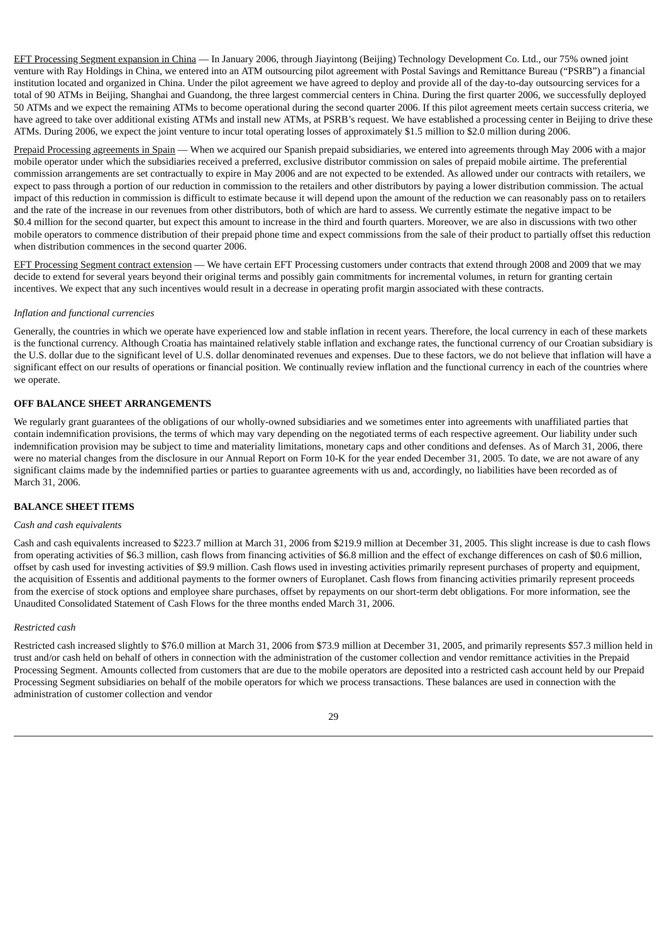EFT Processing Segment expansion in China — In January 2006, through Jiayintong (Beijing) Technology Development Co. Ltd., our 75% owned joint venture with Ray Holdings in China, we entered into an ATM outsourcing pilot agreement with Postal Savings and Remittance Bureau ("PSRB") a financial institution located and organized in China. Under the pilot agreement we have agreed to deploy and provide all of the day-to-day outsourcing services for a total of 90 ATMs in Beijing, Shanghai and Guandong, the three largest commercial centers in China. During the first quarter 2006, we successfully deployed 50 ATMs and we expect the remaining ATMs to become operational during the second quarter 2006. If this pilot agreement meets certain success criteria, we have agreed to take over additional existing ATMs and install new ATMs, at PSRB's request. We have established a processing center in Beijing to drive these ATMs. During 2006, we expect the joint venture to incur total operating losses of approximately \$1.5 million to \$2.0 million during 2006.

Prepaid Processing agreements in Spain — When we acquired our Spanish prepaid subsidiaries, we entered into agreements through May 2006 with a major mobile operator under which the subsidiaries received a preferred, exclusive distributor commission on sales of prepaid mobile airtime. The preferential commission arrangements are set contractually to expire in May 2006 and are not expected to be extended. As allowed under our contracts with retailers, we expect to pass through a portion of our reduction in commission to the retailers and other distributors by paying a lower distribution commission. The actual impact of this reduction in commission is difficult to estimate because it will depend upon the amount of the reduction we can reasonably pass on to retailers and the rate of the increase in our revenues from other distributors, both of which are hard to assess. We currently estimate the negative impact to be \$0.4 million for the second quarter, but expect this amount to increase in the third and fourth quarters. Moreover, we are also in discussions with two other mobile operators to commence distribution of their prepaid phone time and expect commissions from the sale of their product to partially offset this reduction when distribution commences in the second quarter 2006.

EFT Processing Segment contract extension — We have certain EFT Processing customers under contracts that extend through 2008 and 2009 that we may decide to extend for several years beyond their original terms and possibly gain commitments for incremental volumes, in return for granting certain incentives. We expect that any such incentives would result in a decrease in operating profit margin associated with these contracts.

## *Inflation and functional currencies*

Generally, the countries in which we operate have experienced low and stable inflation in recent years. Therefore, the local currency in each of these markets is the functional currency. Although Croatia has maintained relatively stable inflation and exchange rates, the functional currency of our Croatian subsidiary is the U.S. dollar due to the significant level of U.S. dollar denominated revenues and expenses. Due to these factors, we do not believe that inflation will have a significant effect on our results of operations or financial position. We continually review inflation and the functional currency in each of the countries where we operate.

#### **OFF BALANCE SHEET ARRANGEMENTS**

We regularly grant guarantees of the obligations of our wholly-owned subsidiaries and we sometimes enter into agreements with unaffiliated parties that contain indemnification provisions, the terms of which may vary depending on the negotiated terms of each respective agreement. Our liability under such indemnification provision may be subject to time and materiality limitations, monetary caps and other conditions and defenses. As of March 31, 2006, there were no material changes from the disclosure in our Annual Report on Form 10-K for the year ended December 31, 2005. To date, we are not aware of any significant claims made by the indemnified parties or parties to guarantee agreements with us and, accordingly, no liabilities have been recorded as of March 31, 2006.

#### **BALANCE SHEET ITEMS**

#### *Cash and cash equivalents*

Cash and cash equivalents increased to \$223.7 million at March 31, 2006 from \$219.9 million at December 31, 2005. This slight increase is due to cash flows from operating activities of \$6.3 million, cash flows from financing activities of \$6.8 million and the effect of exchange differences on cash of \$0.6 million, offset by cash used for investing activities of \$9.9 million. Cash flows used in investing activities primarily represent purchases of property and equipment, the acquisition of Essentis and additional payments to the former owners of Europlanet. Cash flows from financing activities primarily represent proceeds from the exercise of stock options and employee share purchases, offset by repayments on our short-term debt obligations. For more information, see the Unaudited Consolidated Statement of Cash Flows for the three months ended March 31, 2006.

#### *Restricted cash*

Restricted cash increased slightly to \$76.0 million at March 31, 2006 from \$73.9 million at December 31, 2005, and primarily represents \$57.3 million held in trust and/or cash held on behalf of others in connection with the administration of the customer collection and vendor remittance activities in the Prepaid Processing Segment. Amounts collected from customers that are due to the mobile operators are deposited into a restricted cash account held by our Prepaid Processing Segment subsidiaries on behalf of the mobile operators for which we process transactions. These balances are used in connection with the administration of customer collection and vendor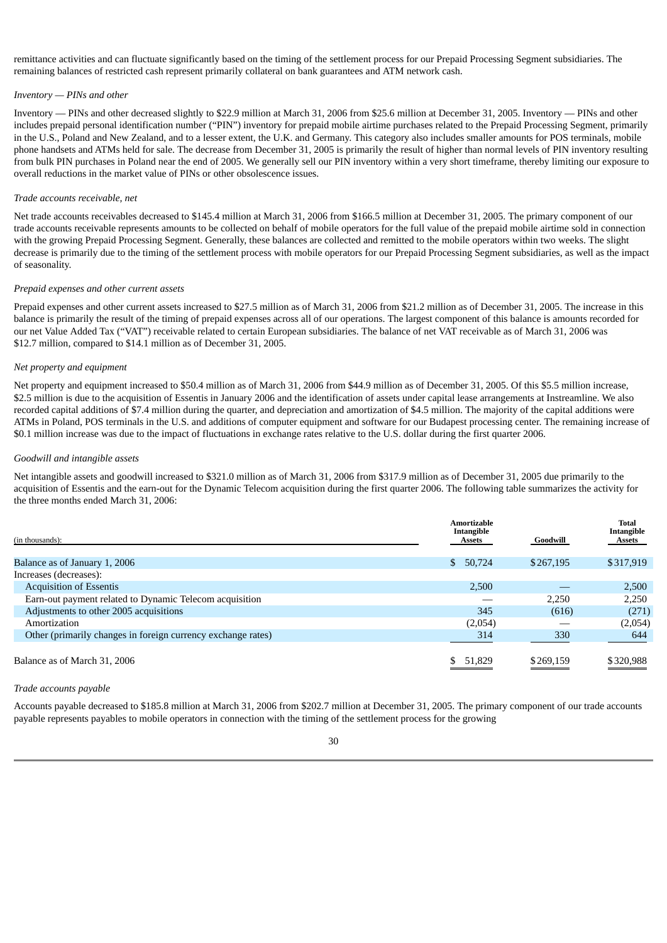remittance activities and can fluctuate significantly based on the timing of the settlement process for our Prepaid Processing Segment subsidiaries. The remaining balances of restricted cash represent primarily collateral on bank guarantees and ATM network cash.

#### *Inventory — PINs and other*

Inventory — PINs and other decreased slightly to \$22.9 million at March 31, 2006 from \$25.6 million at December 31, 2005. Inventory — PINs and other includes prepaid personal identification number ("PIN") inventory for prepaid mobile airtime purchases related to the Prepaid Processing Segment, primarily in the U.S., Poland and New Zealand, and to a lesser extent, the U.K. and Germany. This category also includes smaller amounts for POS terminals, mobile phone handsets and ATMs held for sale. The decrease from December 31, 2005 is primarily the result of higher than normal levels of PIN inventory resulting from bulk PIN purchases in Poland near the end of 2005. We generally sell our PIN inventory within a very short timeframe, thereby limiting our exposure to overall reductions in the market value of PINs or other obsolescence issues.

#### *Trade accounts receivable, net*

Net trade accounts receivables decreased to \$145.4 million at March 31, 2006 from \$166.5 million at December 31, 2005. The primary component of our trade accounts receivable represents amounts to be collected on behalf of mobile operators for the full value of the prepaid mobile airtime sold in connection with the growing Prepaid Processing Segment. Generally, these balances are collected and remitted to the mobile operators within two weeks. The slight decrease is primarily due to the timing of the settlement process with mobile operators for our Prepaid Processing Segment subsidiaries, as well as the impact of seasonality.

#### *Prepaid expenses and other current assets*

Prepaid expenses and other current assets increased to \$27.5 million as of March 31, 2006 from \$21.2 million as of December 31, 2005. The increase in this balance is primarily the result of the timing of prepaid expenses across all of our operations. The largest component of this balance is amounts recorded for our net Value Added Tax ("VAT") receivable related to certain European subsidiaries. The balance of net VAT receivable as of March 31, 2006 was \$12.7 million, compared to \$14.1 million as of December 31, 2005.

#### *Net property and equipment*

Net property and equipment increased to \$50.4 million as of March 31, 2006 from \$44.9 million as of December 31, 2005. Of this \$5.5 million increase, \$2.5 million is due to the acquisition of Essentis in January 2006 and the identification of assets under capital lease arrangements at Instreamline. We also recorded capital additions of \$7.4 million during the quarter, and depreciation and amortization of \$4.5 million. The majority of the capital additions were ATMs in Poland, POS terminals in the U.S. and additions of computer equipment and software for our Budapest processing center. The remaining increase of \$0.1 million increase was due to the impact of fluctuations in exchange rates relative to the U.S. dollar during the first quarter 2006.

#### *Goodwill and intangible assets*

Net intangible assets and goodwill increased to \$321.0 million as of March 31, 2006 from \$317.9 million as of December 31, 2005 due primarily to the acquisition of Essentis and the earn-out for the Dynamic Telecom acquisition during the first quarter 2006. The following table summarizes the activity for the three months ended March 31, 2006:

| (in thousands):                                              | <b>Amortizable</b><br>Intangible<br><b>Assets</b> | Goodwill  | Total<br>Intangible<br>Assets |
|--------------------------------------------------------------|---------------------------------------------------|-----------|-------------------------------|
| Balance as of January 1, 2006                                | 50,724<br>$\mathbb{S}^-$                          | \$267,195 | \$317,919                     |
| Increases (decreases):                                       |                                                   |           |                               |
| <b>Acquisition of Essentis</b>                               | 2.500                                             |           | 2,500                         |
| Earn-out payment related to Dynamic Telecom acquisition      |                                                   | 2.250     | 2,250                         |
| Adjustments to other 2005 acquisitions                       | 345                                               | (616)     | (271)                         |
| Amortization                                                 | (2,054)                                           |           | (2,054)                       |
| Other (primarily changes in foreign currency exchange rates) | 314                                               | 330       | 644                           |
| Balance as of March 31, 2006                                 | 51,829                                            | \$269,159 | \$320,988                     |

#### *Trade accounts payable*

Accounts payable decreased to \$185.8 million at March 31, 2006 from \$202.7 million at December 31, 2005. The primary component of our trade accounts payable represents payables to mobile operators in connection with the timing of the settlement process for the growing

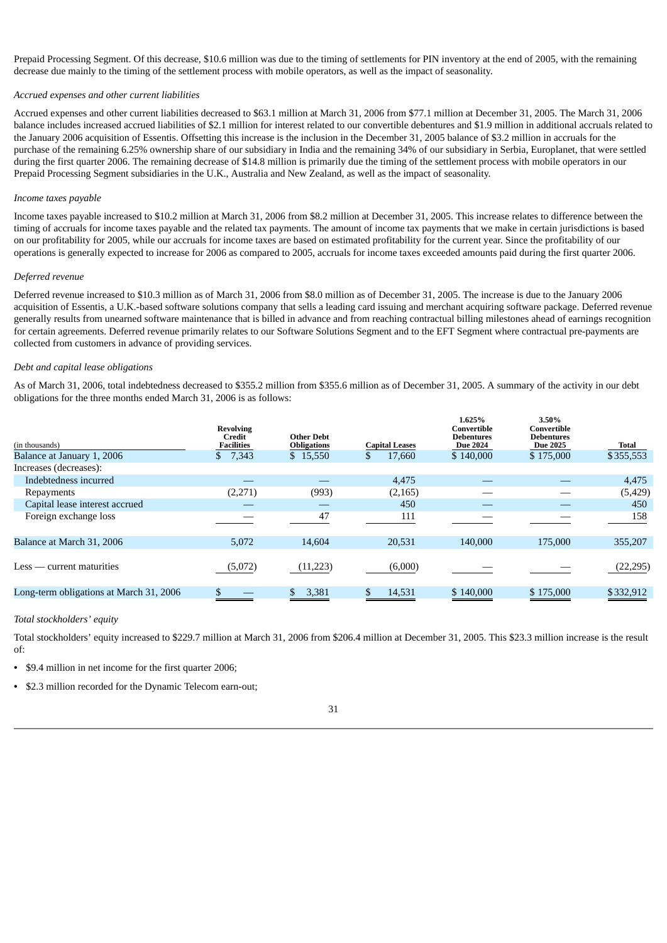Prepaid Processing Segment. Of this decrease, \$10.6 million was due to the timing of settlements for PIN inventory at the end of 2005, with the remaining decrease due mainly to the timing of the settlement process with mobile operators, as well as the impact of seasonality.

#### *Accrued expenses and other current liabilities*

Accrued expenses and other current liabilities decreased to \$63.1 million at March 31, 2006 from \$77.1 million at December 31, 2005. The March 31, 2006 balance includes increased accrued liabilities of \$2.1 million for interest related to our convertible debentures and \$1.9 million in additional accruals related to the January 2006 acquisition of Essentis. Offsetting this increase is the inclusion in the December 31, 2005 balance of \$3.2 million in accruals for the purchase of the remaining 6.25% ownership share of our subsidiary in India and the remaining 34% of our subsidiary in Serbia, Europlanet, that were settled during the first quarter 2006. The remaining decrease of \$14.8 million is primarily due the timing of the settlement process with mobile operators in our Prepaid Processing Segment subsidiaries in the U.K., Australia and New Zealand, as well as the impact of seasonality.

#### *Income taxes payable*

Income taxes payable increased to \$10.2 million at March 31, 2006 from \$8.2 million at December 31, 2005. This increase relates to difference between the timing of accruals for income taxes payable and the related tax payments. The amount of income tax payments that we make in certain jurisdictions is based on our profitability for 2005, while our accruals for income taxes are based on estimated profitability for the current year. Since the profitability of our operations is generally expected to increase for 2006 as compared to 2005, accruals for income taxes exceeded amounts paid during the first quarter 2006.

#### *Deferred revenue*

Deferred revenue increased to \$10.3 million as of March 31, 2006 from \$8.0 million as of December 31, 2005. The increase is due to the January 2006 acquisition of Essentis, a U.K.-based software solutions company that sells a leading card issuing and merchant acquiring software package. Deferred revenue generally results from unearned software maintenance that is billed in advance and from reaching contractual billing milestones ahead of earnings recognition for certain agreements. Deferred revenue primarily relates to our Software Solutions Segment and to the EFT Segment where contractual pre-payments are collected from customers in advance of providing services.

#### *Debt and capital lease obligations*

As of March 31, 2006, total indebtedness decreased to \$355.2 million from \$355.6 million as of December 31, 2005. A summary of the activity in our debt obligations for the three months ended March 31, 2006 is as follows:

| (in thousands)                          | <b>Revolving</b><br>Credit<br><b>Facilities</b> | Other Debt<br><b>Obligations</b> | <b>Capital Leases</b> | 1.625%<br>Convertible<br><b>Debentures</b><br><b>Due 2024</b> | 3.50%<br>Convertible<br><b>Debentures</b><br><b>Due 2025</b> | Total     |
|-----------------------------------------|-------------------------------------------------|----------------------------------|-----------------------|---------------------------------------------------------------|--------------------------------------------------------------|-----------|
| Balance at January 1, 2006              | 7,343                                           | \$15,550                         | 17,660                | \$140,000                                                     | \$175,000                                                    | \$355,553 |
| Increases (decreases):                  |                                                 |                                  |                       |                                                               |                                                              |           |
| Indebtedness incurred                   |                                                 |                                  | 4,475                 |                                                               |                                                              | 4,475     |
| Repayments                              | (2,271)                                         | (993)                            | (2, 165)              |                                                               |                                                              | (5, 429)  |
| Capital lease interest accrued          |                                                 |                                  | 450                   |                                                               |                                                              | 450       |
| Foreign exchange loss                   |                                                 | 47                               | 111                   |                                                               |                                                              | 158       |
| Balance at March 31, 2006               | 5,072                                           | 14,604                           | 20,531                | 140,000                                                       | 175,000                                                      | 355,207   |
| $Less$ — current maturities             | (5,072)                                         | (11,223)                         | (6,000)               |                                                               |                                                              | (22, 295) |
| Long-term obligations at March 31, 2006 |                                                 | 3,381                            | 14,531                | \$140,000                                                     | \$175,000                                                    | \$332,912 |

#### *Total stockholders' equity*

Total stockholders' equity increased to \$229.7 million at March 31, 2006 from \$206.4 million at December 31, 2005. This \$23.3 million increase is the result of:

- **•** \$9.4 million in net income for the first quarter 2006;
- **•** \$2.3 million recorded for the Dynamic Telecom earn-out;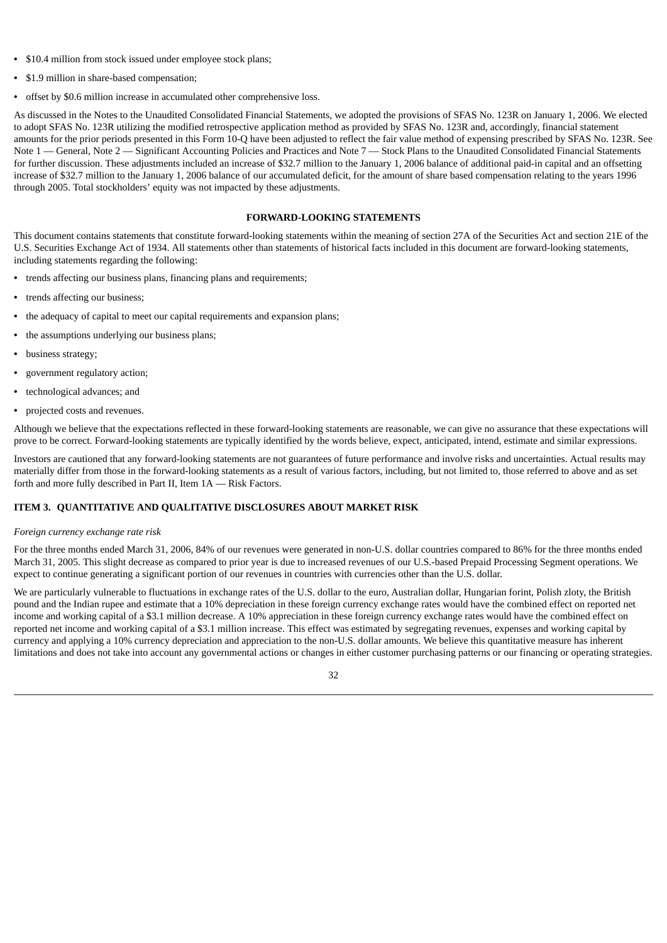- **•** \$10.4 million from stock issued under employee stock plans;
- **•** \$1.9 million in share-based compensation;
- **•** offset by \$0.6 million increase in accumulated other comprehensive loss.

As discussed in the Notes to the Unaudited Consolidated Financial Statements, we adopted the provisions of SFAS No. 123R on January 1, 2006. We elected to adopt SFAS No. 123R utilizing the modified retrospective application method as provided by SFAS No. 123R and, accordingly, financial statement amounts for the prior periods presented in this Form 10-Q have been adjusted to reflect the fair value method of expensing prescribed by SFAS No. 123R. See Note 1 — General, Note 2 — Significant Accounting Policies and Practices and Note 7 — Stock Plans to the Unaudited Consolidated Financial Statements for further discussion. These adjustments included an increase of \$32.7 million to the January 1, 2006 balance of additional paid-in capital and an offsetting increase of \$32.7 million to the January 1, 2006 balance of our accumulated deficit, for the amount of share based compensation relating to the years 1996 through 2005. Total stockholders' equity was not impacted by these adjustments.

# **FORWARD-LOOKING STATEMENTS**

This document contains statements that constitute forward-looking statements within the meaning of section 27A of the Securities Act and section 21E of the U.S. Securities Exchange Act of 1934. All statements other than statements of historical facts included in this document are forward-looking statements, including statements regarding the following:

- **•** trends affecting our business plans, financing plans and requirements;
- **•** trends affecting our business;
- **•** the adequacy of capital to meet our capital requirements and expansion plans;
- **•** the assumptions underlying our business plans;
- **•** business strategy;
- **•** government regulatory action;
- **•** technological advances; and
- **•** projected costs and revenues.

Although we believe that the expectations reflected in these forward-looking statements are reasonable, we can give no assurance that these expectations will prove to be correct. Forward-looking statements are typically identified by the words believe, expect, anticipated, intend, estimate and similar expressions.

Investors are cautioned that any forward-looking statements are not guarantees of future performance and involve risks and uncertainties. Actual results may materially differ from those in the forward-looking statements as a result of various factors, including, but not limited to, those referred to above and as set forth and more fully described in Part II, Item 1A — Risk Factors.

# <span id="page-32-0"></span>**ITEM 3. QUANTITATIVE AND QUALITATIVE DISCLOSURES ABOUT MARKET RISK**

#### *Foreign currency exchange rate risk*

For the three months ended March 31, 2006, 84% of our revenues were generated in non-U.S. dollar countries compared to 86% for the three months ended March 31, 2005. This slight decrease as compared to prior year is due to increased revenues of our U.S.-based Prepaid Processing Segment operations. We expect to continue generating a significant portion of our revenues in countries with currencies other than the U.S. dollar.

We are particularly vulnerable to fluctuations in exchange rates of the U.S. dollar to the euro, Australian dollar, Hungarian forint, Polish zloty, the British pound and the Indian rupee and estimate that a 10% depreciation in these foreign currency exchange rates would have the combined effect on reported net income and working capital of a \$3.1 million decrease. A 10% appreciation in these foreign currency exchange rates would have the combined effect on reported net income and working capital of a \$3.1 million increase. This effect was estimated by segregating revenues, expenses and working capital by currency and applying a 10% currency depreciation and appreciation to the non-U.S. dollar amounts. We believe this quantitative measure has inherent limitations and does not take into account any governmental actions or changes in either customer purchasing patterns or our financing or operating strategies.

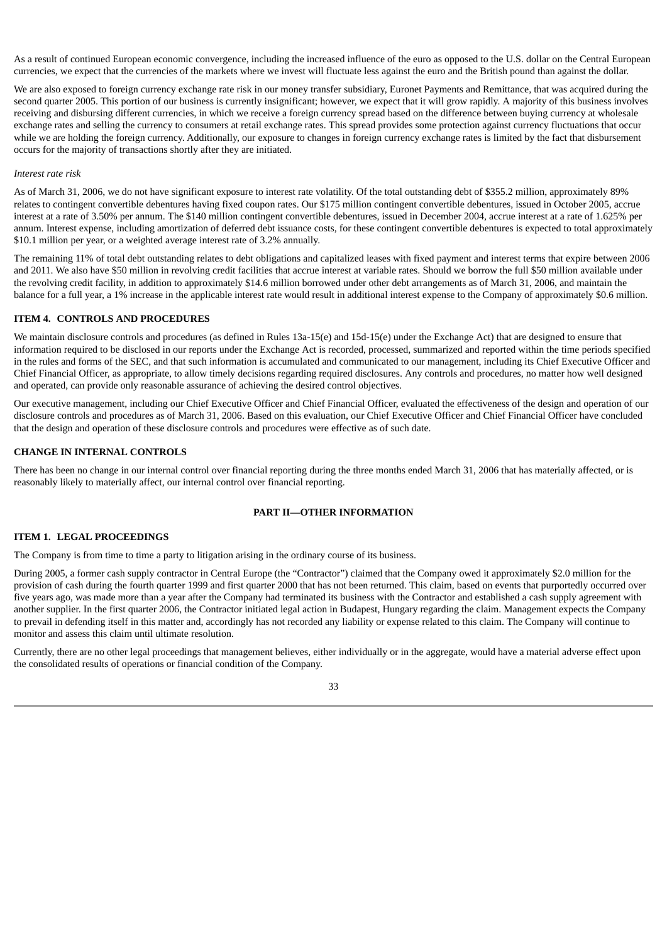As a result of continued European economic convergence, including the increased influence of the euro as opposed to the U.S. dollar on the Central European currencies, we expect that the currencies of the markets where we invest will fluctuate less against the euro and the British pound than against the dollar.

We are also exposed to foreign currency exchange rate risk in our money transfer subsidiary, Euronet Payments and Remittance, that was acquired during the second quarter 2005. This portion of our business is currently insignificant; however, we expect that it will grow rapidly. A majority of this business involves receiving and disbursing different currencies, in which we receive a foreign currency spread based on the difference between buying currency at wholesale exchange rates and selling the currency to consumers at retail exchange rates. This spread provides some protection against currency fluctuations that occur while we are holding the foreign currency. Additionally, our exposure to changes in foreign currency exchange rates is limited by the fact that disbursement occurs for the majority of transactions shortly after they are initiated.

#### *Interest rate risk*

As of March 31, 2006, we do not have significant exposure to interest rate volatility. Of the total outstanding debt of \$355.2 million, approximately 89% relates to contingent convertible debentures having fixed coupon rates. Our \$175 million contingent convertible debentures, issued in October 2005, accrue interest at a rate of 3.50% per annum. The \$140 million contingent convertible debentures, issued in December 2004, accrue interest at a rate of 1.625% per annum. Interest expense, including amortization of deferred debt issuance costs, for these contingent convertible debentures is expected to total approximately \$10.1 million per year, or a weighted average interest rate of 3.2% annually.

The remaining 11% of total debt outstanding relates to debt obligations and capitalized leases with fixed payment and interest terms that expire between 2006 and 2011. We also have \$50 million in revolving credit facilities that accrue interest at variable rates. Should we borrow the full \$50 million available under the revolving credit facility, in addition to approximately \$14.6 million borrowed under other debt arrangements as of March 31, 2006, and maintain the balance for a full year, a 1% increase in the applicable interest rate would result in additional interest expense to the Company of approximately \$0.6 million.

# <span id="page-33-0"></span>**ITEM 4. CONTROLS AND PROCEDURES**

We maintain disclosure controls and procedures (as defined in Rules 13a-15(e) and 15d-15(e) under the Exchange Act) that are designed to ensure that information required to be disclosed in our reports under the Exchange Act is recorded, processed, summarized and reported within the time periods specified in the rules and forms of the SEC, and that such information is accumulated and communicated to our management, including its Chief Executive Officer and Chief Financial Officer, as appropriate, to allow timely decisions regarding required disclosures. Any controls and procedures, no matter how well designed and operated, can provide only reasonable assurance of achieving the desired control objectives.

Our executive management, including our Chief Executive Officer and Chief Financial Officer, evaluated the effectiveness of the design and operation of our disclosure controls and procedures as of March 31, 2006. Based on this evaluation, our Chief Executive Officer and Chief Financial Officer have concluded that the design and operation of these disclosure controls and procedures were effective as of such date.

# **CHANGE IN INTERNAL CONTROLS**

<span id="page-33-1"></span>There has been no change in our internal control over financial reporting during the three months ended March 31, 2006 that has materially affected, or is reasonably likely to materially affect, our internal control over financial reporting.

# **PART II—OTHER INFORMATION**

# <span id="page-33-2"></span>**ITEM 1. LEGAL PROCEEDINGS**

The Company is from time to time a party to litigation arising in the ordinary course of its business.

During 2005, a former cash supply contractor in Central Europe (the "Contractor") claimed that the Company owed it approximately \$2.0 million for the provision of cash during the fourth quarter 1999 and first quarter 2000 that has not been returned. This claim, based on events that purportedly occurred over five years ago, was made more than a year after the Company had terminated its business with the Contractor and established a cash supply agreement with another supplier. In the first quarter 2006, the Contractor initiated legal action in Budapest, Hungary regarding the claim. Management expects the Company to prevail in defending itself in this matter and, accordingly has not recorded any liability or expense related to this claim. The Company will continue to monitor and assess this claim until ultimate resolution.

Currently, there are no other legal proceedings that management believes, either individually or in the aggregate, would have a material adverse effect upon the consolidated results of operations or financial condition of the Company.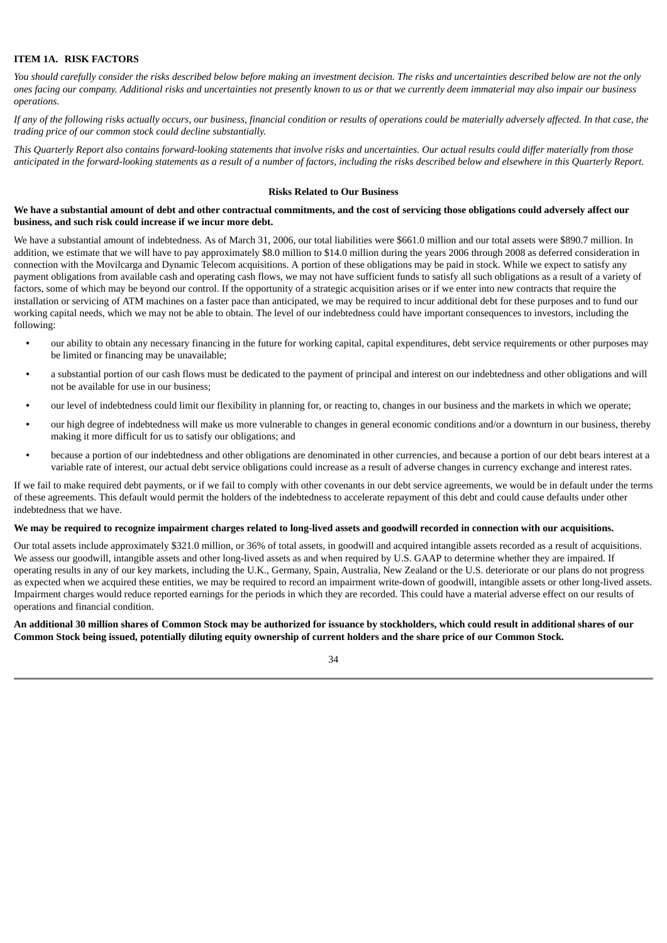# <span id="page-34-0"></span>**ITEM 1A. RISK FACTORS**

You should carefully consider the risks described below before making an investment decision. The risks and uncertainties described below are not the only ones facing our company. Additional risks and uncertainties not presently known to us or that we currently deem immaterial may also impair our business *operations.*

If any of the following risks actually occurs, our business, financial condition or results of operations could be materially adversely affected. In that case, the *trading price of our common stock could decline substantially.*

This Quarterly Report also contains forward-looking statements that involve risks and uncertainties. Our actual results could differ materially from those anticipated in the forward-looking statements as a result of a number of factors, including the risks described below and elsewhere in this Quarterly Report.

#### **Risks Related to Our Business**

# We have a substantial amount of debt and other contractual commitments, and the cost of servicing those obligations could adversely affect our **business, and such risk could increase if we incur more debt.**

We have a substantial amount of indebtedness. As of March 31, 2006, our total liabilities were \$661.0 million and our total assets were \$890.7 million. In addition, we estimate that we will have to pay approximately \$8.0 million to \$14.0 million during the years 2006 through 2008 as deferred consideration in connection with the Movilcarga and Dynamic Telecom acquisitions. A portion of these obligations may be paid in stock. While we expect to satisfy any payment obligations from available cash and operating cash flows, we may not have sufficient funds to satisfy all such obligations as a result of a variety of factors, some of which may be beyond our control. If the opportunity of a strategic acquisition arises or if we enter into new contracts that require the installation or servicing of ATM machines on a faster pace than anticipated, we may be required to incur additional debt for these purposes and to fund our working capital needs, which we may not be able to obtain. The level of our indebtedness could have important consequences to investors, including the following:

- **•** our ability to obtain any necessary financing in the future for working capital, capital expenditures, debt service requirements or other purposes may be limited or financing may be unavailable;
- **•** a substantial portion of our cash flows must be dedicated to the payment of principal and interest on our indebtedness and other obligations and will not be available for use in our business;
- **•** our level of indebtedness could limit our flexibility in planning for, or reacting to, changes in our business and the markets in which we operate;
- **•** our high degree of indebtedness will make us more vulnerable to changes in general economic conditions and/or a downturn in our business, thereby making it more difficult for us to satisfy our obligations; and
- **•** because a portion of our indebtedness and other obligations are denominated in other currencies, and because a portion of our debt bears interest at a variable rate of interest, our actual debt service obligations could increase as a result of adverse changes in currency exchange and interest rates.

If we fail to make required debt payments, or if we fail to comply with other covenants in our debt service agreements, we would be in default under the terms of these agreements. This default would permit the holders of the indebtedness to accelerate repayment of this debt and could cause defaults under other indebtedness that we have.

## We may be required to recognize impairment charges related to long-lived assets and goodwill recorded in connection with our acquisitions.

Our total assets include approximately \$321.0 million, or 36% of total assets, in goodwill and acquired intangible assets recorded as a result of acquisitions. We assess our goodwill, intangible assets and other long-lived assets as and when required by U.S. GAAP to determine whether they are impaired. If operating results in any of our key markets, including the U.K., Germany, Spain, Australia, New Zealand or the U.S. deteriorate or our plans do not progress as expected when we acquired these entities, we may be required to record an impairment write-down of goodwill, intangible assets or other long-lived assets. Impairment charges would reduce reported earnings for the periods in which they are recorded. This could have a material adverse effect on our results of operations and financial condition.

An additional 30 million shares of Common Stock may be authorized for issuance by stockholders, which could result in additional shares of our Common Stock being issued, potentially diluting equity ownership of current holders and the share price of our Common Stock.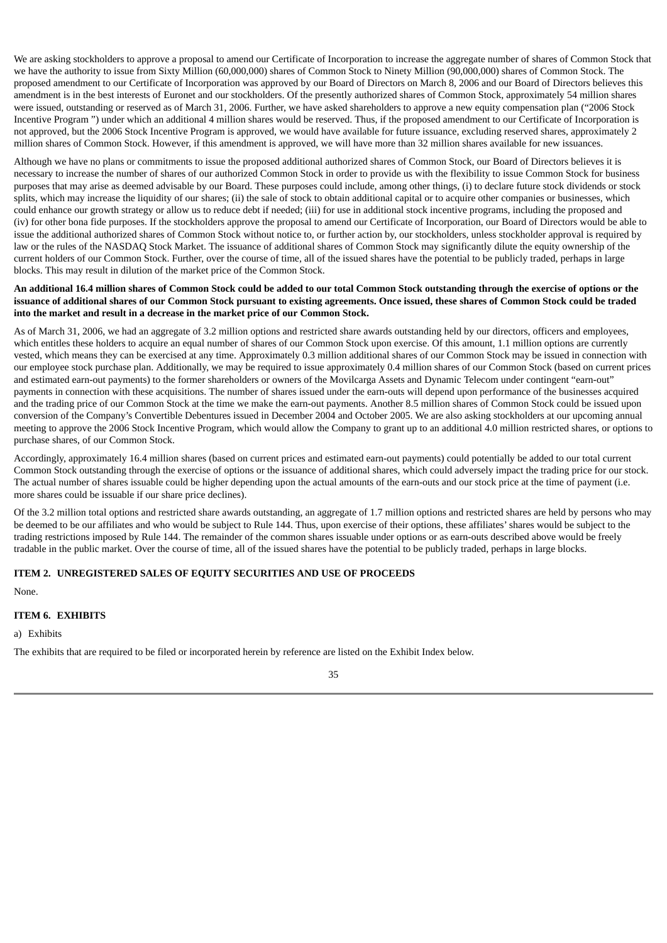We are asking stockholders to approve a proposal to amend our Certificate of Incorporation to increase the aggregate number of shares of Common Stock that we have the authority to issue from Sixty Million (60,000,000) shares of Common Stock to Ninety Million (90,000,000) shares of Common Stock. The proposed amendment to our Certificate of Incorporation was approved by our Board of Directors on March 8, 2006 and our Board of Directors believes this amendment is in the best interests of Euronet and our stockholders. Of the presently authorized shares of Common Stock, approximately 54 million shares were issued, outstanding or reserved as of March 31, 2006. Further, we have asked shareholders to approve a new equity compensation plan ("2006 Stock Incentive Program ") under which an additional 4 million shares would be reserved. Thus, if the proposed amendment to our Certificate of Incorporation is not approved, but the 2006 Stock Incentive Program is approved, we would have available for future issuance, excluding reserved shares, approximately 2 million shares of Common Stock. However, if this amendment is approved, we will have more than 32 million shares available for new issuances.

Although we have no plans or commitments to issue the proposed additional authorized shares of Common Stock, our Board of Directors believes it is necessary to increase the number of shares of our authorized Common Stock in order to provide us with the flexibility to issue Common Stock for business purposes that may arise as deemed advisable by our Board. These purposes could include, among other things, (i) to declare future stock dividends or stock splits, which may increase the liquidity of our shares; (ii) the sale of stock to obtain additional capital or to acquire other companies or businesses, which could enhance our growth strategy or allow us to reduce debt if needed; (iii) for use in additional stock incentive programs, including the proposed and (iv) for other bona fide purposes. If the stockholders approve the proposal to amend our Certificate of Incorporation, our Board of Directors would be able to issue the additional authorized shares of Common Stock without notice to, or further action by, our stockholders, unless stockholder approval is required by law or the rules of the NASDAQ Stock Market. The issuance of additional shares of Common Stock may significantly dilute the equity ownership of the current holders of our Common Stock. Further, over the course of time, all of the issued shares have the potential to be publicly traded, perhaps in large blocks. This may result in dilution of the market price of the Common Stock.

# An additional 16.4 million shares of Common Stock could be added to our total Common Stock outstanding through the exercise of options or the issuance of additional shares of our Common Stock pursuant to existing agreements. Once issued, these shares of Common Stock could be traded **into the market and result in a decrease in the market price of our Common Stock.**

As of March 31, 2006, we had an aggregate of 3.2 million options and restricted share awards outstanding held by our directors, officers and employees, which entitles these holders to acquire an equal number of shares of our Common Stock upon exercise. Of this amount, 1.1 million options are currently vested, which means they can be exercised at any time. Approximately 0.3 million additional shares of our Common Stock may be issued in connection with our employee stock purchase plan. Additionally, we may be required to issue approximately 0.4 million shares of our Common Stock (based on current prices and estimated earn-out payments) to the former shareholders or owners of the Movilcarga Assets and Dynamic Telecom under contingent "earn-out" payments in connection with these acquisitions. The number of shares issued under the earn-outs will depend upon performance of the businesses acquired and the trading price of our Common Stock at the time we make the earn-out payments. Another 8.5 million shares of Common Stock could be issued upon conversion of the Company's Convertible Debentures issued in December 2004 and October 2005. We are also asking stockholders at our upcoming annual meeting to approve the 2006 Stock Incentive Program, which would allow the Company to grant up to an additional 4.0 million restricted shares, or options to purchase shares, of our Common Stock.

Accordingly, approximately 16.4 million shares (based on current prices and estimated earn-out payments) could potentially be added to our total current Common Stock outstanding through the exercise of options or the issuance of additional shares, which could adversely impact the trading price for our stock. The actual number of shares issuable could be higher depending upon the actual amounts of the earn-outs and our stock price at the time of payment (i.e. more shares could be issuable if our share price declines).

Of the 3.2 million total options and restricted share awards outstanding, an aggregate of 1.7 million options and restricted shares are held by persons who may be deemed to be our affiliates and who would be subject to Rule 144. Thus, upon exercise of their options, these affiliates' shares would be subject to the trading restrictions imposed by Rule 144. The remainder of the common shares issuable under options or as earn-outs described above would be freely tradable in the public market. Over the course of time, all of the issued shares have the potential to be publicly traded, perhaps in large blocks.

# <span id="page-35-0"></span>**ITEM 2. UNREGISTERED SALES OF EQUITY SECURITIES AND USE OF PROCEEDS**

<span id="page-35-1"></span>None.

# **ITEM 6. EXHIBITS**

a) Exhibits

The exhibits that are required to be filed or incorporated herein by reference are listed on the Exhibit Index below.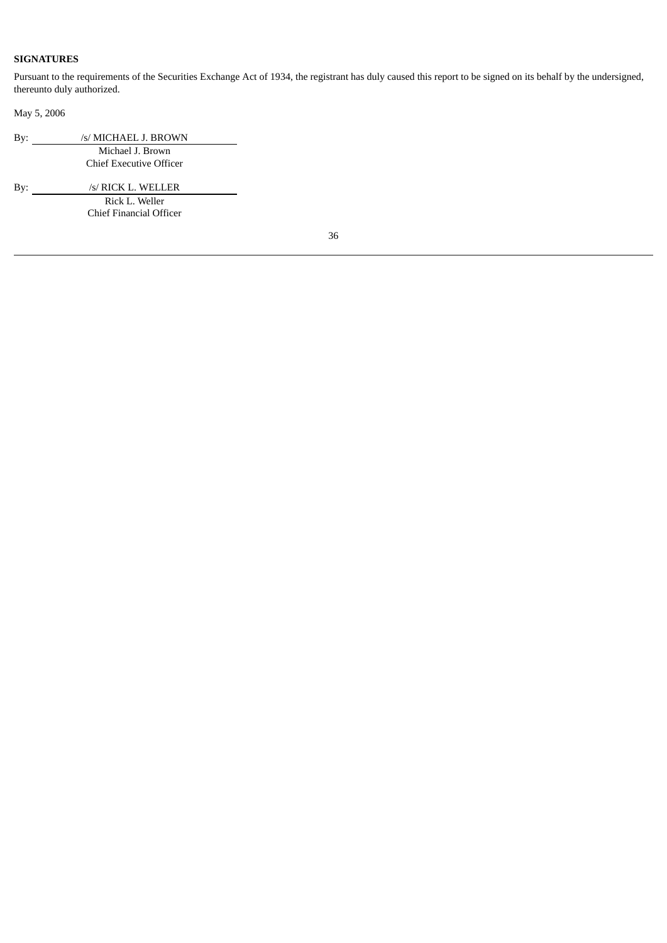# **SIGNATURES**

Pursuant to the requirements of the Securities Exchange Act of 1934, the registrant has duly caused this report to be signed on its behalf by the undersigned, thereunto duly authorized.

May 5, 2006

| By: | /s/ MICHAEL J. BROWN    |
|-----|-------------------------|
|     | Michael J. Brown        |
|     | Chief Executive Officer |
| By: | /s/ RICK L. WELLER      |
|     | Rick L. Weller          |

Chief Financial Officer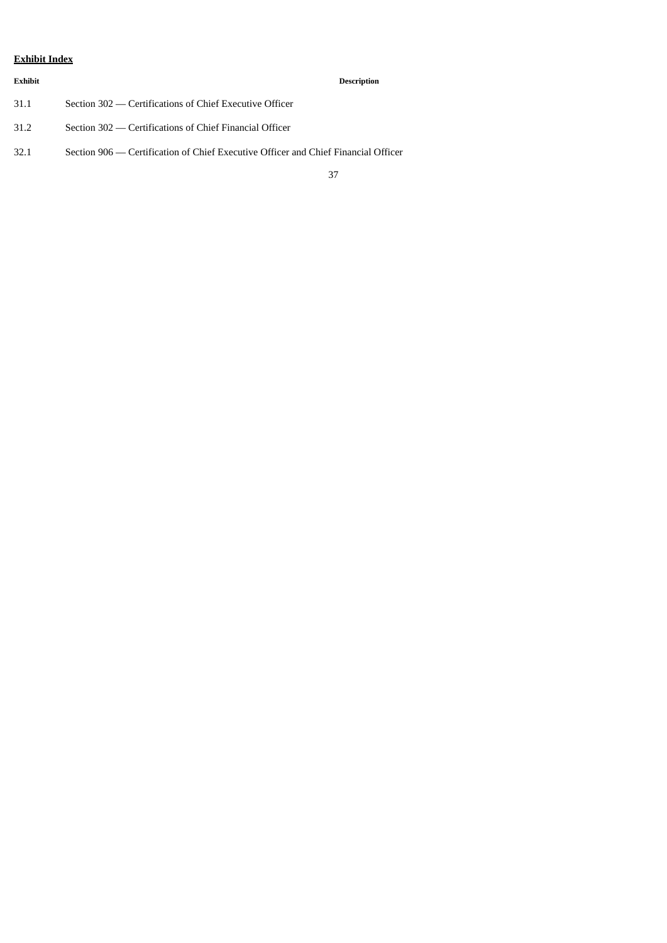# **Exhibit Index**

| Exhibit |                                                                                    | <b>Description</b> |
|---------|------------------------------------------------------------------------------------|--------------------|
| 31.1    | Section 302 — Certifications of Chief Executive Officer                            |                    |
| 31.2    | Section 302 — Certifications of Chief Financial Officer                            |                    |
| 32.1    | Section 906 — Certification of Chief Executive Officer and Chief Financial Officer |                    |
|         |                                                                                    |                    |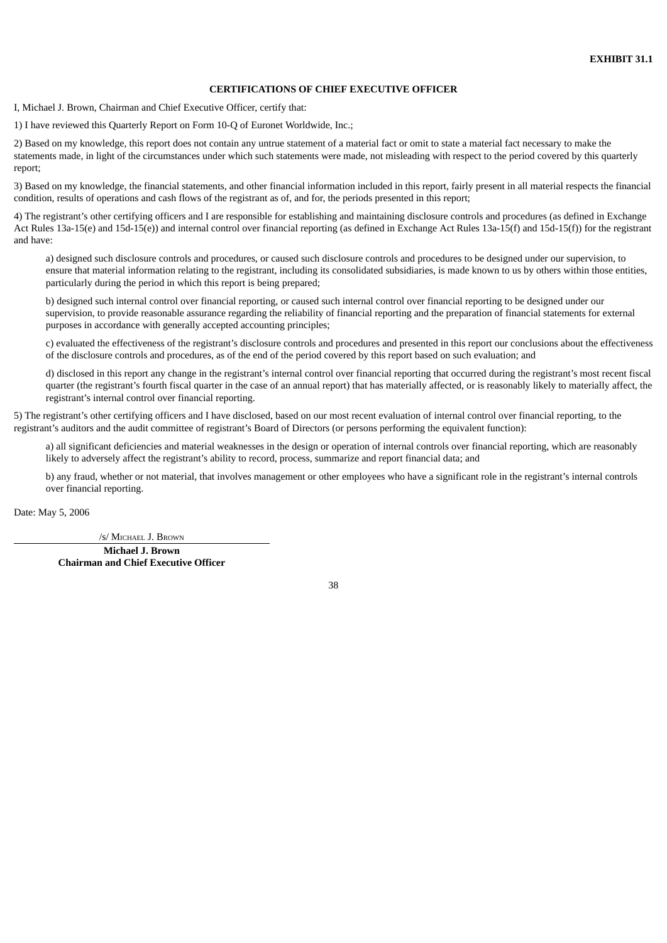#### **CERTIFICATIONS OF CHIEF EXECUTIVE OFFICER**

I, Michael J. Brown, Chairman and Chief Executive Officer, certify that:

1) I have reviewed this Quarterly Report on Form 10-Q of Euronet Worldwide, Inc.;

2) Based on my knowledge, this report does not contain any untrue statement of a material fact or omit to state a material fact necessary to make the statements made, in light of the circumstances under which such statements were made, not misleading with respect to the period covered by this quarterly report;

3) Based on my knowledge, the financial statements, and other financial information included in this report, fairly present in all material respects the financial condition, results of operations and cash flows of the registrant as of, and for, the periods presented in this report;

4) The registrant's other certifying officers and I are responsible for establishing and maintaining disclosure controls and procedures (as defined in Exchange Act Rules 13a-15(e) and 15d-15(e)) and internal control over financial reporting (as defined in Exchange Act Rules 13a-15(f) and 15d-15(f)) for the registrant and have:

a) designed such disclosure controls and procedures, or caused such disclosure controls and procedures to be designed under our supervision, to ensure that material information relating to the registrant, including its consolidated subsidiaries, is made known to us by others within those entities, particularly during the period in which this report is being prepared;

b) designed such internal control over financial reporting, or caused such internal control over financial reporting to be designed under our supervision, to provide reasonable assurance regarding the reliability of financial reporting and the preparation of financial statements for external purposes in accordance with generally accepted accounting principles;

c) evaluated the effectiveness of the registrant's disclosure controls and procedures and presented in this report our conclusions about the effectiveness of the disclosure controls and procedures, as of the end of the period covered by this report based on such evaluation; and

d) disclosed in this report any change in the registrant's internal control over financial reporting that occurred during the registrant's most recent fiscal quarter (the registrant's fourth fiscal quarter in the case of an annual report) that has materially affected, or is reasonably likely to materially affect, the registrant's internal control over financial reporting.

5) The registrant's other certifying officers and I have disclosed, based on our most recent evaluation of internal control over financial reporting, to the registrant's auditors and the audit committee of registrant's Board of Directors (or persons performing the equivalent function):

a) all significant deficiencies and material weaknesses in the design or operation of internal controls over financial reporting, which are reasonably likely to adversely affect the registrant's ability to record, process, summarize and report financial data; and

b) any fraud, whether or not material, that involves management or other employees who have a significant role in the registrant's internal controls over financial reporting.

Date: May 5, 2006

/s/ MICHAEL J. BROWN

**Michael J. Brown Chairman and Chief Executive Officer**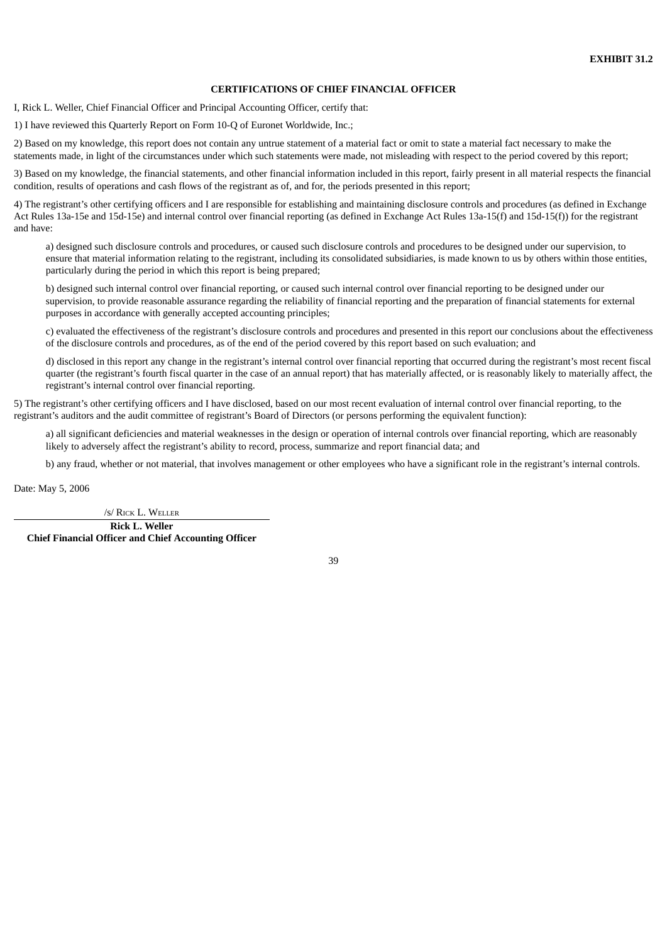#### **CERTIFICATIONS OF CHIEF FINANCIAL OFFICER**

I, Rick L. Weller, Chief Financial Officer and Principal Accounting Officer, certify that:

1) I have reviewed this Quarterly Report on Form 10-Q of Euronet Worldwide, Inc.;

2) Based on my knowledge, this report does not contain any untrue statement of a material fact or omit to state a material fact necessary to make the statements made, in light of the circumstances under which such statements were made, not misleading with respect to the period covered by this report;

3) Based on my knowledge, the financial statements, and other financial information included in this report, fairly present in all material respects the financial condition, results of operations and cash flows of the registrant as of, and for, the periods presented in this report;

4) The registrant's other certifying officers and I are responsible for establishing and maintaining disclosure controls and procedures (as defined in Exchange Act Rules 13a-15e and 15d-15e) and internal control over financial reporting (as defined in Exchange Act Rules 13a-15(f) and 15d-15(f)) for the registrant and have:

a) designed such disclosure controls and procedures, or caused such disclosure controls and procedures to be designed under our supervision, to ensure that material information relating to the registrant, including its consolidated subsidiaries, is made known to us by others within those entities, particularly during the period in which this report is being prepared;

b) designed such internal control over financial reporting, or caused such internal control over financial reporting to be designed under our supervision, to provide reasonable assurance regarding the reliability of financial reporting and the preparation of financial statements for external purposes in accordance with generally accepted accounting principles;

c) evaluated the effectiveness of the registrant's disclosure controls and procedures and presented in this report our conclusions about the effectiveness of the disclosure controls and procedures, as of the end of the period covered by this report based on such evaluation; and

d) disclosed in this report any change in the registrant's internal control over financial reporting that occurred during the registrant's most recent fiscal quarter (the registrant's fourth fiscal quarter in the case of an annual report) that has materially affected, or is reasonably likely to materially affect, the registrant's internal control over financial reporting.

5) The registrant's other certifying officers and I have disclosed, based on our most recent evaluation of internal control over financial reporting, to the registrant's auditors and the audit committee of registrant's Board of Directors (or persons performing the equivalent function):

a) all significant deficiencies and material weaknesses in the design or operation of internal controls over financial reporting, which are reasonably likely to adversely affect the registrant's ability to record, process, summarize and report financial data; and

b) any fraud, whether or not material, that involves management or other employees who have a significant role in the registrant's internal controls.

Date: May 5, 2006

/s/ RICK L. WELLER

**Rick L. Weller Chief Financial Officer and Chief Accounting Officer**